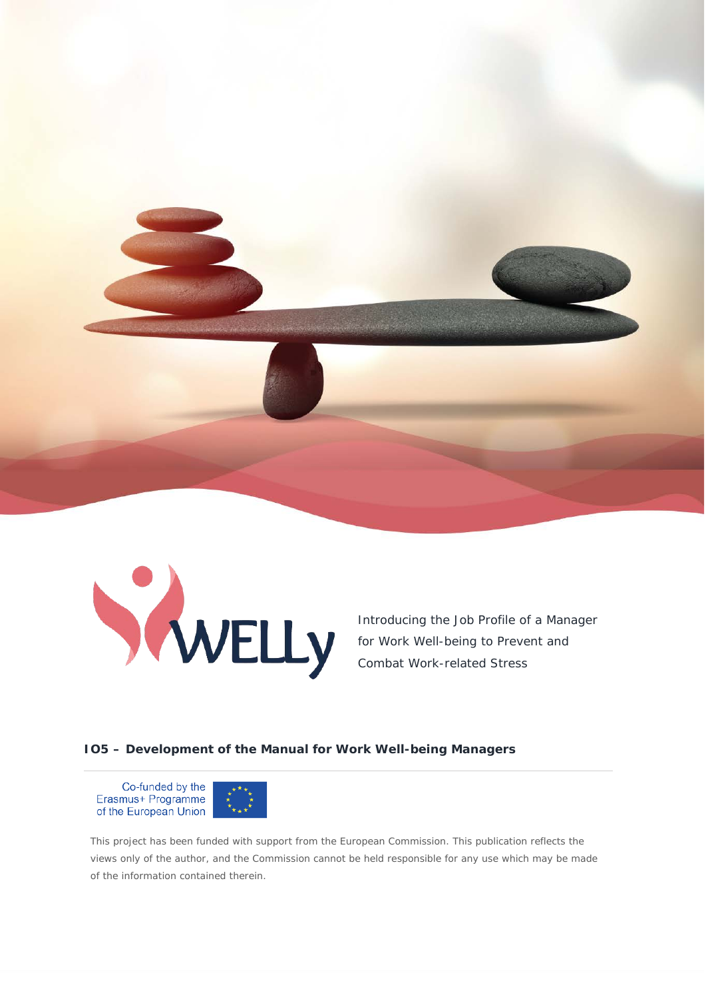



Introducing the Job Profile of a Manager for Work Well-being to Prevent and Combat Work-related Stress

#### **IO5 – Development of the Manual for Work Well-being Managers**

Co-funded by the Erasmus+ Programme of the European Union



This project has been funded with support from the European Commission. This publication reflects the views only of the author, and the Commission cannot be held responsible for any use which may be made of the information contained therein.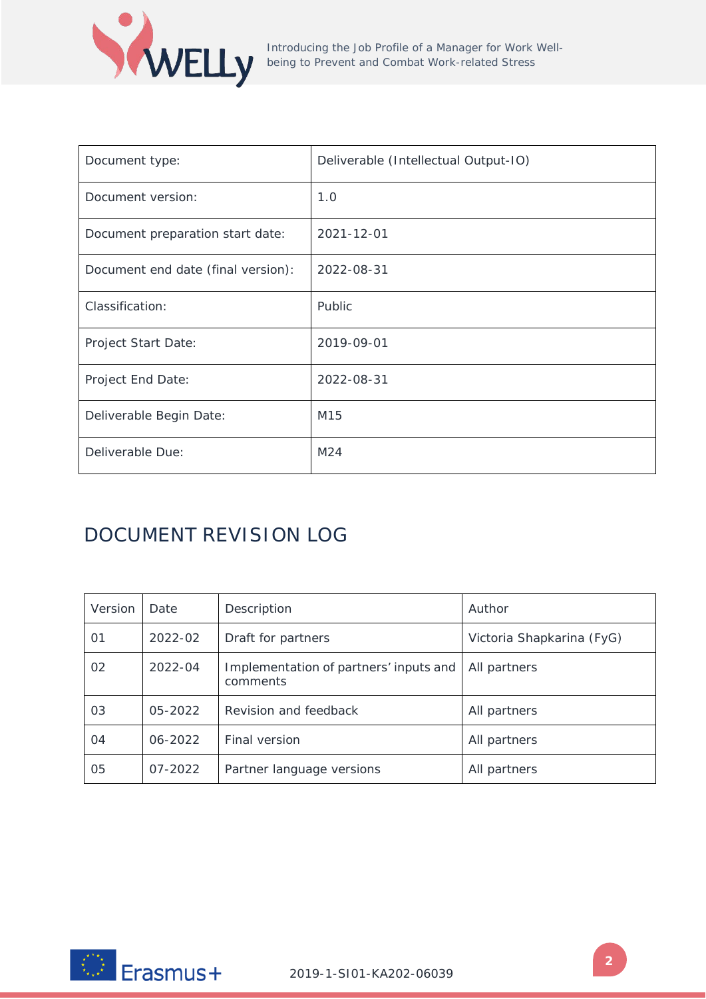

| Document type:                     | Deliverable (Intellectual Output-IO) |
|------------------------------------|--------------------------------------|
| Document version:                  | 1.0                                  |
| Document preparation start date:   | 2021-12-01                           |
| Document end date (final version): | 2022-08-31                           |
| Classification:                    | Public                               |
| Project Start Date:                | 2019-09-01                           |
| Project End Date:                  | 2022-08-31                           |
| Deliverable Begin Date:            | M15                                  |
| Deliverable Due:                   | M <sub>24</sub>                      |

# DOCUMENT REVISION LOG

| Version | Date    | Description                                        | Author                    |
|---------|---------|----------------------------------------------------|---------------------------|
| 01      | 2022-02 | Draft for partners                                 | Victoria Shapkarina (FyG) |
| 02      | 2022-04 | Implementation of partners' inputs and<br>comments | All partners              |
| 03      | 05-2022 | Revision and feedback                              | All partners              |
| 04      | 06-2022 | Final version                                      | All partners              |
| 05      | 07-2022 | Partner language versions                          | All partners              |

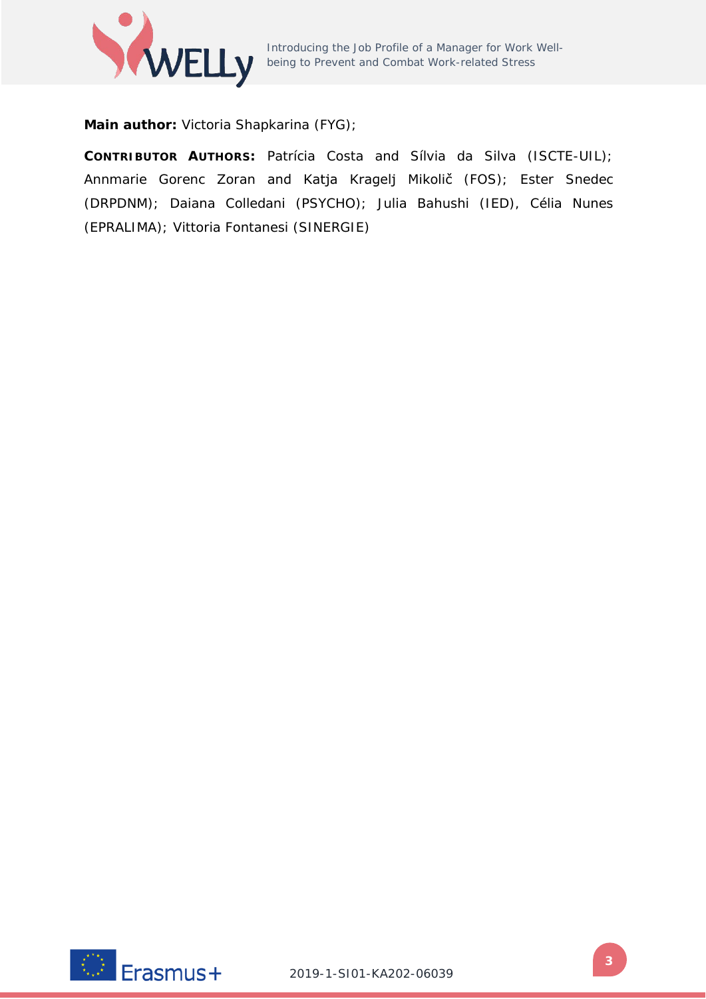

Introducing the Job Profile of a Manager for Work Wellbeing to Prevent and Combat Work-related Stress

**Main author:** Victoria Shapkarina (FYG);

**CONTRIBUTOR AUTHORS:** Patrícia Costa and Sílvia da Silva (ISCTE-UIL); Annmarie Gorenc Zoran and Katja Kragelj Mikolič (FOS); Ester Snedec (DRPDNM); Daiana Colledani (PSYCHO); Julia Bahushi (IED), Célia Nunes (EPRALIMA); Vittoria Fontanesi (SINERGIE)

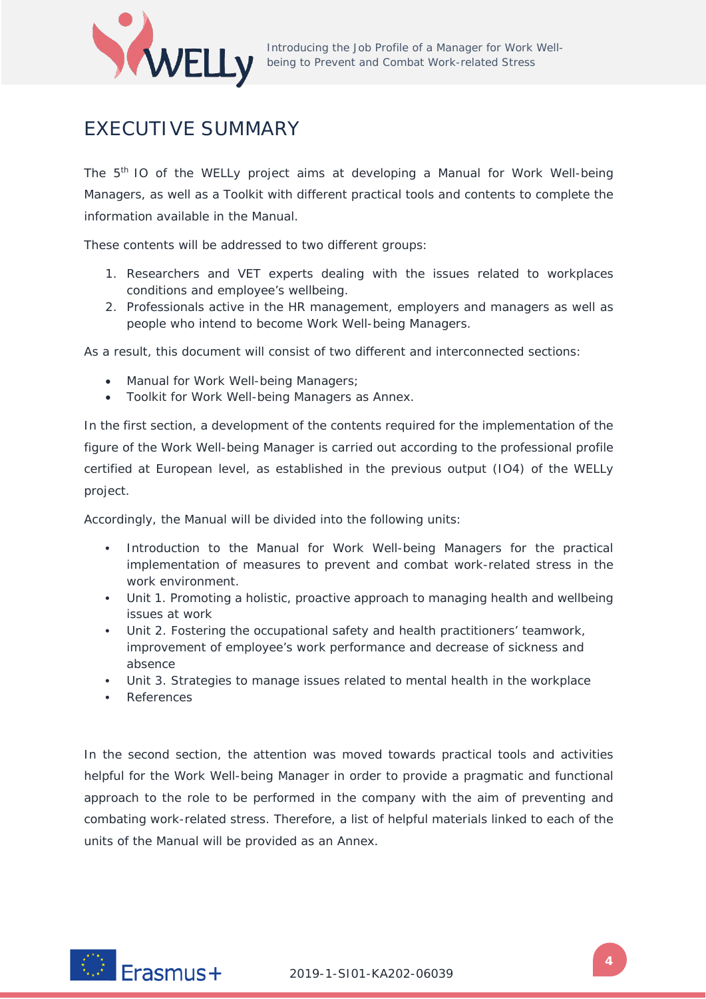

# <span id="page-3-0"></span>EXECUTIVE SUMMARY

The 5<sup>th</sup> IO of the WELLy project aims at developing a Manual for Work Well-being Managers, as well as a Toolkit with different practical tools and contents to complete the information available in the Manual.

These contents will be addressed to two different groups:

- 1. Researchers and VET experts dealing with the issues related to workplaces conditions and employee's wellbeing.
- 2. Professionals active in the HR management, employers and managers as well as people who intend to become Work Well-being Managers.

As a result, this document will consist of two different and interconnected sections:

- Manual for Work Well-being Managers;
- Toolkit for Work Well-being Managers as Annex.

In the first section, a development of the contents required for the implementation of the figure of the Work Well-being Manager is carried out according to the professional profile certified at European level, as established in the previous output (IO4) of the WELLy project.

Accordingly, the Manual will be divided into the following units:

- **•** Introduction to the Manual for Work Well-being Managers for the practical implementation of measures to prevent and combat work-related stress in the work environment.
- **•** Unit 1. Promoting a holistic, proactive approach to managing health and wellbeing issues at work
- **•** Unit 2. Fostering the occupational safety and health practitioners' teamwork, improvement of employee's work performance and decrease of sickness and absence
- **•** Unit 3. Strategies to manage issues related to mental health in the workplace
- **•** References

In the second section, the attention was moved towards practical tools and activities helpful for the Work Well-being Manager in order to provide a pragmatic and functional approach to the role to be performed in the company with the aim of preventing and combating work-related stress. Therefore, a list of helpful materials linked to each of the units of the Manual will be provided as an Annex.

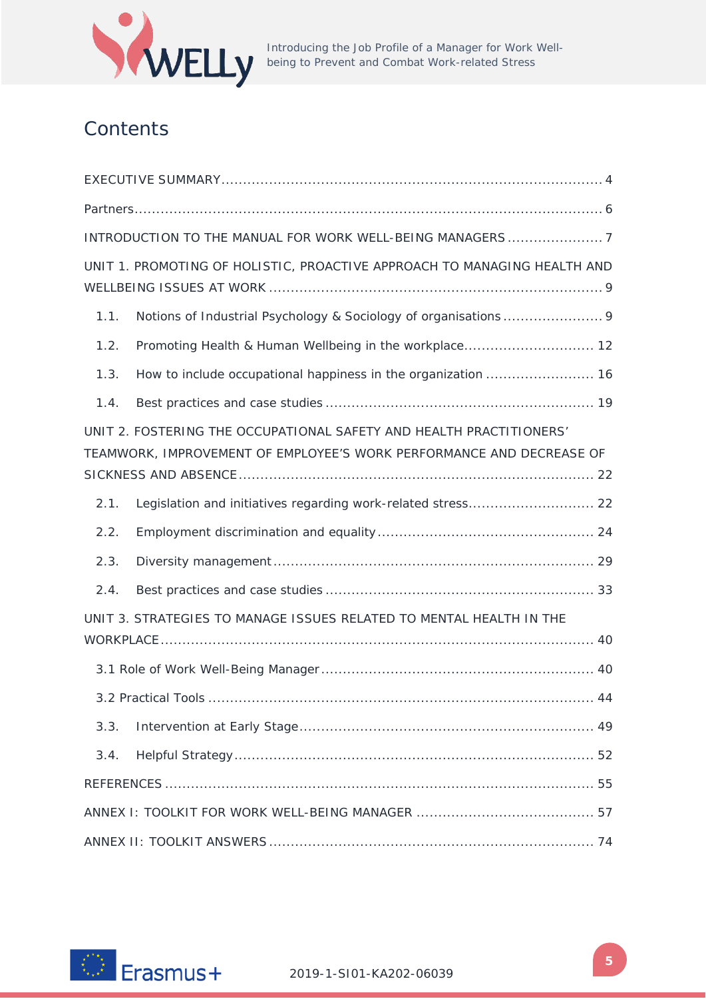

Introducing the Job Profile of a Manager for Work Wellbeing to Prevent and Combat Work-related Stress

# **Contents**

| INTRODUCTION TO THE MANUAL FOR WORK WELL-BEING MANAGERS7                                                                                    |  |  |  |  |
|---------------------------------------------------------------------------------------------------------------------------------------------|--|--|--|--|
| UNIT 1. PROMOTING OF HOLISTIC, PROACTIVE APPROACH TO MANAGING HEALTH AND                                                                    |  |  |  |  |
| 1.1.                                                                                                                                        |  |  |  |  |
| 1.2.                                                                                                                                        |  |  |  |  |
| 1.3.                                                                                                                                        |  |  |  |  |
| 1.4.                                                                                                                                        |  |  |  |  |
| UNIT 2. FOSTERING THE OCCUPATIONAL SAFETY AND HEALTH PRACTITIONERS'<br>TEAMWORK, IMPROVEMENT OF EMPLOYEE'S WORK PERFORMANCE AND DECREASE OF |  |  |  |  |
| 2.1.                                                                                                                                        |  |  |  |  |
| 2.2.                                                                                                                                        |  |  |  |  |
| 2.3.                                                                                                                                        |  |  |  |  |
| 2.4.                                                                                                                                        |  |  |  |  |
| UNIT 3. STRATEGIES TO MANAGE ISSUES RELATED TO MENTAL HEALTH IN THE                                                                         |  |  |  |  |
|                                                                                                                                             |  |  |  |  |
|                                                                                                                                             |  |  |  |  |
| 3.3.                                                                                                                                        |  |  |  |  |
| 3.4.                                                                                                                                        |  |  |  |  |
|                                                                                                                                             |  |  |  |  |
|                                                                                                                                             |  |  |  |  |
|                                                                                                                                             |  |  |  |  |

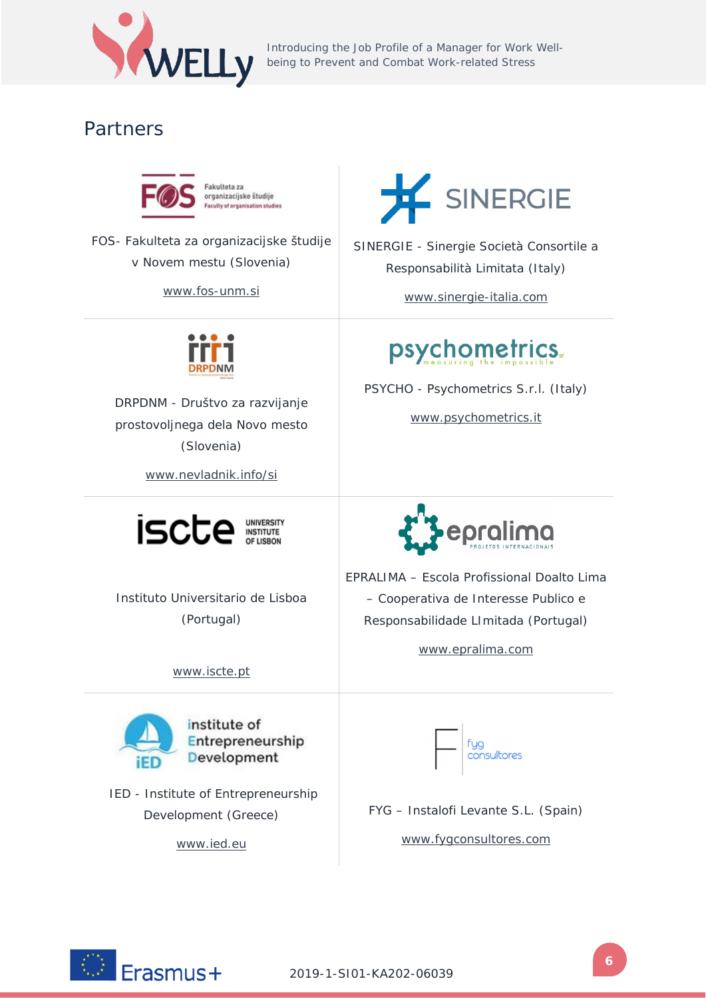

Introducing the Job Profile of a Manager for Work Well-**WELLY** Introducing the Job Protile of a Manager for Work Introducing the Job Protile of a Manager for Work International Stress

# <span id="page-5-0"></span>Partners



FOS- Fakulteta za organizacijske študije v Novem mestu (Slovenia)

www.fos-unm.si



SINERGIE - Sinergie Società Consortile a Responsabilità Limitata (Italy)

www.sinergie-italia.com



DRPDNM - Društvo za razvijanje prostovoljnega dela Novo mesto (Slovenia)

www.nevladnik.info/si



Instituto Universitario de Lisboa (Portugal)

www.iscte.pt



IED - Institute of Entrepreneurship Development (Greece)

[www.ied.eu](http://www.ied.eu/)



www.psychometrics.it



EPRALIMA – Escola Profissional Doalto Lima – Cooperativa de Interesse Publico e Responsabilidade LImitada (Portugal)

www.epralima.com



FYG – Instalofi Levante S.L. (Spain)

www.fygconsultores.com

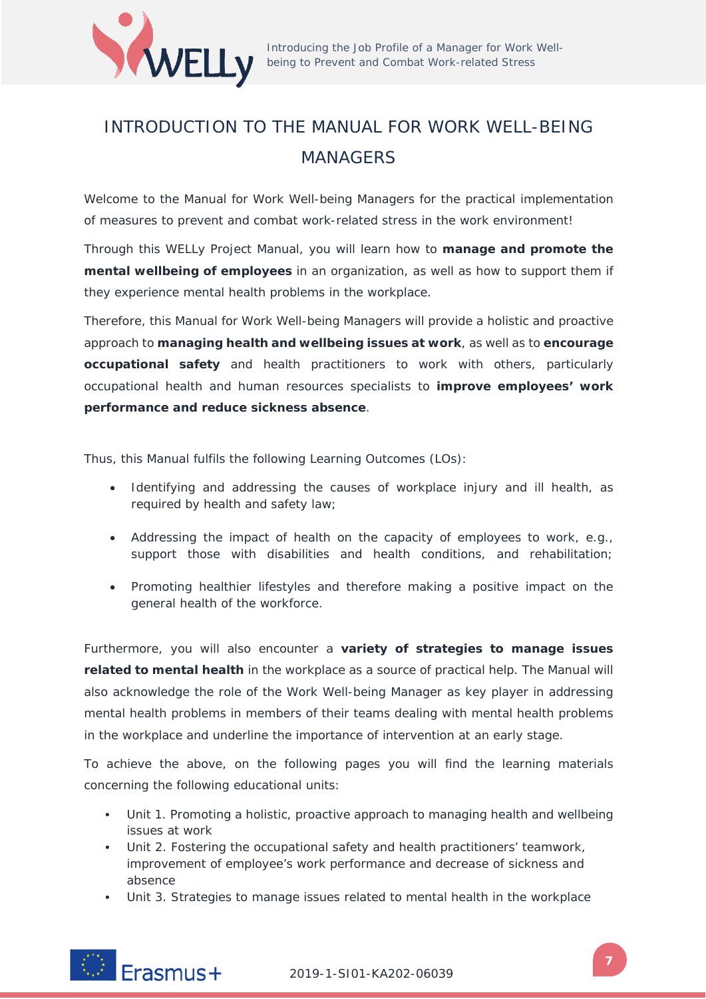

# <span id="page-6-0"></span>INTRODUCTION TO THE MANUAL FOR WORK WELL-BEING MANAGERS

Welcome to the Manual for Work Well-being Managers for the practical implementation of measures to prevent and combat work-related stress in the work environment!

Through this WELLy Project Manual, you will learn how to **manage and promote the mental wellbeing of employees** in an organization, as well as how to support them if they experience mental health problems in the workplace.

Therefore, this Manual for Work Well-being Managers will provide a holistic and proactive approach to **managing health and wellbeing issues at work**, as well as to **encourage occupational safety** and health practitioners to work with others, particularly occupational health and human resources specialists to **improve employees' work performance and reduce sickness absence**.

Thus, this Manual fulfils the following Learning Outcomes (LOs):

- Identifying and addressing the causes of workplace injury and ill health, as required by health and safety law;
- Addressing the impact of health on the capacity of employees to work, e.g., support those with disabilities and health conditions, and rehabilitation;
- Promoting healthier lifestyles and therefore making a positive impact on the general health of the workforce.

Furthermore, you will also encounter a **variety of strategies to manage issues related to mental health** in the workplace as a source of practical help. The Manual will also acknowledge the role of the Work Well-being Manager as key player in addressing mental health problems in members of their teams dealing with mental health problems in the workplace and underline the importance of intervention at an early stage.

To achieve the above, on the following pages you will find the learning materials concerning the following educational units:

- **•** Unit 1. Promoting a holistic, proactive approach to managing health and wellbeing issues at work
- **•** Unit 2. Fostering the occupational safety and health practitioners' teamwork, improvement of employee's work performance and decrease of sickness and absence
- **•** Unit 3. Strategies to manage issues related to mental health in the workplace

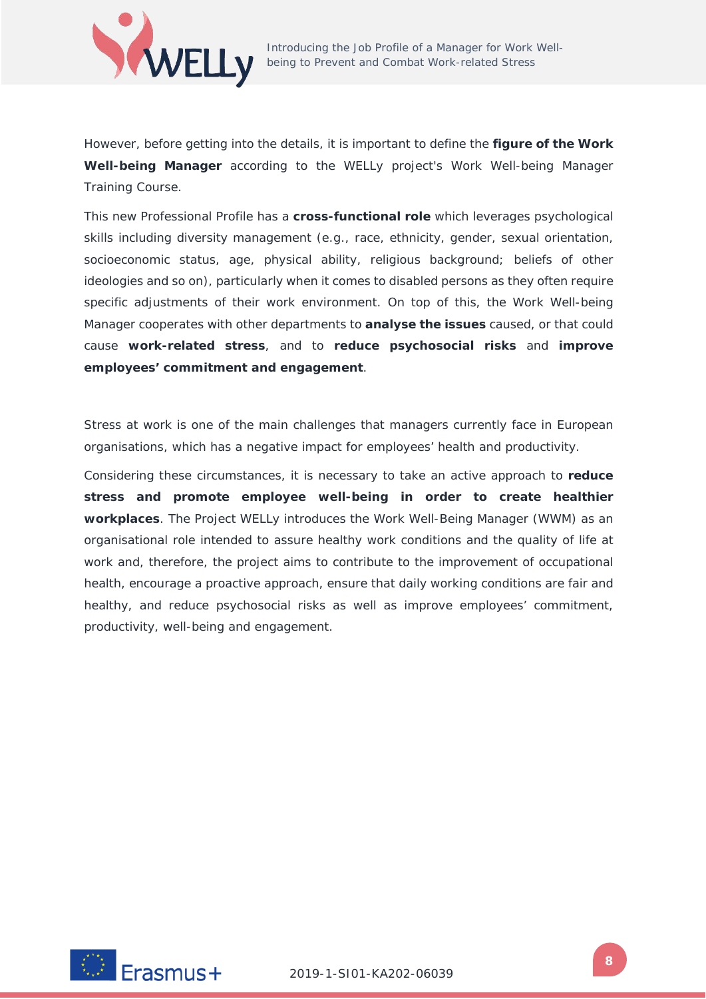

However, before getting into the details, it is important to define the **figure of the Work Well-being Manager** according to the WELLy project's Work Well-being Manager Training Course.

This new Professional Profile has a **cross-functional role** which leverages psychological skills including diversity management (e.g., race, ethnicity, gender, sexual orientation, socioeconomic status, age, physical ability, religious background; beliefs of other ideologies and so on), particularly when it comes to disabled persons as they often require specific adjustments of their work environment. On top of this, the Work Well-being Manager cooperates with other departments to **analyse the issues** caused, or that could cause **work-related stress**, and to **reduce psychosocial risks** and **improve employees' commitment and engagement**.

Stress at work is one of the main challenges that managers currently face in European organisations, which has a negative impact for employees' health and productivity.

Considering these circumstances, it is necessary to take an active approach to **reduce stress and promote employee well-being in order to create healthier workplaces**. The Project WELLy introduces the Work Well-Being Manager (WWM) as an organisational role intended to assure healthy work conditions and the quality of life at work and, therefore, the project aims to contribute to the improvement of occupational health, encourage a proactive approach, ensure that daily working conditions are fair and healthy, and reduce psychosocial risks as well as improve employees' commitment, productivity, well-being and engagement.

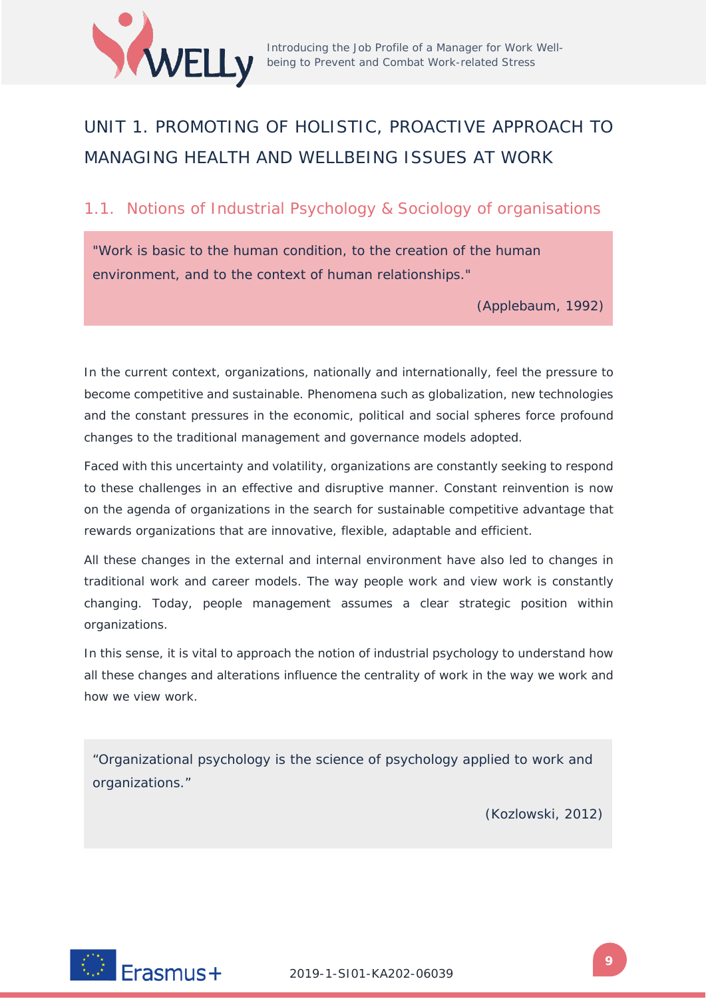

# <span id="page-8-0"></span>UNIT 1. PROMOTING OF HOLISTIC, PROACTIVE APPROACH TO MANAGING HEALTH AND WELLBEING ISSUES AT WORK

# <span id="page-8-1"></span>1.1. Notions of Industrial Psychology & Sociology of organisations

"*Work is basic to the human condition, to the creation of the human environment, and to the context of human relationships.*"

(Applebaum, 1992)

In the current context, organizations, nationally and internationally, feel the pressure to become competitive and sustainable. Phenomena such as globalization, new technologies and the constant pressures in the economic, political and social spheres force profound changes to the traditional management and governance models adopted.

Faced with this uncertainty and volatility, organizations are constantly seeking to respond to these challenges in an effective and disruptive manner. Constant reinvention is now on the agenda of organizations in the search for sustainable competitive advantage that rewards organizations that are innovative, flexible, adaptable and efficient.

All these changes in the external and internal environment have also led to changes in traditional work and career models. The way people work and view work is constantly changing. Today, people management assumes a clear strategic position within organizations.

In this sense, it is vital to approach the notion of industrial psychology to understand how all these changes and alterations influence the centrality of work in the way we work and how we view work.

*"Organizational psychology is the science of psychology applied to work and organizations."* 

(Kozlowski, 2012)

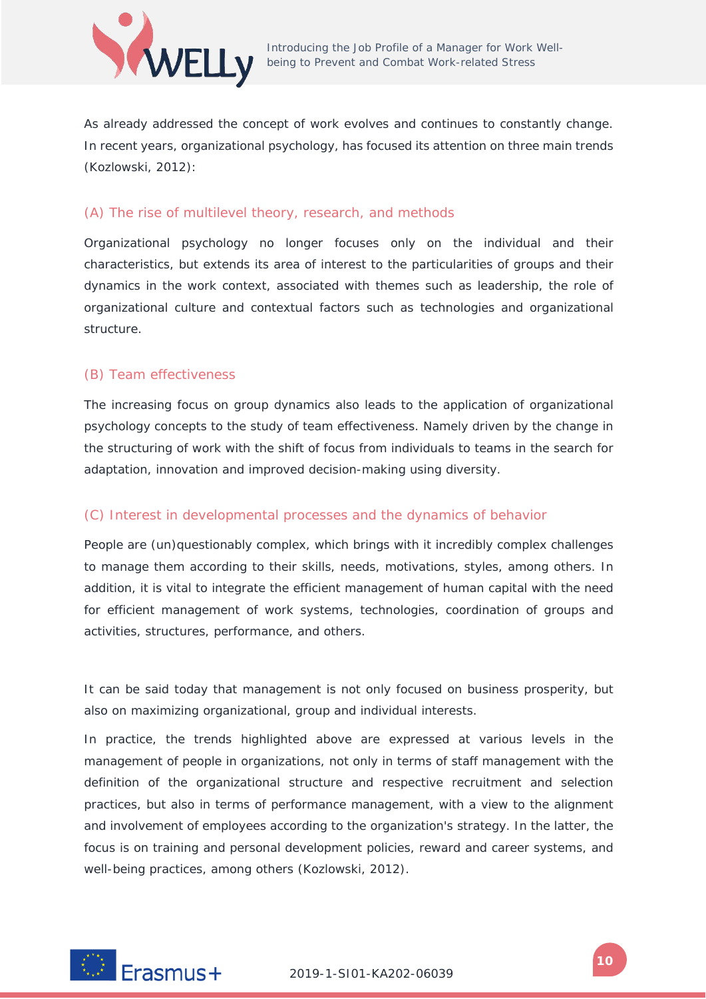

As already addressed the concept of work evolves and continues to constantly change. In recent years, organizational psychology, has focused its attention on three main trends (Kozlowski, 2012):

# (A) The rise of multilevel theory, research, and methods

Organizational psychology no longer focuses only on the individual and their characteristics, but extends its area of interest to the particularities of groups and their dynamics in the work context, associated with themes such as leadership, the role of organizational culture and contextual factors such as technologies and organizational structure.

# (B) Team effectiveness

The increasing focus on group dynamics also leads to the application of organizational psychology concepts to the study of team effectiveness. Namely driven by the change in the structuring of work with the shift of focus from individuals to teams in the search for adaptation, innovation and improved decision-making using diversity.

# (C) Interest in developmental processes and the dynamics of behavior

People are (un)questionably complex, which brings with it incredibly complex challenges to manage them according to their skills, needs, motivations, styles, among others. In addition, it is vital to integrate the efficient management of human capital with the need for efficient management of work systems, technologies, coordination of groups and activities, structures, performance, and others.

It can be said today that management is not only focused on business prosperity, but also on maximizing organizational, group and individual interests.

In practice, the trends highlighted above are expressed at various levels in the management of people in organizations, not only in terms of staff management with the definition of the organizational structure and respective recruitment and selection practices, but also in terms of performance management, with a view to the alignment and involvement of employees according to the organization's strategy. In the latter, the focus is on training and personal development policies, reward and career systems, and well-being practices, among others (Kozlowski, 2012).

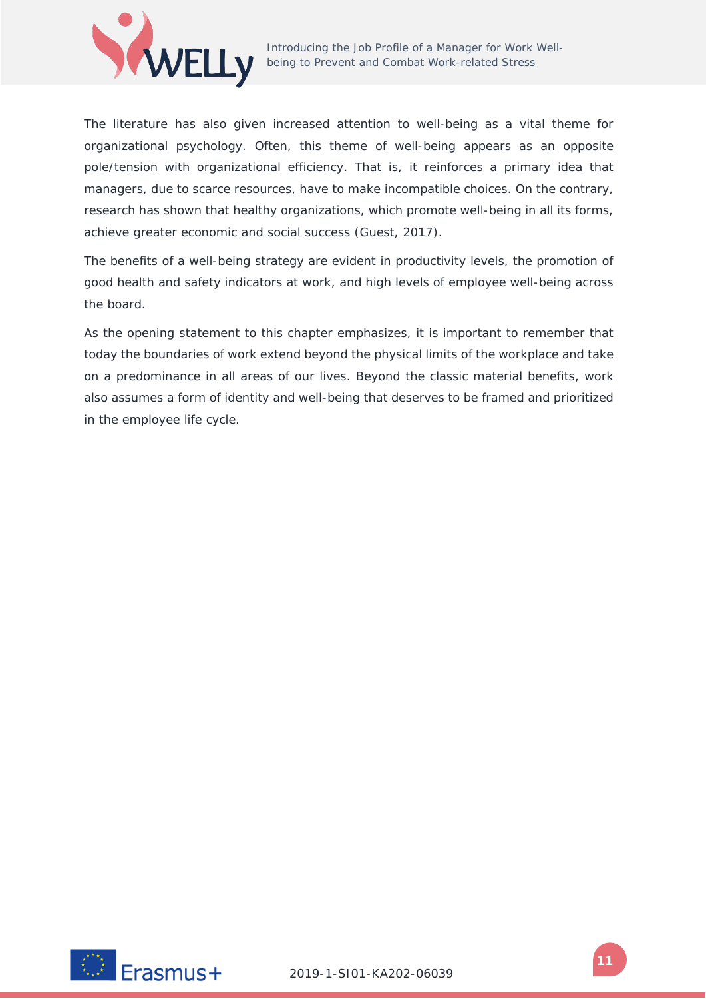

The literature has also given increased attention to well-being as a vital theme for organizational psychology. Often, this theme of well-being appears as an opposite pole/tension with organizational efficiency. That is, it reinforces a primary idea that managers, due to scarce resources, have to make incompatible choices. On the contrary, research has shown that healthy organizations, which promote well-being in all its forms, achieve greater economic and social success (Guest, 2017).

The benefits of a well-being strategy are evident in productivity levels, the promotion of good health and safety indicators at work, and high levels of employee well-being across the board.

As the opening statement to this chapter emphasizes, it is important to remember that today the boundaries of work extend beyond the physical limits of the workplace and take on a predominance in all areas of our lives. Beyond the classic material benefits, work also assumes a form of identity and well-being that deserves to be framed and prioritized in the employee life cycle.

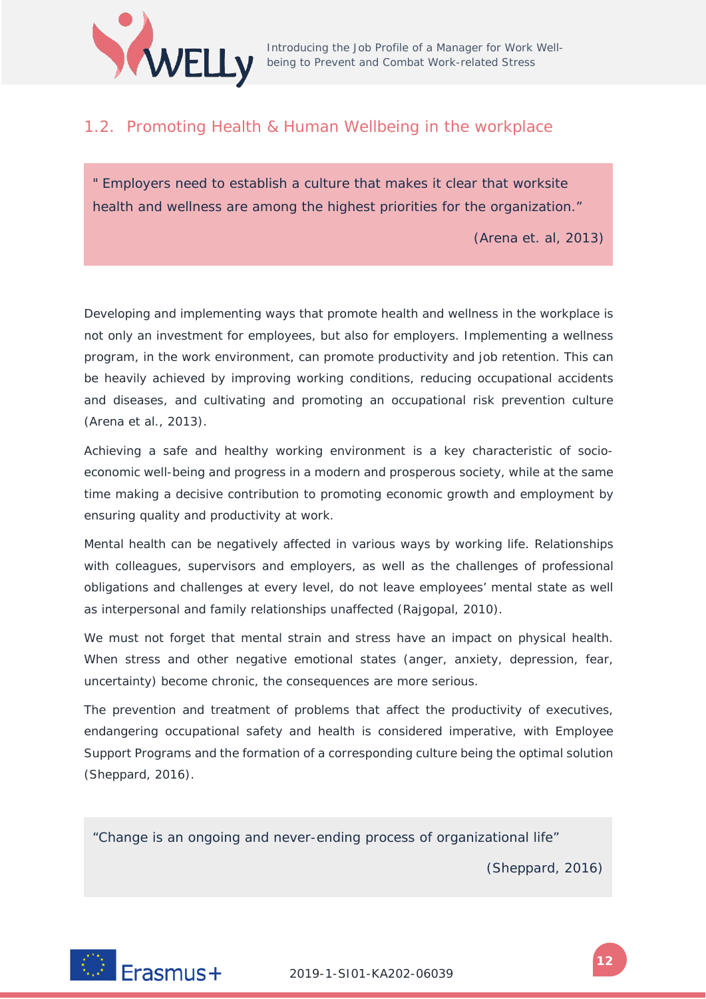

# <span id="page-11-0"></span>1.2. Promoting Health & Human Wellbeing in the workplace

" *Employers need to establish a culture that makes it clear that worksite health and wellness are among the highest priorities for the organization."* 

(Arena et. al, 2013)

Developing and implementing ways that promote health and wellness in the workplace is not only an investment for employees, but also for employers. Implementing a wellness program, in the work environment, can promote productivity and job retention. This can be heavily achieved by improving working conditions, reducing occupational accidents and diseases, and cultivating and promoting an occupational risk prevention culture (Arena et al., 2013).

Achieving a safe and healthy working environment is a key characteristic of socioeconomic well-being and progress in a modern and prosperous society, while at the same time making a decisive contribution to promoting economic growth and employment by ensuring quality and productivity at work.

Mental health can be negatively affected in various ways by working life. Relationships with colleagues, supervisors and employers, as well as the challenges of professional obligations and challenges at every level, do not leave employees' mental state as well as interpersonal and family relationships unaffected (Rajgopal, 2010).

We must not forget that mental strain and stress have an impact on physical health. When stress and other negative emotional states (anger, anxiety, depression, fear, uncertainty) become chronic, the consequences are more serious.

The prevention and treatment of problems that affect the productivity of executives, endangering occupational safety and health is considered imperative, with Employee Support Programs and the formation of a corresponding culture being the optimal solution (Sheppard, 2016).

*"Change is an ongoing and never-ending process of organizational life"*

(Sheppard, 2016)

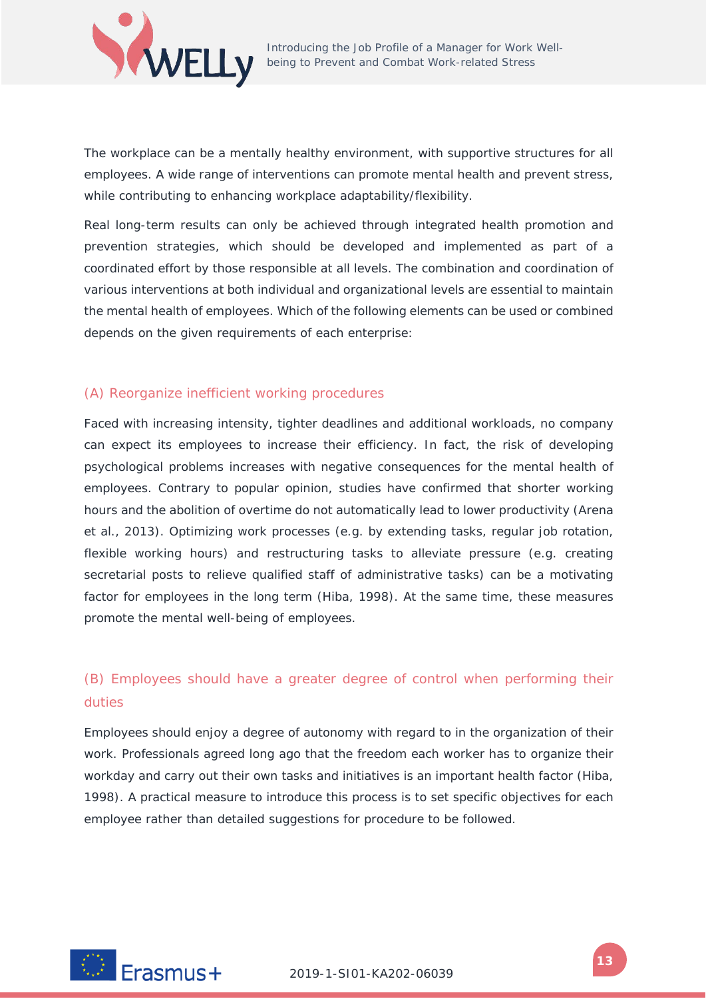

The workplace can be a mentally healthy environment, with supportive structures for all employees. A wide range of interventions can promote mental health and prevent stress, while contributing to enhancing workplace adaptability/flexibility.

Real long-term results can only be achieved through integrated health promotion and prevention strategies, which should be developed and implemented as part of a coordinated effort by those responsible at all levels. The combination and coordination of various interventions at both individual and organizational levels are essential to maintain the mental health of employees. Which of the following elements can be used or combined depends on the given requirements of each enterprise:

# (A) Reorganize inefficient working procedures

Faced with increasing intensity, tighter deadlines and additional workloads, no company can expect its employees to increase their efficiency. In fact, the risk of developing psychological problems increases with negative consequences for the mental health of employees. Contrary to popular opinion, studies have confirmed that shorter working hours and the abolition of overtime do not automatically lead to lower productivity (Arena et al., 2013). Optimizing work processes (e.g. by extending tasks, regular job rotation, flexible working hours) and restructuring tasks to alleviate pressure (e.g. creating secretarial posts to relieve qualified staff of administrative tasks) can be a motivating factor for employees in the long term (Hiba, 1998). At the same time, these measures promote the mental well-being of employees.

# (B) Employees should have a greater degree of control when performing their duties

Employees should enjoy a degree of autonomy with regard to in the organization of their work. Professionals agreed long ago that the freedom each worker has to organize their workday and carry out their own tasks and initiatives is an important health factor (Hiba, 1998). A practical measure to introduce this process is to set specific objectives for each employee rather than detailed suggestions for procedure to be followed.

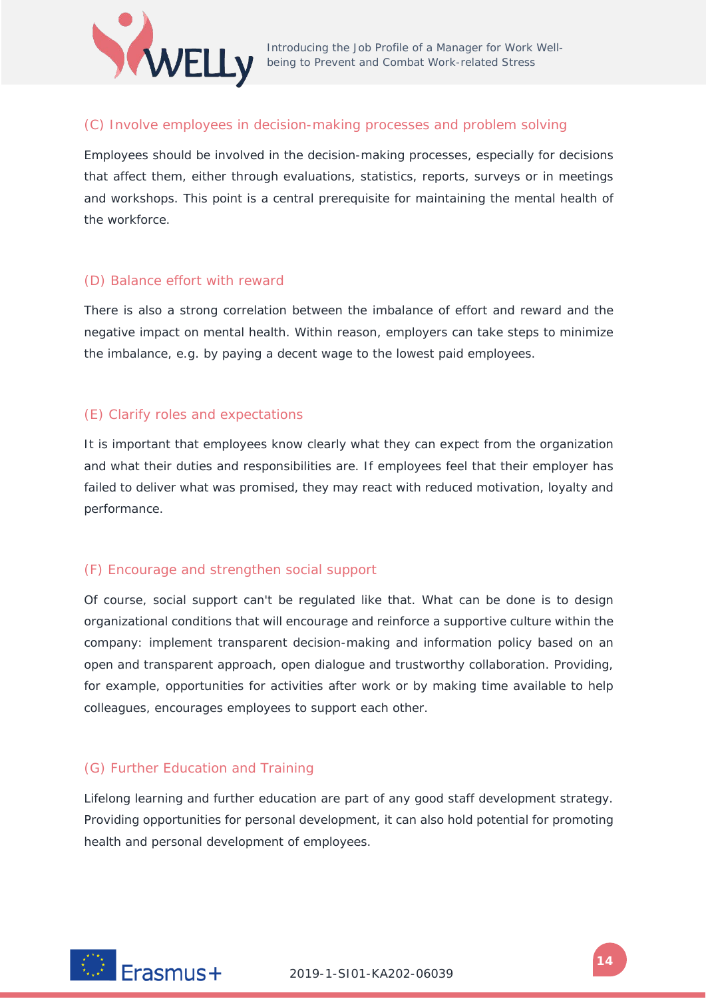

# (C) Involve employees in decision-making processes and problem solving

Employees should be involved in the decision-making processes, especially for decisions that affect them, either through evaluations, statistics, reports, surveys or in meetings and workshops. This point is a central prerequisite for maintaining the mental health of the workforce.

## (D) Balance effort with reward

There is also a strong correlation between the imbalance of effort and reward and the negative impact on mental health. Within reason, employers can take steps to minimize the imbalance, e.g. by paying a decent wage to the lowest paid employees.

## (E) Clarify roles and expectations

It is important that employees know clearly what they can expect from the organization and what their duties and responsibilities are. If employees feel that their employer has failed to deliver what was promised, they may react with reduced motivation, loyalty and performance.

# (F) Encourage and strengthen social support

Of course, social support can't be regulated like that. What can be done is to design organizational conditions that will encourage and reinforce a supportive culture within the company: implement transparent decision-making and information policy based on an open and transparent approach, open dialogue and trustworthy collaboration. Providing, for example, opportunities for activities after work or by making time available to help colleagues, encourages employees to support each other.

# (G) Further Education and Training

Lifelong learning and further education are part of any good staff development strategy. Providing opportunities for personal development, it can also hold potential for promoting health and personal development of employees.

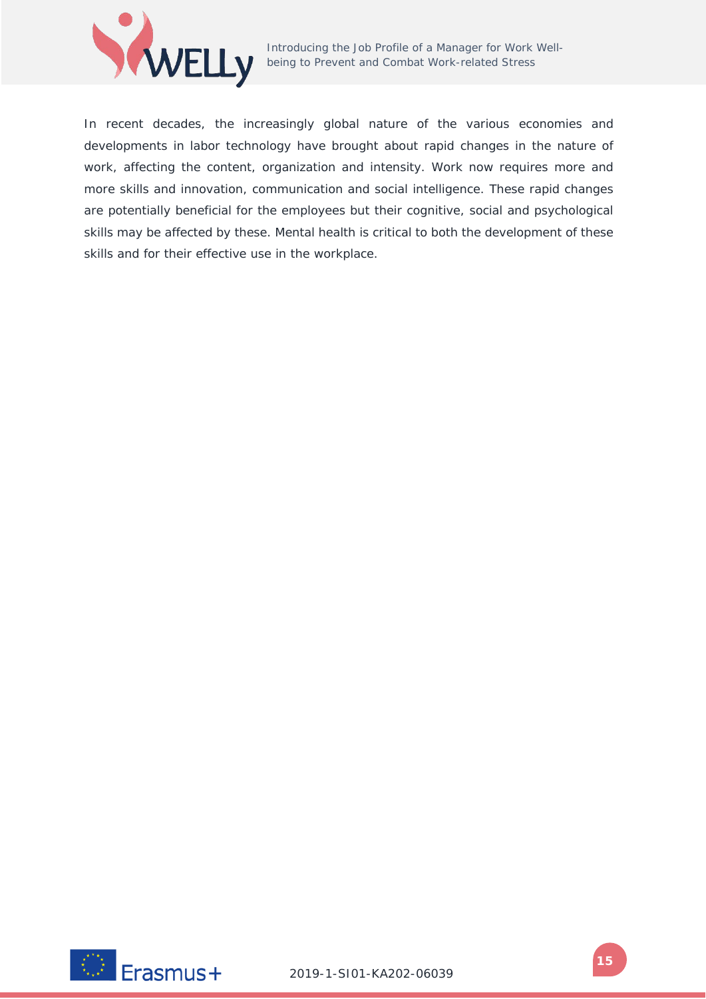

In recent decades, the increasingly global nature of the various economies and developments in labor technology have brought about rapid changes in the nature of work, affecting the content, organization and intensity. Work now requires more and more skills and innovation, communication and social intelligence. These rapid changes are potentially beneficial for the employees but their cognitive, social and psychological skills may be affected by these. Mental health is critical to both the development of these skills and for their effective use in the workplace.

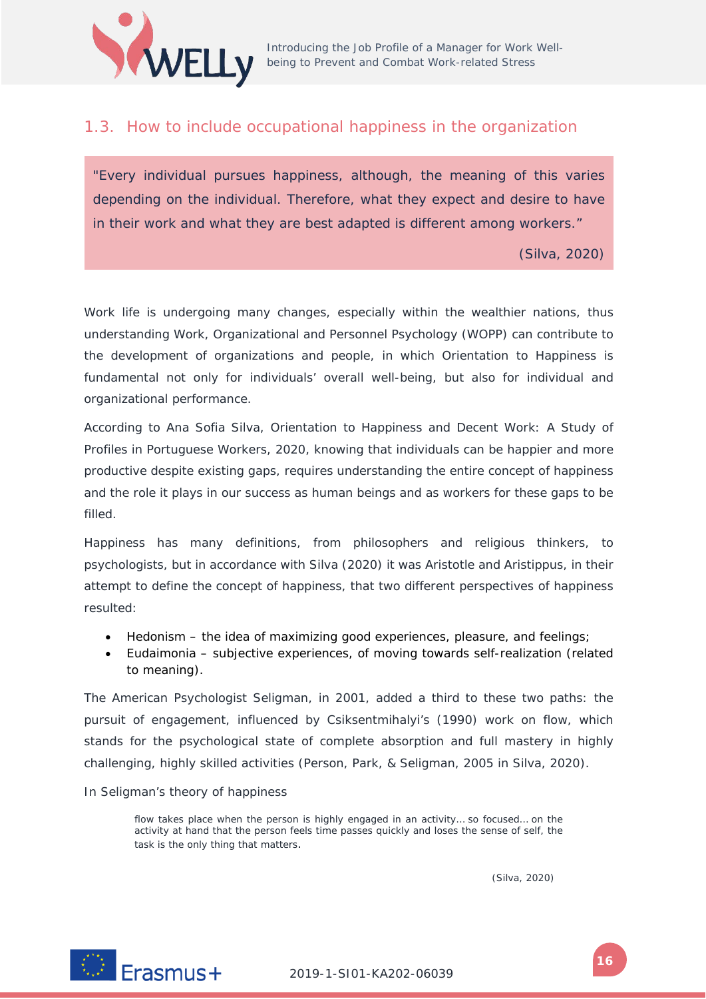

# <span id="page-15-0"></span>1.3. How to include occupational happiness in the organization

"*Every individual pursues happiness, although, the meaning of this varies depending on the individual. Therefore, what they expect and desire to have in their work and what they are best adapted is different among workers."* 

(Silva, 2020)

Work life is undergoing many changes, especially within the wealthier nations, thus understanding Work, Organizational and Personnel Psychology (WOPP) can contribute to the development of organizations and people, in which Orientation to Happiness is fundamental not only for individuals' overall well-being, but also for individual and organizational performance.

According to Ana Sofia Silva, *Orientation to Happiness and Decent Work: A Study of Profiles in Portuguese Workers*, 2020, knowing that individuals can be happier and more productive despite existing gaps, requires understanding the entire concept of happiness and the role it plays in our success as human beings and as workers for these gaps to be filled.

Happiness has many definitions, from philosophers and religious thinkers, to psychologists, but in accordance with Silva (2020) it was Aristotle and Aristippus, in their attempt to define the concept of happiness, that two different perspectives of happiness resulted:

- Hedonism the idea of maximizing good experiences, pleasure, and feelings;
- Eudaimonia subjective experiences, of moving towards self-realization (related to meaning).

The American Psychologist Seligman, in 2001, added a third to these two paths: the pursuit of engagement, influenced by Csiksentmihalyi's (1990) work on flow, which *stands for the psychological state of complete absorption and full mastery in highly challenging, highly skilled activities* (Person, Park, & Seligman, 2005 in Silva, 2020).

In Seligman's theory of happiness

*flow takes place when the person is highly engaged in an activity... so focused... on the activity at hand that the person feels time passes quickly and loses the sense of self, the task is the only thing that matters.*

(Silva, 2020)

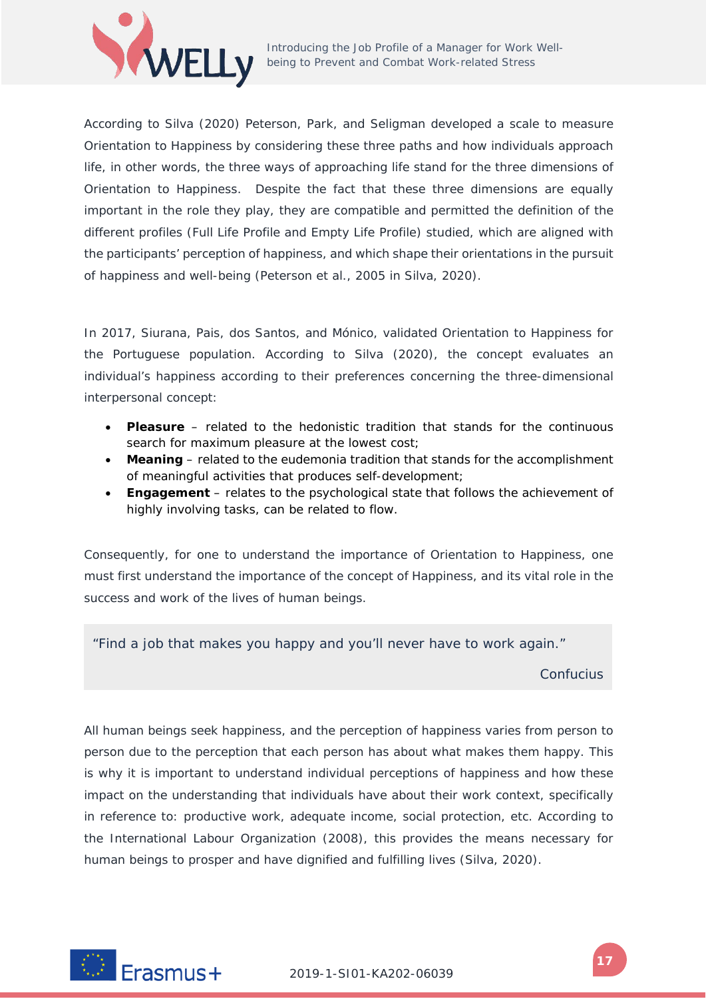

According to Silva (2020) Peterson, Park, and Seligman developed a scale to measure Orientation to Happiness by considering these three paths and how individuals approach life, in other words, the three ways of approaching life stand for the three dimensions of Orientation to Happiness. Despite the fact that these three dimensions are equally important in the role they play, they are compatible and permitted the definition of the different profiles (Full Life Profile and Empty Life Profile) studied, which are aligned with the participants' perception of happiness, and which shape their orientations in the pursuit of happiness and well-being (Peterson et al., 2005 in Silva, 2020).

In 2017, Siurana, Pais, dos Santos, and Mónico, validated Orientation to Happiness for the Portuguese population. According to Silva (2020), the concept evaluates an individual's happiness according to their preferences concerning the three-dimensional interpersonal concept:

- **Pleasure** related to the hedonistic tradition that stands for the continuous search for maximum pleasure at the lowest cost;
- **Meaning** related to the eudemonia tradition that stands for the accomplishment of meaningful activities that produces self-development;
- **Engagement**  relates to the psychological state that follows the achievement of highly involving tasks, can be related to flow.

Consequently, for one to understand the importance of Orientation to Happiness, one must first understand the importance of the concept of Happiness, and its vital role in the success and work of the lives of human beings.

*"Find a job that makes you happy and you'll never have to work again."* 

*Confucius*

All human beings seek happiness, and the perception of happiness varies from person to person due to the perception that each person has about what makes them happy. This is why it is important to understand individual perceptions of happiness and how these impact on the understanding that individuals have about their work context, specifically in reference to: productive work, adequate income, social protection, etc. According to the International Labour Organization (2008), this provides the means necessary for human beings to prosper and have dignified and fulfilling lives (Silva, 2020).

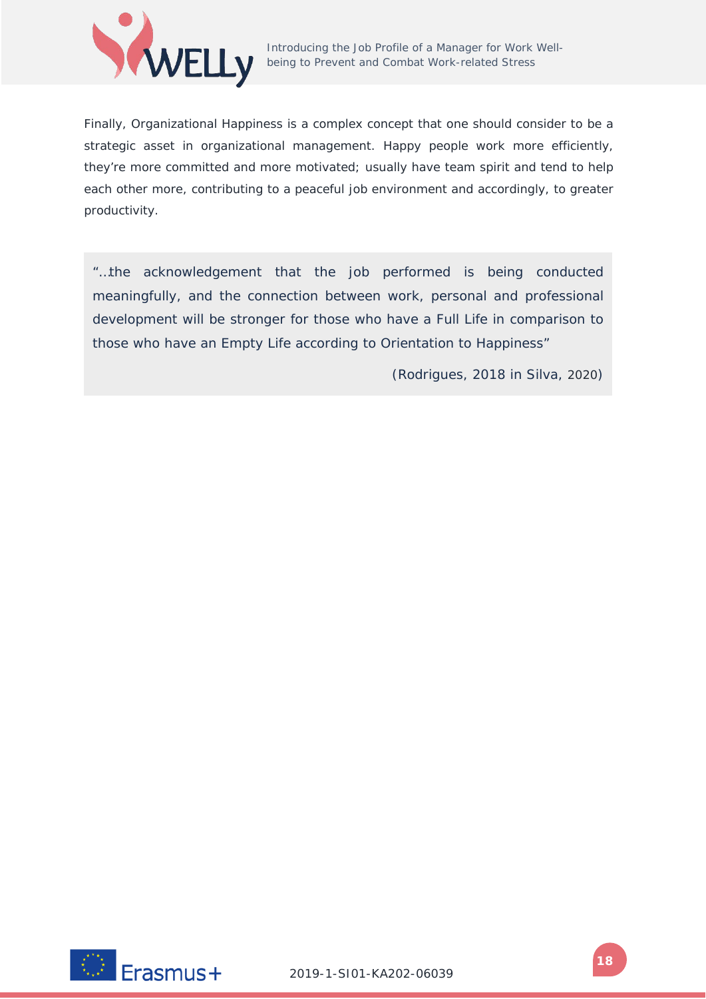

Finally, Organizational Happiness is a complex concept that one should consider to be a strategic asset in organizational management. Happy people work more efficiently, they're more committed and more motivated; usually have team spirit and tend to help each other more, contributing to a peaceful job environment and accordingly, to greater productivity.

*"…the acknowledgement that the job performed is being conducted meaningfully, and the connection between work, personal and professional development will be stronger for those who have a Full Life in comparison to those who have an Empty Life according to Orientation to Happiness"*

(Rodrigues, 2018 in Silva, 2020)

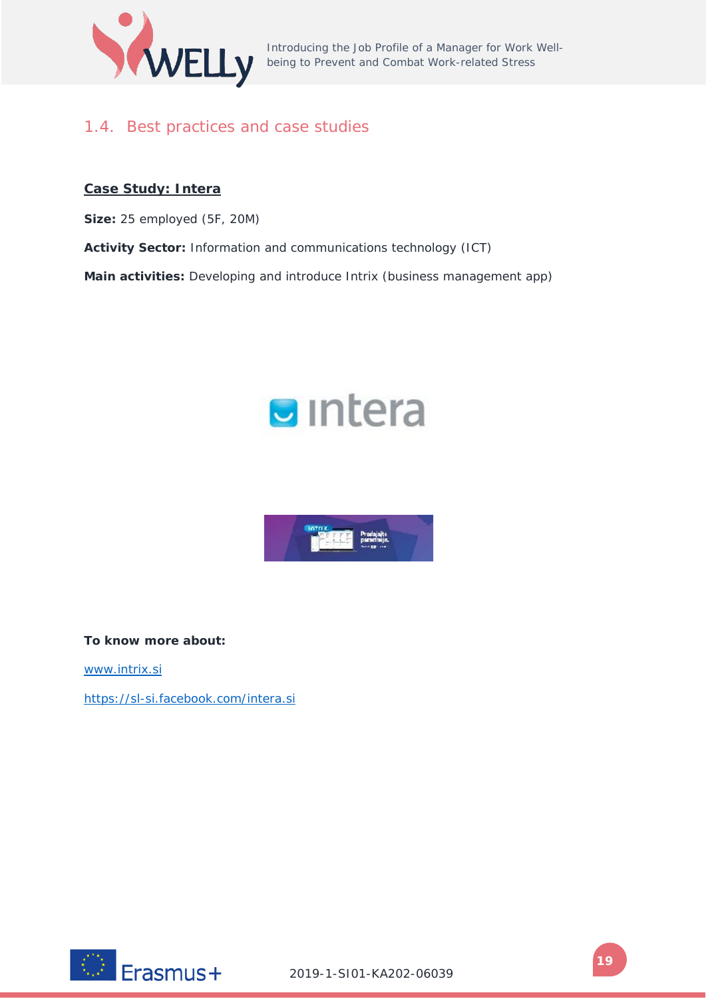

Introducing the Job Profile of a Manager for Work Wellbeing to Prevent and Combat Work-related Stress

# <span id="page-18-0"></span>1.4. Best practices and case studies

# **Case Study: Intera**

**Size:** 25 employed (5F, 20M)

**Activity Sector:** Information and communications technology (ICT)

**Main activities:** Developing and introduce Intrix (business management app)





**To know more about:**

[www.intrix.si](http://www.intrix.si/)

<https://sl-si.facebook.com/intera.si>

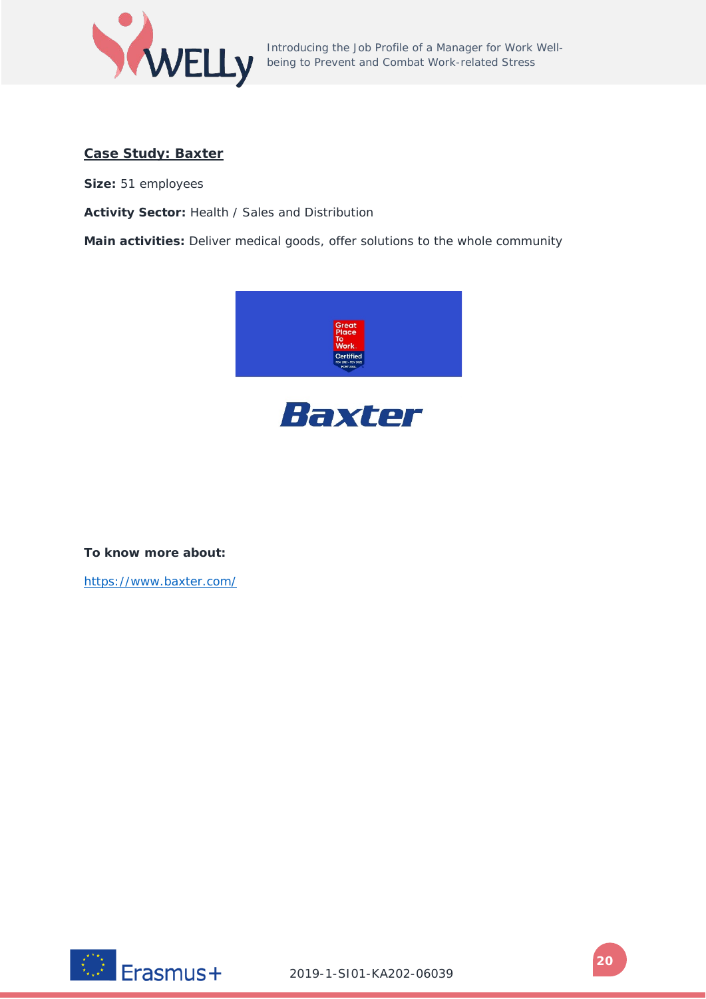

Introducing the Job Profile of a Manager for Work Wellbeing to Prevent and Combat Work-related Stress

# **Case Study: Baxter**

**Size:** 51 employees

**Activity Sector:** Health / Sales and Distribution

**Main activities:** Deliver medical goods, offer solutions to the whole community





**To know more about:**

<https://www.baxter.com/>

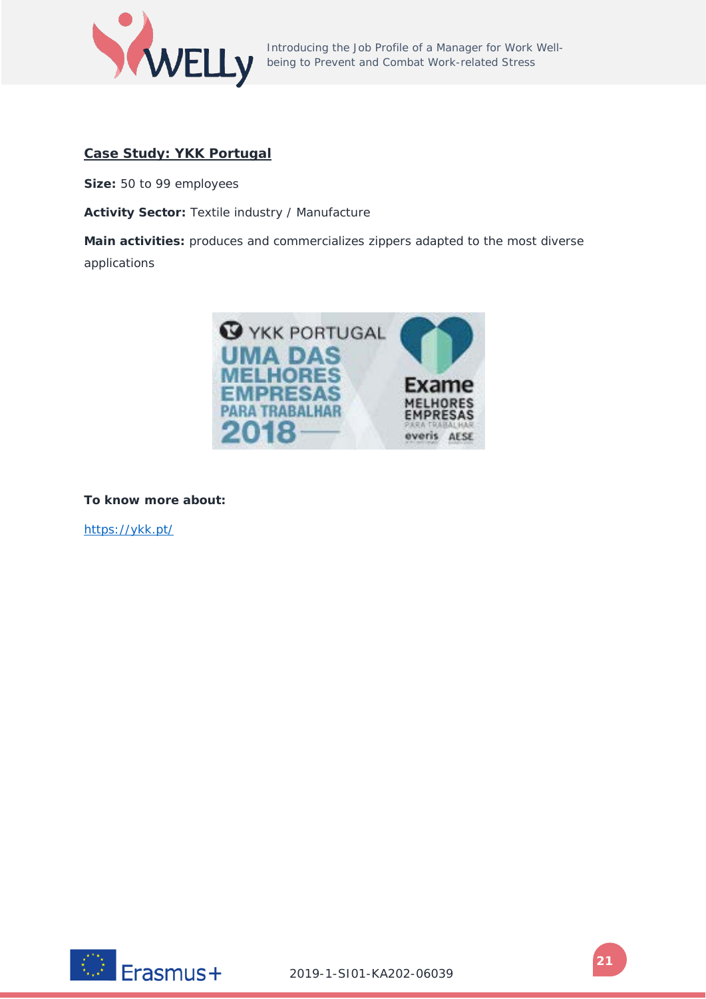

# **Case Study: YKK Portugal**

**Size:** 50 to 99 employees

**Activity Sector:** Textile industry / Manufacture

**Main activities:** produces and commercializes zippers adapted to the most diverse applications



**To know more about:**

<https://ykk.pt/>

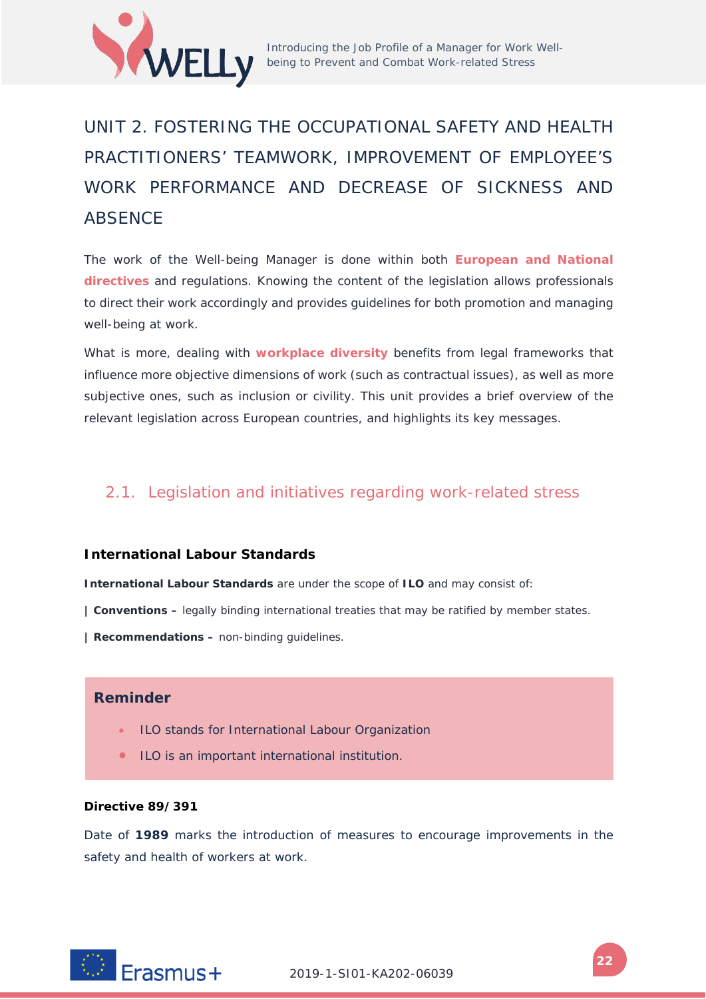

# <span id="page-21-0"></span>UNIT 2. FOSTERING THE OCCUPATIONAL SAFETY AND HEALTH PRACTITIONERS' TEAMWORK, IMPROVEMENT OF EMPLOYEE'S WORK PERFORMANCE AND DECREASE OF SICKNESS AND **ABSENCE**

The work of the Well-being Manager is done within both **European and National directives** and regulations. Knowing the content of the legislation allows professionals to direct their work accordingly and provides guidelines for both promotion and managing well-being at work.

What is more, dealing with **workplace diversity** benefits from legal frameworks that influence more objective dimensions of work (such as contractual issues), as well as more subjective ones, such as inclusion or civility. This unit provides a brief overview of the relevant legislation across European countries, and highlights its key messages.

# <span id="page-21-1"></span>2.1. Legislation and initiatives regarding work-related stress

## **International Labour Standards**

**International Labour Standards** are under the scope of **ILO** and may consist of:

**| Conventions –** legally binding international treaties that may be ratified by member states.

**| Recommendations –** non-binding guidelines.

# **Reminder**

- ILO stands for International Labour Organization
- ILO is an important international institution.

#### **Directive 89/391**

Date of **1989** marks the introduction of measures to encourage improvements in the safety and health of workers at work.

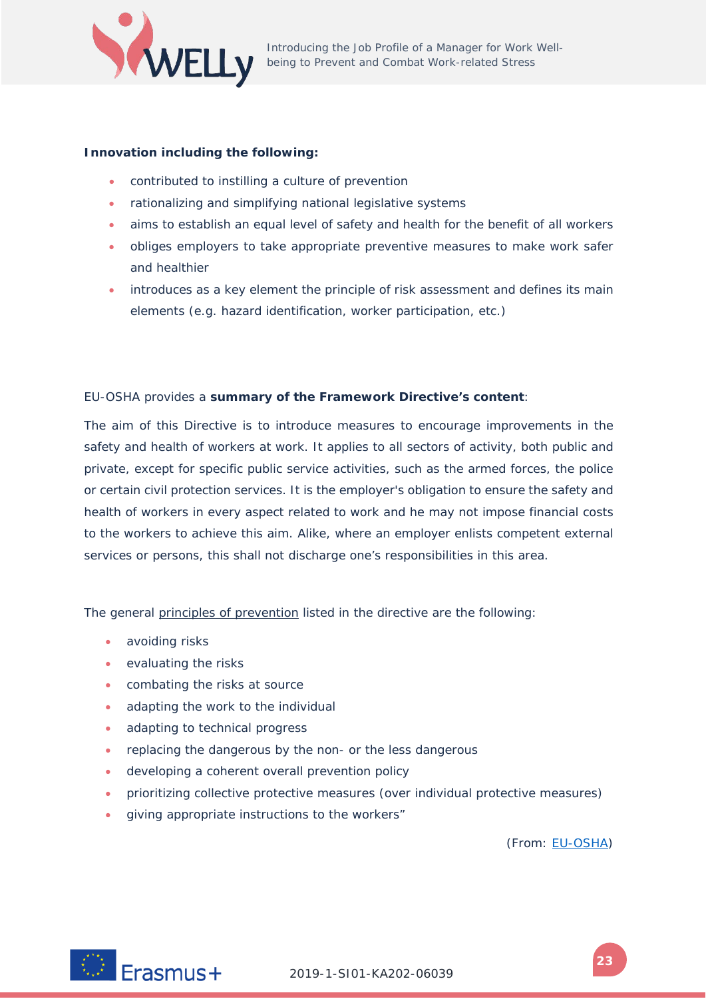

#### **Innovation including the following:**

- contributed to instilling a culture of prevention
- rationalizing and simplifying national legislative systems
- aims to establish an equal level of safety and health for the benefit of all workers
- obliges employers to take appropriate preventive measures to make work safer and healthier
- introduces as a key element the principle of risk assessment and defines its main elements (e.g. hazard identification, worker participation, etc.)

#### EU-OSHA provides a **summary of the Framework Directive's content**:

The aim of this Directive is to introduce measures to encourage improvements in the safety and health of workers at work. It applies to all sectors of activity, both public and private, except for specific public service activities, such as the armed forces, the police or certain civil protection services. It is the employer's obligation to ensure the safety and health of workers in every aspect related to work and he may not impose financial costs to the workers to achieve this aim. Alike, where an employer enlists competent external services or persons, this shall not discharge one's responsibilities in this area.

The general principles of prevention listed in the directive are the following:

- avoiding risks
- evaluating the risks
- combating the risks at source
- adapting the work to the individual
- adapting to technical progress
- replacing the dangerous by the non- or the less dangerous
- developing a coherent overall prevention policy
- prioritizing collective protective measures (over individual protective measures)
- giving appropriate instructions to the workers"

(From: [EU-OSHA\)](https://osha.europa.eu/pt/legislation/directives/the-osh-framework-directive/1)

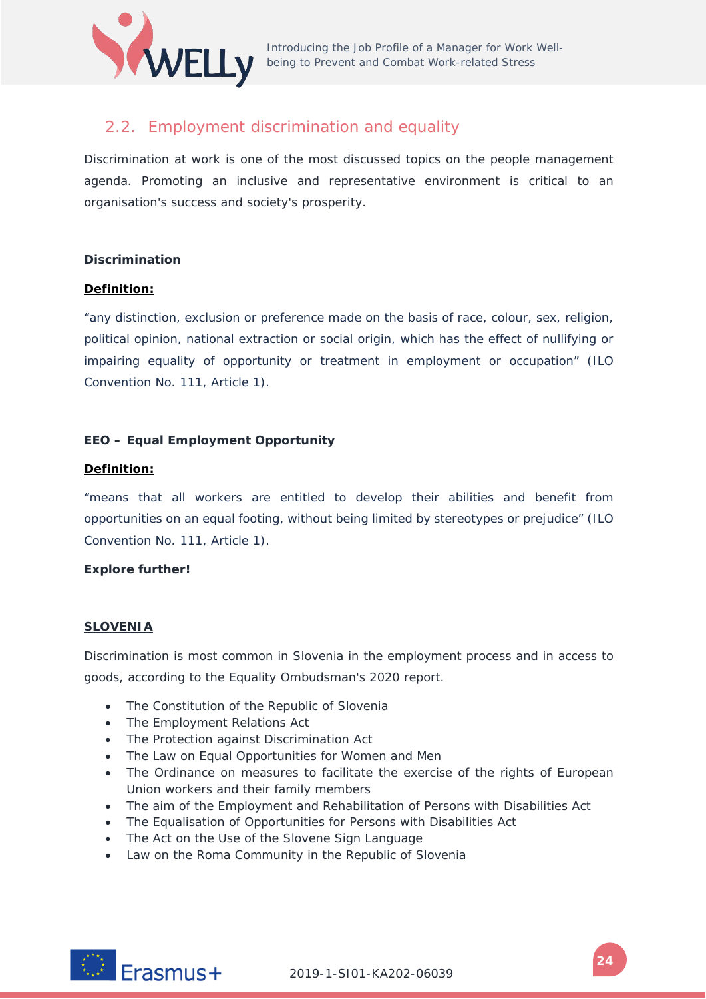

# <span id="page-23-0"></span>2.2. Employment discrimination and equality

Discrimination at work is one of the most discussed topics on the people management agenda. Promoting an inclusive and representative environment is critical to an organisation's success and society's prosperity.

#### **Discrimination**

#### **Definition:**

"any distinction, exclusion or preference made on the basis of race, colour, sex, religion, political opinion, national extraction or social origin, which has the effect of nullifying or impairing equality of opportunity or treatment in employment or occupation" (ILO Convention No. 111, Article 1).

## **EEO – Equal Employment Opportunity**

#### **Definition:**

"means that all workers are entitled to develop their abilities and benefit from opportunities on an equal footing, without being limited by stereotypes or prejudice" (ILO Convention No. 111, Article 1).

## **Explore further!**

#### **SLOVENIA**

Discrimination is most common in Slovenia in the employment process and in access to goods, according to the Equality Ombudsman's 2020 report.

- The Constitution of the Republic of Slovenia
- The Employment Relations Act
- The Protection against Discrimination Act
- The Law on Equal Opportunities for Women and Men
- The Ordinance on measures to facilitate the exercise of the rights of European Union workers and their family members
- The aim of the Employment and Rehabilitation of Persons with Disabilities Act
- The Equalisation of Opportunities for Persons with Disabilities Act
- The Act on the Use of the Slovene Sign Language
- Law on the Roma Community in the Republic of Slovenia

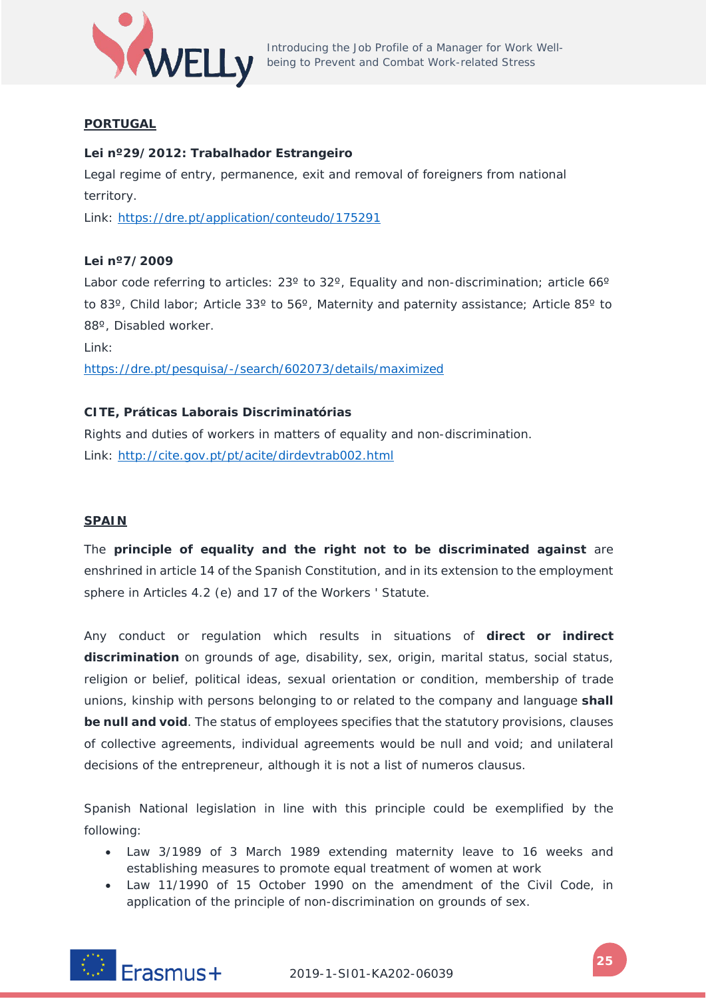

# **PORTUGAL**

# **Lei nº29/2012: Trabalhador Estrangeiro**

Legal regime of entry, permanence, exit and removal of foreigners from national territory.

Link:<https://dre.pt/application/conteudo/175291>

## **Lei nº7/2009**

Labor code referring to articles: 23° to 32°, Equality and non-discrimination; article 66° to 83º, Child labor; Article 33º to 56º, Maternity and paternity assistance; Article 85º to 88º, Disabled worker.

Link:

<https://dre.pt/pesquisa/-/search/602073/details/maximized>

# **CITE, Práticas Laborais Discriminatórias**

Rights and duties of workers in matters of equality and non-discrimination. Link:<http://cite.gov.pt/pt/acite/dirdevtrab002.html>

## **SPAIN**

The **principle of equality and the right not to be discriminated against** are enshrined in article 14 of the Spanish Constitution, and in its extension to the employment sphere in Articles 4.2 (e) and 17 of the Workers ' Statute.

Any conduct or regulation which results in situations of **direct or indirect discrimination** on grounds of age, disability, sex, origin, marital status, social status, religion or belief, political ideas, sexual orientation or condition, membership of trade unions, kinship with persons belonging to or related to the company and language **shall be null and void**. The status of employees specifies that the statutory provisions, clauses of collective agreements, individual agreements would be null and void; and unilateral decisions of the entrepreneur, although it is not a list of *numeros clausus*.

Spanish National legislation in line with this principle could be exemplified by the following:

- Law 3/1989 of 3 March 1989 extending maternity leave to 16 weeks and establishing measures to promote equal treatment of women at work
- Law 11/1990 of 15 October 1990 on the amendment of the Civil Code, in application of the principle of non-discrimination on grounds of sex.

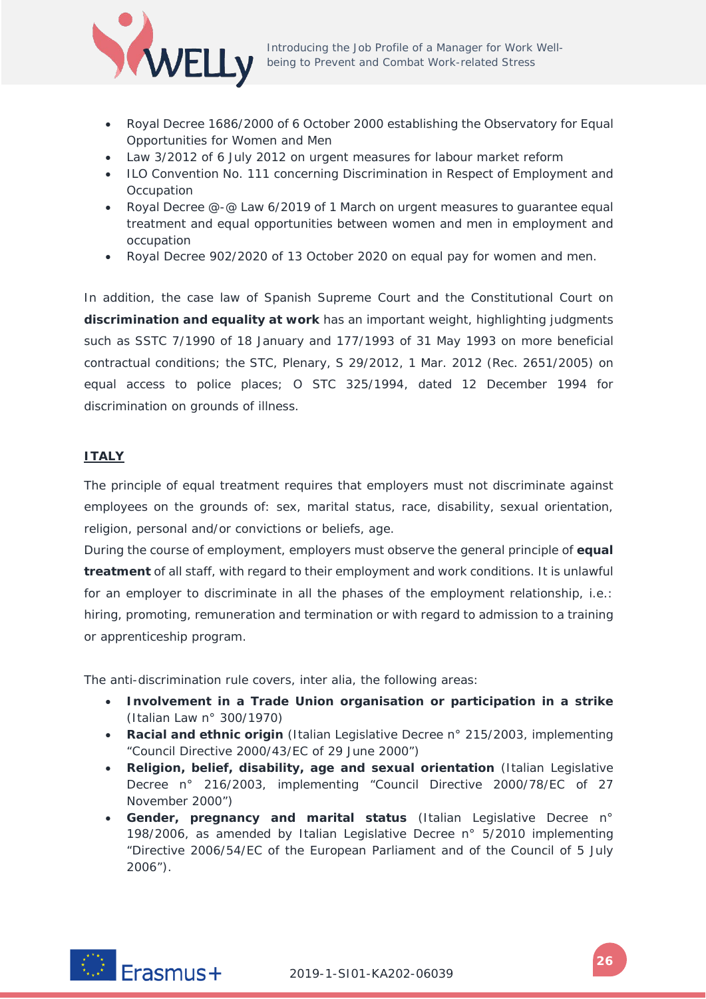

- Royal Decree 1686/2000 of 6 October 2000 establishing the Observatory for Equal Opportunities for Women and Men
- Law 3/2012 of 6 July 2012 on urgent measures for labour market reform
- ILO Convention No. 111 concerning Discrimination in Respect of Employment and **Occupation**
- Royal Decree @-@ Law 6/2019 of 1 March on urgent measures to guarantee equal treatment and equal opportunities between women and men in employment and occupation
- Royal Decree 902/2020 of 13 October 2020 on equal pay for women and men.

In addition, the case law of Spanish Supreme Court and the Constitutional Court on **discrimination and equality at work** has an important weight, highlighting judgments such as SSTC 7/1990 of 18 January and 177/1993 of 31 May 1993 on more beneficial contractual conditions; the STC, Plenary, S 29/2012, 1 Mar. 2012 (Rec. 2651/2005) on equal access to police places; O STC 325/1994, dated 12 December 1994 for discrimination on grounds of illness.

## **ITALY**

The principle of equal treatment requires that employers must not discriminate against employees on the grounds of: sex, marital status, race, disability, sexual orientation, religion, personal and/or convictions or beliefs, age.

During the course of employment, employers must observe the general principle of **equal treatment** of all staff, with regard to their employment and work conditions. It is unlawful for an employer to discriminate in all the phases of the employment relationship, i.e.: hiring, promoting, remuneration and termination or with regard to admission to a training or apprenticeship program.

The anti-discrimination rule covers, *inter alia*, the following areas:

- **Involvement in a Trade Union organisation or participation in a strike** (Italian Law n° 300/1970)
- **Racial and ethnic origin** (Italian Legislative Decree n° 215/2003, implementing "Council Directive 2000/43/EC of 29 June 2000")
- **Religion, belief, disability, age and sexual orientation** (Italian Legislative Decree n° 216/2003, implementing "Council Directive 2000/78/EC of 27 November 2000")
- **Gender, pregnancy and marital status** (Italian Legislative Decree n° 198/2006, as amended by Italian Legislative Decree n° 5/2010 implementing "Directive 2006/54/EC of the European Parliament and of the Council of 5 July 2006").

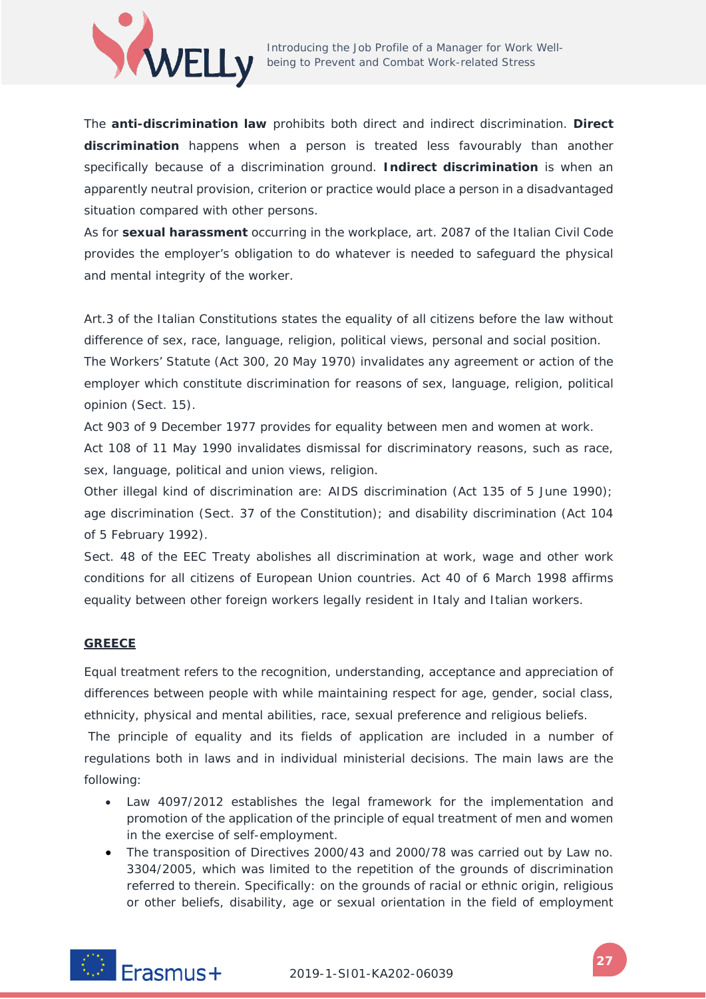

The **anti-discrimination law** prohibits both direct and indirect discrimination. **Direct discrimination** happens when a person is treated less favourably than another specifically because of a discrimination ground. **Indirect discrimination** is when an apparently neutral provision, criterion or practice would place a person in a disadvantaged situation compared with other persons.

As for **sexual harassment** occurring in the workplace, art. 2087 of the Italian Civil Code provides the employer's obligation to do whatever is needed to safeguard the physical and mental integrity of the worker.

Art.3 of the Italian Constitutions states the equality of all citizens before the law without difference of sex, race, language, religion, political views, personal and social position. The Workers' Statute (Act 300, 20 May 1970) invalidates any agreement or action of the employer which constitute discrimination for reasons of sex, language, religion, political opinion (Sect. 15).

Act 903 of 9 December 1977 provides for equality between men and women at work. Act 108 of 11 May 1990 invalidates dismissal for discriminatory reasons, such as race, sex, language, political and union views, religion.

Other illegal kind of discrimination are: AIDS discrimination (Act 135 of 5 June 1990); age discrimination (Sect. 37 of the Constitution); and disability discrimination (Act 104 of 5 February 1992).

Sect. 48 of the EEC Treaty abolishes all discrimination at work, wage and other work conditions for all citizens of European Union countries. Act 40 of 6 March 1998 affirms equality between other foreign workers legally resident in Italy and Italian workers.

## **GREECE**

Equal treatment refers to the recognition, understanding, acceptance and appreciation of differences between people with while maintaining respect for age, gender, social class, ethnicity, physical and mental abilities, race, sexual preference and religious beliefs.

The principle of equality and its fields of application are included in a number of regulations both in laws and in individual ministerial decisions. The main laws are the following:

- Law 4097/2012 establishes the legal framework for the implementation and promotion of the application of the principle of equal treatment of men and women in the exercise of self-employment.
- The transposition of Directives 2000/43 and 2000/78 was carried out by Law no. 3304/2005, which was limited to the repetition of the grounds of discrimination referred to therein. Specifically: on the grounds of racial or ethnic origin, religious or other beliefs, disability, age or sexual orientation in the field of employment

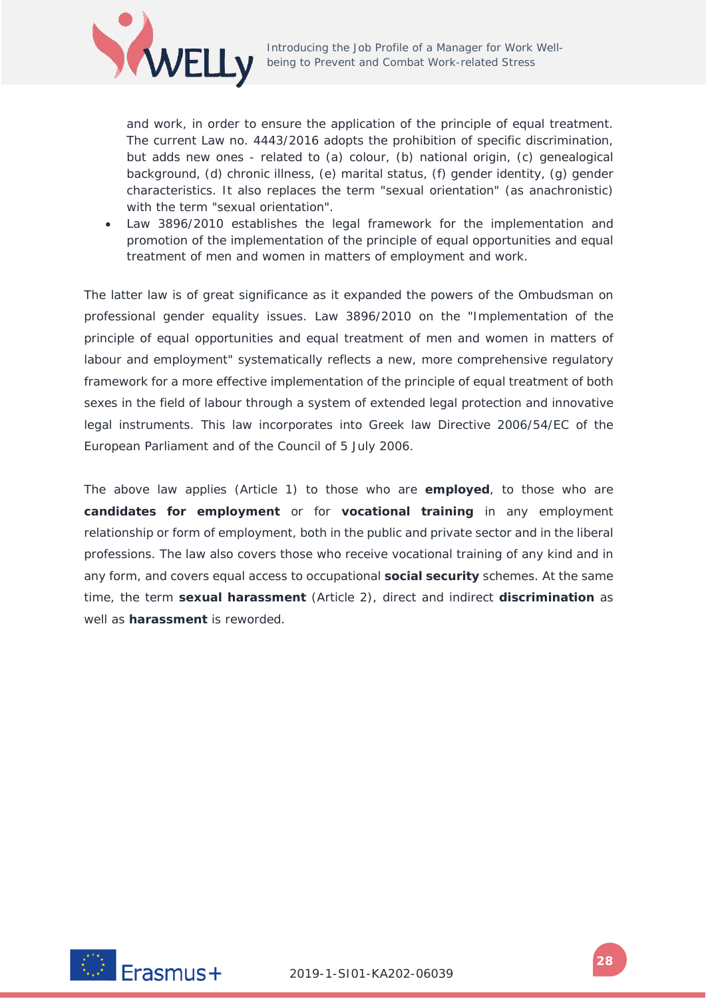

and work, in order to ensure the application of the principle of equal treatment. The current Law no. 4443/2016 adopts the prohibition of specific discrimination, but adds new ones - related to (a) colour, (b) national origin, (c) genealogical background, (d) chronic illness, (e) marital status, (f) gender identity, (g) gender characteristics. It also replaces the term "sexual orientation" (as anachronistic) with the term "sexual orientation".

• Law 3896/2010 establishes the legal framework for the implementation and promotion of the implementation of the principle of equal opportunities and equal treatment of men and women in matters of employment and work.

The latter law is of great significance as it expanded the powers of the Ombudsman on professional gender equality issues. Law 3896/2010 on the "Implementation of the principle of equal opportunities and equal treatment of men and women in matters of labour and employment" systematically reflects a new, more comprehensive regulatory framework for a more effective implementation of the principle of equal treatment of both sexes in the field of labour through a system of extended legal protection and innovative legal instruments. This law incorporates into Greek law Directive 2006/54/EC of the European Parliament and of the Council of 5 July 2006.

The above law applies (Article 1) to those who are **employed**, to those who are **candidates for employment** or for **vocational training** in any employment relationship or form of employment, both in the public and private sector and in the liberal professions. The law also covers those who receive vocational training of any kind and in any form, and covers equal access to occupational **social security** schemes. At the same time, the term **sexual harassment** (Article 2), direct and indirect **discrimination** as well as **harassment** is reworded.

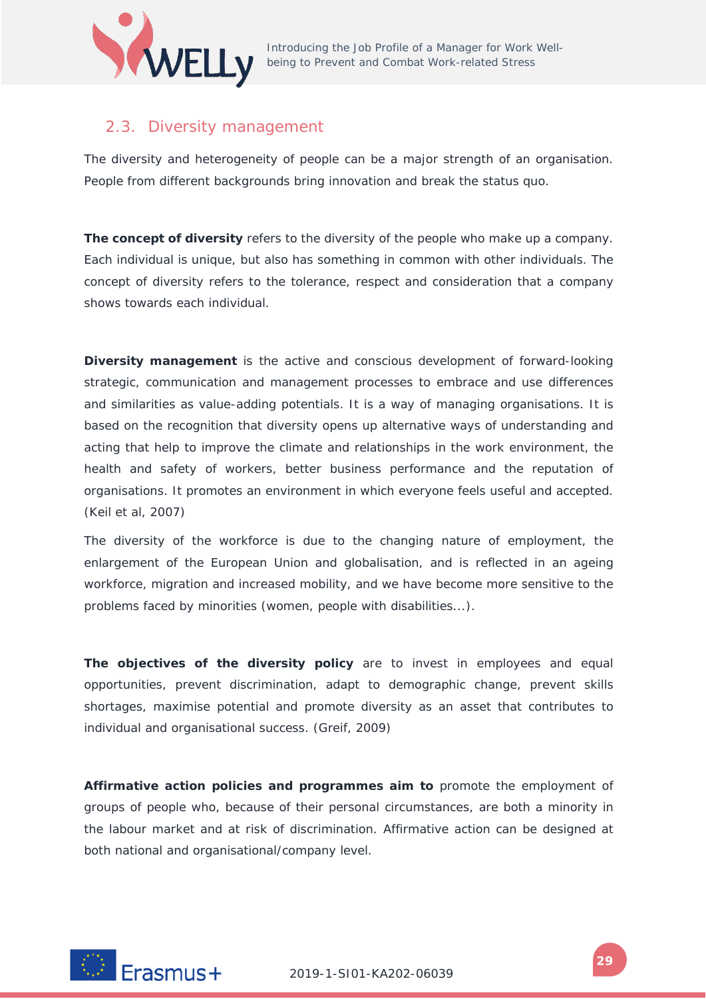

# <span id="page-28-0"></span>2.3. Diversity management

The diversity and heterogeneity of people can be a major strength of an organisation. People from different backgrounds bring innovation and break the status quo.

**The concept of diversity** refers to the diversity of the people who make up a company. Each individual is unique, but also has something in common with other individuals. The concept of diversity refers to the tolerance, respect and consideration that a company shows towards each individual.

**Diversity management** is the active and conscious development of forward-looking strategic, communication and management processes to embrace and use differences and similarities as value-adding potentials. It is a way of managing organisations. It is based on the recognition that diversity opens up alternative ways of understanding and acting that help to improve the climate and relationships in the work environment, the health and safety of workers, better business performance and the reputation of organisations. It promotes an environment in which everyone feels useful and accepted. (Keil et al, 2007)

The diversity of the workforce is due to the changing nature of employment, the enlargement of the European Union and globalisation, and is reflected in an ageing workforce, migration and increased mobility, and we have become more sensitive to the problems faced by minorities (women, people with disabilities...).

**The objectives of the diversity policy** are to invest in employees and equal opportunities, prevent discrimination, adapt to demographic change, prevent skills shortages, maximise potential and promote diversity as an asset that contributes to individual and organisational success. (Greif, 2009)

**Affirmative action policies and programmes aim to** promote the employment of groups of people who, because of their personal circumstances, are both a minority in the labour market and at risk of discrimination. Affirmative action can be designed at both national and organisational/company level.

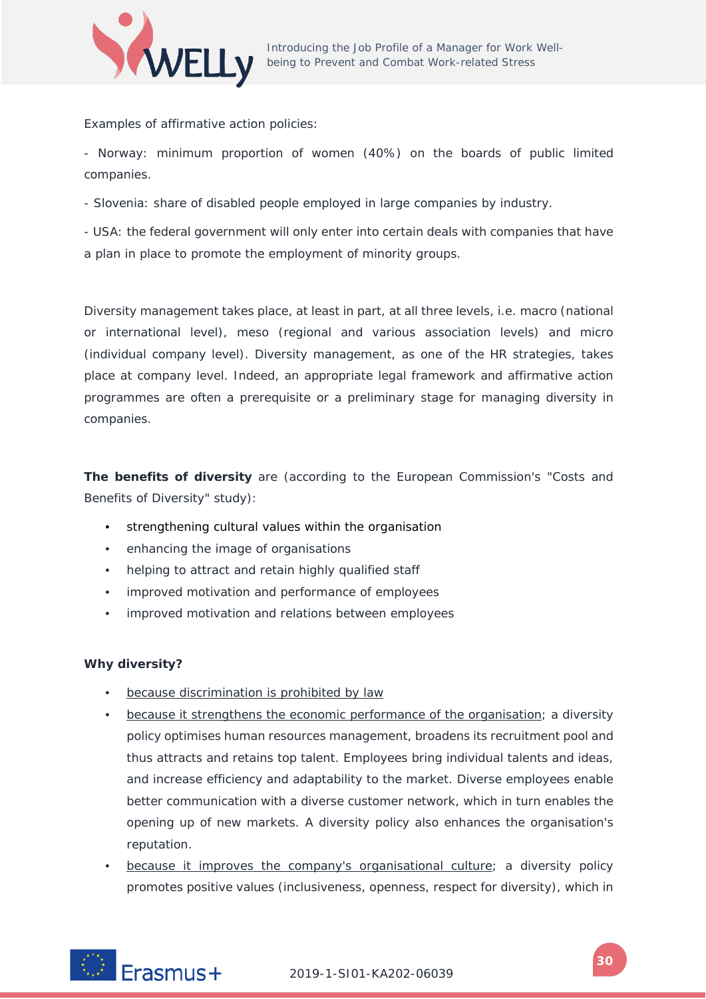

Examples of affirmative action policies:

- Norway: minimum proportion of women (40%) on the boards of public limited companies.

- Slovenia: share of disabled people employed in large companies by industry.

- USA: the federal government will only enter into certain deals with companies that have a plan in place to promote the employment of minority groups.

Diversity management takes place, at least in part, at all three levels, i.e. macro (national or international level), meso (regional and various association levels) and micro (individual company level). Diversity management, as one of the HR strategies, takes place at company level. Indeed, an appropriate legal framework and affirmative action programmes are often a prerequisite or a preliminary stage for managing diversity in companies.

**The benefits of diversity** are (according to the European Commission's "Costs and Benefits of Diversity" study):

- strengthening cultural values within the organisation
- enhancing the image of organisations
- helping to attract and retain highly qualified staff
- improved motivation and performance of employees
- improved motivation and relations between employees

## **Why diversity?**

- because discrimination is prohibited by law
- because it strengthens the economic performance of the organisation; a diversity policy optimises human resources management, broadens its recruitment pool and thus attracts and retains top talent. Employees bring individual talents and ideas, and increase efficiency and adaptability to the market. Diverse employees enable better communication with a diverse customer network, which in turn enables the opening up of new markets. A diversity policy also enhances the organisation's reputation.
- because it improves the company's organisational culture; a diversity policy promotes positive values (inclusiveness, openness, respect for diversity), which in

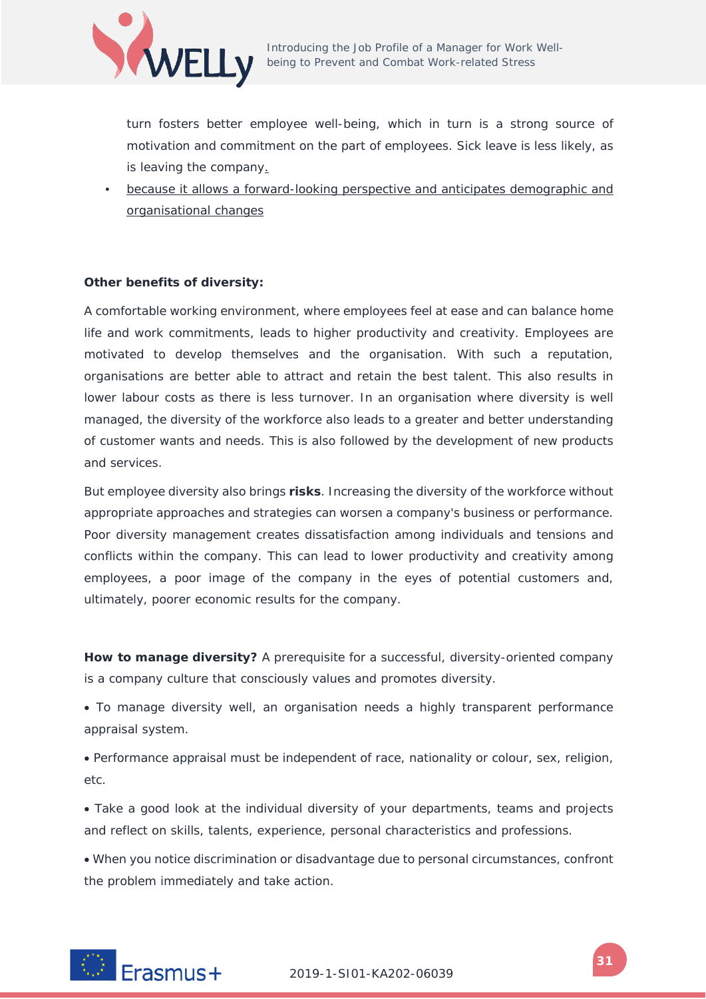

turn fosters better employee well-being, which in turn is a strong source of motivation and commitment on the part of employees. Sick leave is less likely, as is leaving the company.

• because it allows a forward-looking perspective and anticipates demographic and organisational changes

#### **Other benefits of diversity:**

A comfortable working environment, where employees feel at ease and can balance home life and work commitments, leads to higher productivity and creativity. Employees are motivated to develop themselves and the organisation. With such a reputation, organisations are better able to attract and retain the best talent. This also results in lower labour costs as there is less turnover. In an organisation where diversity is well managed, the diversity of the workforce also leads to a greater and better understanding of customer wants and needs. This is also followed by the development of new products and services.

But employee diversity also brings **risks**. Increasing the diversity of the workforce without appropriate approaches and strategies can worsen a company's business or performance. Poor diversity management creates dissatisfaction among individuals and tensions and conflicts within the company. This can lead to lower productivity and creativity among employees, a poor image of the company in the eyes of potential customers and, ultimately, poorer economic results for the company.

**How to manage diversity?** A prerequisite for a successful, diversity-oriented company is a company culture that consciously values and promotes diversity.

• To manage diversity well, an organisation needs a highly transparent performance appraisal system.

• Performance appraisal must be independent of race, nationality or colour, sex, religion, etc.

• Take a good look at the individual diversity of your departments, teams and projects and reflect on skills, talents, experience, personal characteristics and professions.

• When you notice discrimination or disadvantage due to personal circumstances, confront the problem immediately and take action.

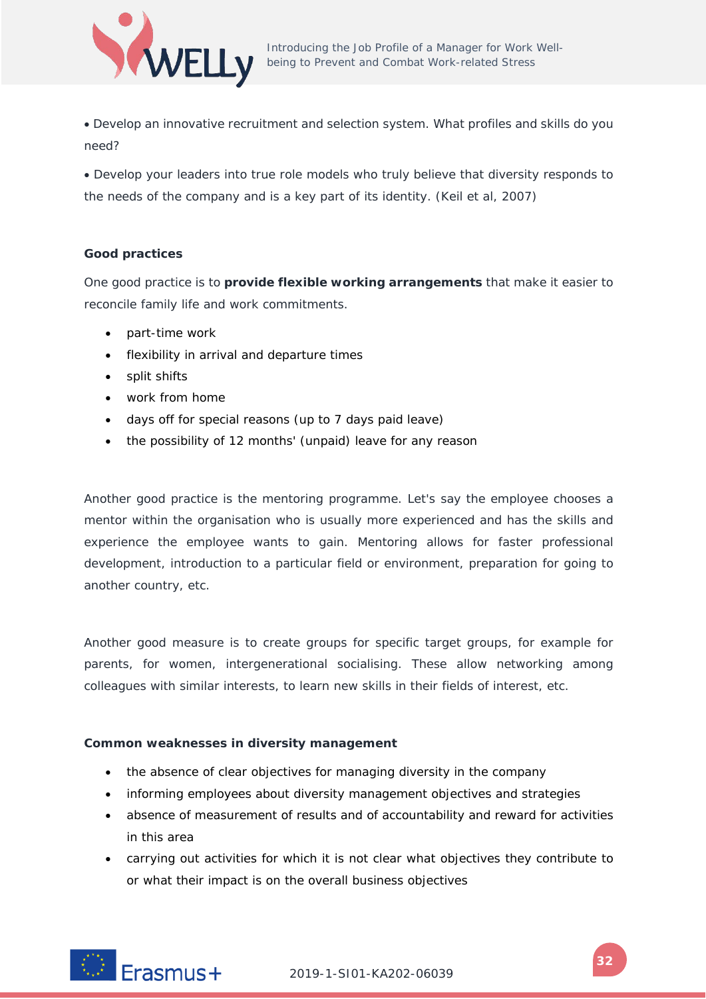

• Develop an innovative recruitment and selection system. What profiles and skills do you need?

• Develop your leaders into true role models who truly believe that diversity responds to the needs of the company and is a key part of its identity. (Keil et al, 2007)

## **Good practices**

One good practice is to **provide flexible working arrangements** that make it easier to reconcile family life and work commitments.

- part-time work
- flexibility in arrival and departure times
- split shifts
- work from home
- days off for special reasons (up to 7 days paid leave)
- the possibility of 12 months' (unpaid) leave for any reason

Another good practice is the mentoring programme. Let's say the employee chooses a mentor within the organisation who is usually more experienced and has the skills and experience the employee wants to gain. Mentoring allows for faster professional development, introduction to a particular field or environment, preparation for going to another country, etc.

Another good measure is to create groups for specific target groups, for example for parents, for women, intergenerational socialising. These allow networking among colleagues with similar interests, to learn new skills in their fields of interest, etc.

## **Common weaknesses in diversity management**

- the absence of clear objectives for managing diversity in the company
- informing employees about diversity management objectives and strategies
- absence of measurement of results and of accountability and reward for activities in this area
- carrying out activities for which it is not clear what objectives they contribute to or what their impact is on the overall business objectives

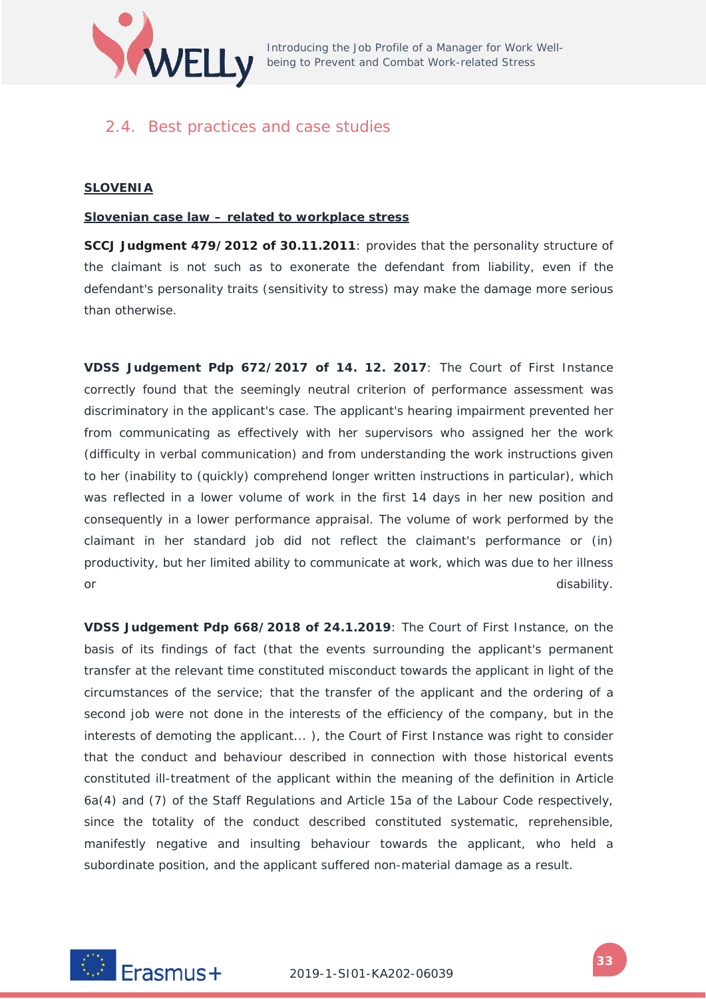

# <span id="page-32-0"></span>2.4. Best practices and case studies

#### **SLOVENIA**

#### **Slovenian case law – related to workplace stress**

**SCCJ Judgment 479/2012 of 30.11.2011**: provides that the personality structure of the claimant is not such as to exonerate the defendant from liability, even if the defendant's personality traits (sensitivity to stress) may make the damage more serious than otherwise.

**VDSS Judgement Pdp 672/2017 of 14. 12. 2017**: The Court of First Instance correctly found that the seemingly neutral criterion of performance assessment was discriminatory in the applicant's case. The applicant's hearing impairment prevented her from communicating as effectively with her supervisors who assigned her the work (difficulty in verbal communication) and from understanding the work instructions given to her (inability to (quickly) comprehend longer written instructions in particular), which was reflected in a lower volume of work in the first 14 days in her new position and consequently in a lower performance appraisal. The volume of work performed by the claimant in her standard job did not reflect the claimant's performance or (in) productivity, but her limited ability to communicate at work, which was due to her illness or disability. The contract of the contract of the contract of the contract of the contract of the contract of

**VDSS Judgement Pdp 668/2018 of 24.1.2019**: The Court of First Instance, on the basis of its findings of fact (that the events surrounding the applicant's permanent transfer at the relevant time constituted misconduct towards the applicant in light of the circumstances of the service; that the transfer of the applicant and the ordering of a second job were not done in the interests of the efficiency of the company, but in the interests of demoting the applicant... ), the Court of First Instance was right to consider that the conduct and behaviour described in connection with those historical events constituted ill-treatment of the applicant within the meaning of the definition in Article 6a(4) and (7) of the Staff Regulations and Article 15a of the Labour Code respectively, since the totality of the conduct described constituted systematic, reprehensible, manifestly negative and insulting behaviour towards the applicant, who held a subordinate position, and the applicant suffered non-material damage as a result.

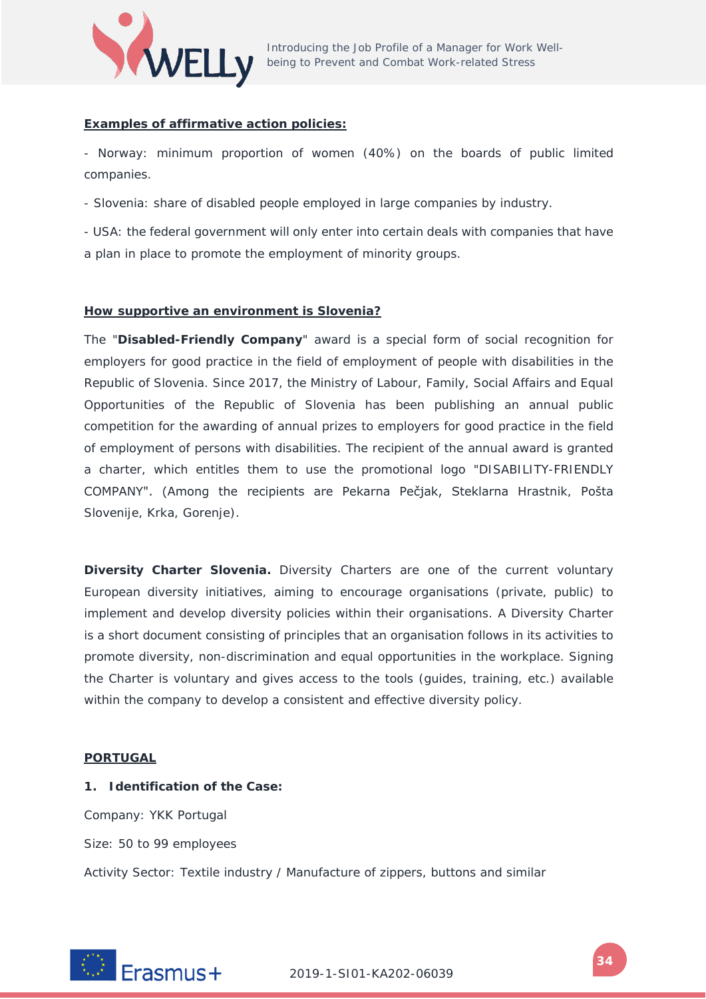

#### **Examples of affirmative action policies:**

- Norway: minimum proportion of women (40%) on the boards of public limited companies.

- Slovenia: share of disabled people employed in large companies by industry.

- USA: the federal government will only enter into certain deals with companies that have a plan in place to promote the employment of minority groups.

#### **How supportive an environment is Slovenia?**

The "**Disabled-Friendly Company**" award is a special form of social recognition for employers for good practice in the field of employment of people with disabilities in the Republic of Slovenia. Since 2017, the Ministry of Labour, Family, Social Affairs and Equal Opportunities of the Republic of Slovenia has been publishing an annual public competition for the awarding of annual prizes to employers for good practice in the field of employment of persons with disabilities. The recipient of the annual award is granted a charter, which entitles them to use the promotional logo "DISABILITY-FRIENDLY COMPANY". (Among the recipients are Pekarna Pečjak, Steklarna Hrastnik, Pošta Slovenije, Krka, Gorenje).

**Diversity Charter Slovenia.** Diversity Charters are one of the current voluntary European diversity initiatives, aiming to encourage organisations (private, public) to implement and develop diversity policies within their organisations. A Diversity Charter is a short document consisting of principles that an organisation follows in its activities to promote diversity, non-discrimination and equal opportunities in the workplace. Signing the Charter is voluntary and gives access to the tools (guides, training, etc.) available within the company to develop a consistent and effective diversity policy.

#### **PORTUGAL**

#### **1. Identification of the Case:**

Company: YKK Portugal

Size: 50 to 99 employees

Activity Sector: Textile industry / Manufacture of zippers, buttons and similar

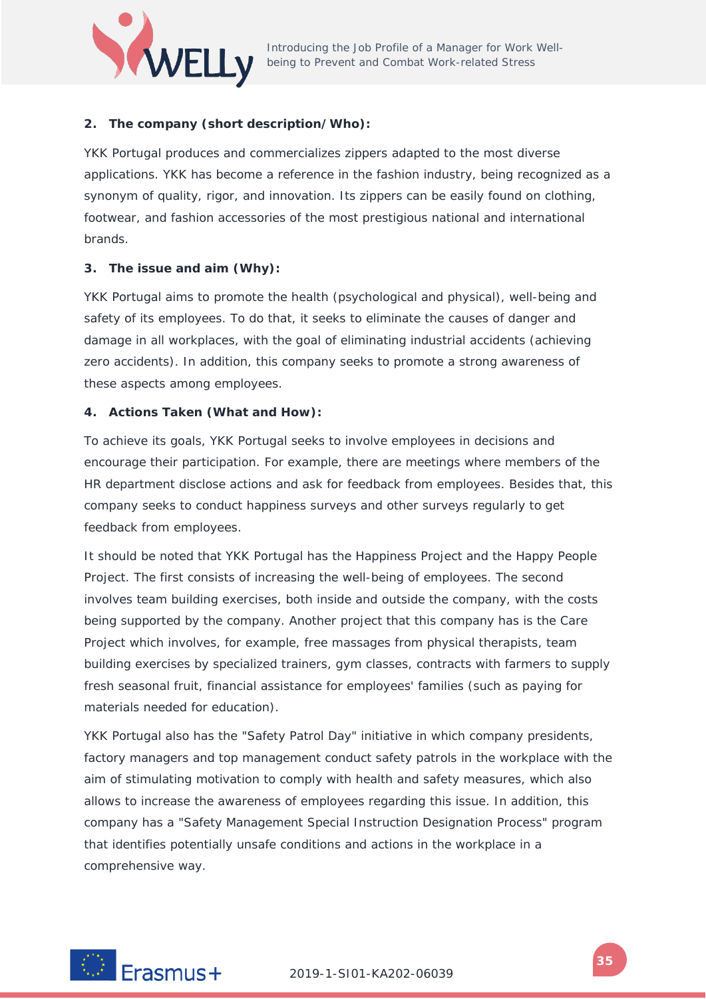

# **2. The company (short description/Who):**

YKK Portugal produces and commercializes zippers adapted to the most diverse applications. YKK has become a reference in the fashion industry, being recognized as a synonym of quality, rigor, and innovation. Its zippers can be easily found on clothing, footwear, and fashion accessories of the most prestigious national and international brands.

## **3. The issue and aim (Why):**

YKK Portugal aims to promote the health (psychological and physical), well-being and safety of its employees. To do that, it seeks to eliminate the causes of danger and damage in all workplaces, with the goal of eliminating industrial accidents (achieving zero accidents). In addition, this company seeks to promote a strong awareness of these aspects among employees.

#### **4. Actions Taken (What and How):**

To achieve its goals, YKK Portugal seeks to involve employees in decisions and encourage their participation. For example, there are meetings where members of the HR department disclose actions and ask for feedback from employees. Besides that, this company seeks to conduct happiness surveys and other surveys regularly to get feedback from employees.

It should be noted that YKK Portugal has the Happiness Project and the Happy People Project. The first consists of increasing the well-being of employees. The second involves team building exercises, both inside and outside the company, with the costs being supported by the company. Another project that this company has is the Care Project which involves, for example, free massages from physical therapists, team building exercises by specialized trainers, gym classes, contracts with farmers to supply fresh seasonal fruit, financial assistance for employees' families (such as paying for materials needed for education).

YKK Portugal also has the "Safety Patrol Day" initiative in which company presidents, factory managers and top management conduct safety patrols in the workplace with the aim of stimulating motivation to comply with health and safety measures, which also allows to increase the awareness of employees regarding this issue. In addition, this company has a "Safety Management Special Instruction Designation Process" program that identifies potentially unsafe conditions and actions in the workplace in a comprehensive way.

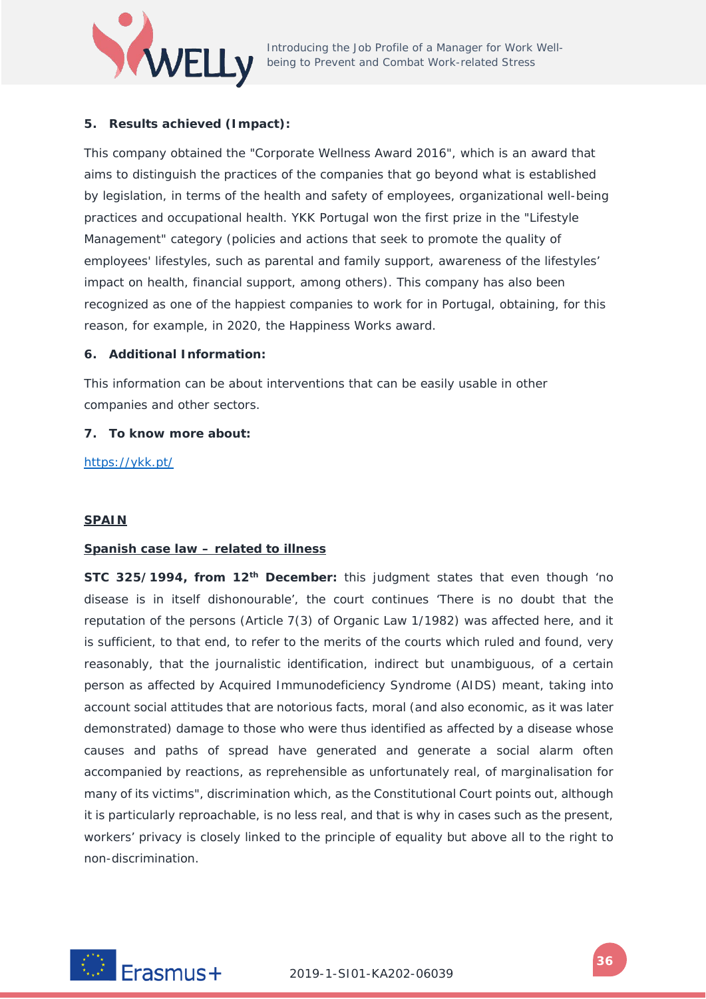

## **5. Results achieved (Impact):**

This company obtained the "Corporate Wellness Award 2016", which is an award that aims to distinguish the practices of the companies that go beyond what is established by legislation, in terms of the health and safety of employees, organizational well-being practices and occupational health. YKK Portugal won the first prize in the "Lifestyle Management" category (policies and actions that seek to promote the quality of employees' lifestyles, such as parental and family support, awareness of the lifestyles' impact on health, financial support, among others). This company has also been recognized as one of the happiest companies to work for in Portugal, obtaining, for this reason, for example, in 2020, the Happiness Works award.

#### **6. Additional Information:**

This information can be about interventions that can be easily usable in other companies and other sectors.

#### **7. To know more about:**

<https://ykk.pt/>

#### **SPAIN**

#### **Spanish case law – related to illness**

**STC 325/1994, from 12th December:** this judgment states that even though 'no disease is in itself dishonourable', the court continues 'There is no doubt that the reputation of the persons (Article 7(3) of Organic Law 1/1982) was affected here, and it is sufficient, to that end, to refer to the merits of the courts which ruled and found, very reasonably, that the journalistic identification, indirect but unambiguous, of a certain person as affected by Acquired Immunodeficiency Syndrome (AIDS) meant, taking into account social attitudes that are notorious facts, moral (and also economic, as it was later demonstrated) damage to those who were thus identified as affected by a disease whose causes and paths of spread have generated and generate a social alarm often accompanied by reactions, as reprehensible as unfortunately real, of marginalisation for many of its victims", discrimination which, as the Constitutional Court points out, although it is particularly reproachable, is no less real, and that is why in cases such as the present, workers' privacy is closely linked to the principle of equality but above all to the right to non-discrimination.

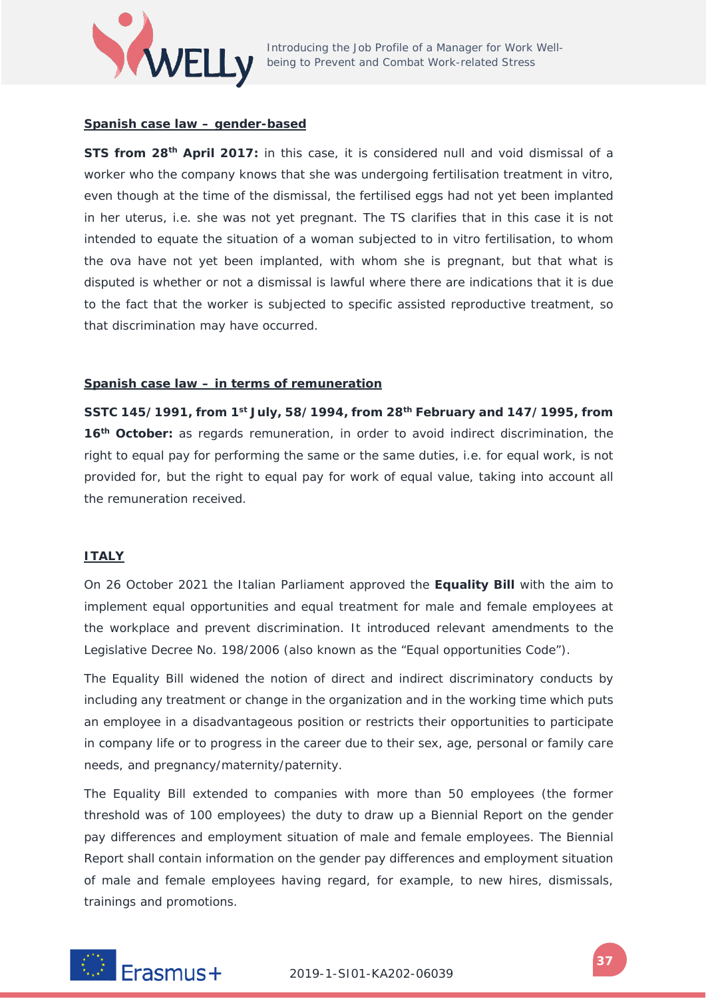

### **Spanish case law – gender-based**

**STS from 28th April 2017:** in this case, it is considered null and void dismissal of a worker who the company knows that she was undergoing fertilisation treatment in vitro, even though at the time of the dismissal, the fertilised eggs had not yet been implanted in her uterus, i.e. she was not yet pregnant. The TS clarifies that in this case it is not intended to equate the situation of a woman subjected to in vitro fertilisation, to whom the ova have not yet been implanted, with whom she is pregnant, but that what is disputed is whether or not a dismissal is lawful where there are indications that it is due to the fact that the worker is subjected to specific assisted reproductive treatment, so that discrimination may have occurred.

### **Spanish case law – in terms of remuneration**

**SSTC 145/1991, from 1st July, 58/1994, from 28th February and 147/1995, from 16th October:** as regards remuneration, in order to avoid indirect discrimination, the right to equal pay for performing the same or the same duties, i.e. for equal work, is not provided for, but the right to equal pay for work of equal value, taking into account all the remuneration received.

### **ITALY**

On 26 October 2021 the Italian Parliament approved the **Equality Bill** with the aim to implement equal opportunities and equal treatment for male and female employees at the workplace and prevent discrimination. It introduced relevant amendments to the Legislative Decree No. 198/2006 (also known as the "Equal opportunities Code").

The Equality Bill widened the notion of direct and indirect discriminatory conducts by including any treatment or change in the organization and in the working time which puts an employee in a disadvantageous position or restricts their opportunities to participate in company life or to progress in the career due to their sex, age, personal or family care needs, and pregnancy/maternity/paternity.

The Equality Bill extended to companies with more than 50 employees (the former threshold was of 100 employees) the duty to draw up a Biennial Report on the gender pay differences and employment situation of male and female employees. The Biennial Report shall contain information on the gender pay differences and employment situation of male and female employees having regard, for example, to new hires, dismissals, trainings and promotions.

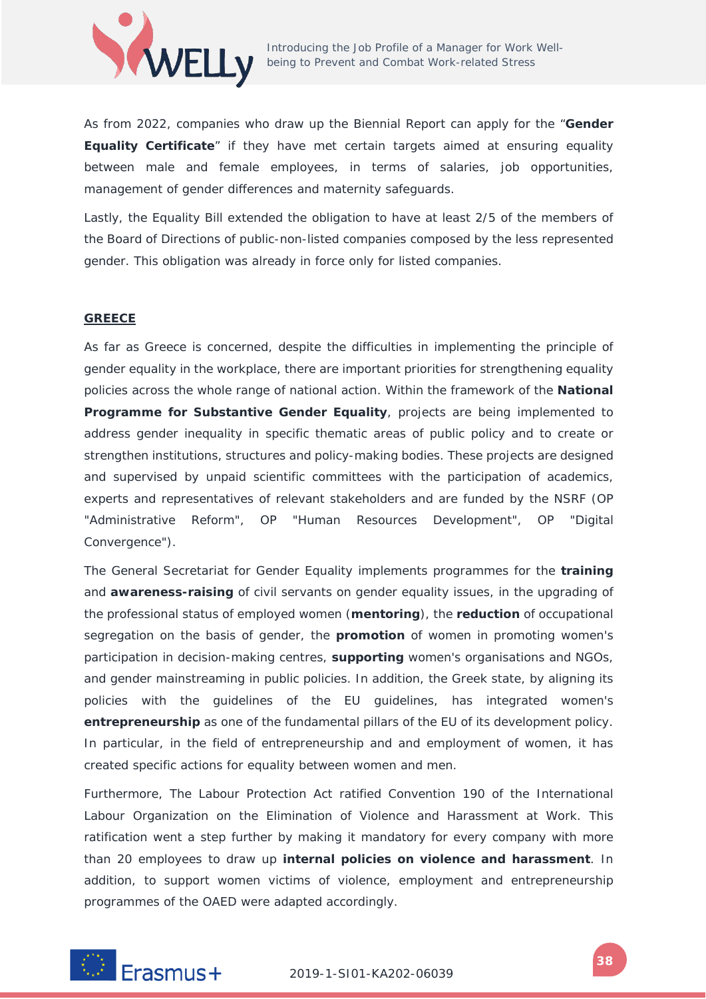

As from 2022, companies who draw up the Biennial Report can apply for the "**Gender Equality Certificate**" if they have met certain targets aimed at ensuring equality between male and female employees, in terms of salaries, job opportunities, management of gender differences and maternity safeguards.

Lastly, the Equality Bill extended the obligation to have at least 2/5 of the members of the Board of Directions of public-non-listed companies composed by the less represented gender. This obligation was already in force only for listed companies.

#### **GREECE**

As far as Greece is concerned, despite the difficulties in implementing the principle of gender equality in the workplace, there are important priorities for strengthening equality policies across the whole range of national action. Within the framework of the **National Programme for Substantive Gender Equality**, projects are being implemented to address gender inequality in specific thematic areas of public policy and to create or strengthen institutions, structures and policy-making bodies. These projects are designed and supervised by unpaid scientific committees with the participation of academics, experts and representatives of relevant stakeholders and are funded by the NSRF (OP "Administrative Reform", OP "Human Resources Development", OP "Digital Convergence").

The General Secretariat for Gender Equality implements programmes for the **training** and **awareness-raising** of civil servants on gender equality issues, in the upgrading of the professional status of employed women (**mentoring**), the **reduction** of occupational segregation on the basis of gender, the **promotion** of women in promoting women's participation in decision-making centres, **supporting** women's organisations and NGOs, and gender mainstreaming in public policies. In addition, the Greek state, by aligning its policies with the guidelines of the EU guidelines, has integrated women's **entrepreneurship** as one of the fundamental pillars of the EU of its development policy. In particular, in the field of entrepreneurship and and employment of women, it has created specific actions for equality between women and men.

Furthermore, The Labour Protection Act ratified Convention 190 of the International Labour Organization on the Elimination of Violence and Harassment at Work. This ratification went a step further by making it mandatory for every company with more than 20 employees to draw up **internal policies on violence and harassment**. In addition, to support women victims of violence, employment and entrepreneurship programmes of the OAED were adapted accordingly.

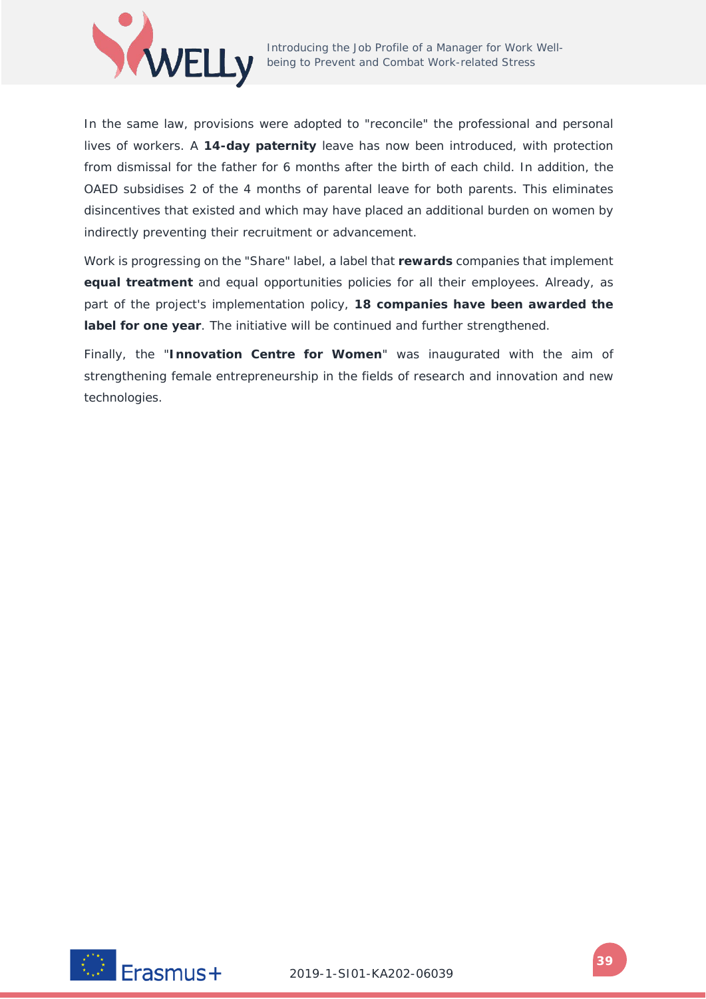

In the same law, provisions were adopted to "reconcile" the professional and personal lives of workers. A **14-day paternity** leave has now been introduced, with protection from dismissal for the father for 6 months after the birth of each child. In addition, the OAED subsidises 2 of the 4 months of parental leave for both parents. This eliminates disincentives that existed and which may have placed an additional burden on women by indirectly preventing their recruitment or advancement.

Work is progressing on the "Share" label, a label that **rewards** companies that implement **equal treatment** and equal opportunities policies for all their employees. Already, as part of the project's implementation policy, **18 companies have been awarded the label for one year**. The initiative will be continued and further strengthened.

Finally, the "**Innovation Centre for Women**" was inaugurated with the aim of strengthening female entrepreneurship in the fields of research and innovation and new technologies.

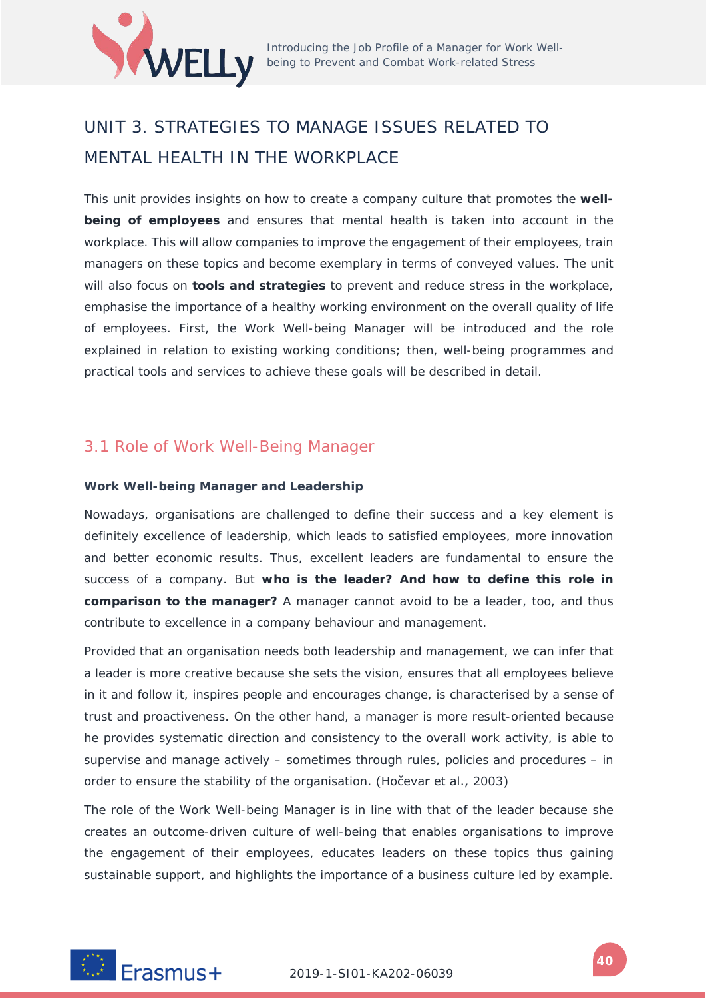

# UNIT 3. STRATEGIES TO MANAGE ISSUES RELATED TO MENTAL HEALTH IN THE WORKPLACE

This unit provides insights on how to create a company culture that promotes the **wellbeing of employees** and ensures that mental health is taken into account in the workplace. This will allow companies to improve the engagement of their employees, train managers on these topics and become exemplary in terms of conveyed values. The unit will also focus on **tools and strategies** to prevent and reduce stress in the workplace, emphasise the importance of a healthy working environment on the overall quality of life of employees. First, the Work Well-being Manager will be introduced and the role explained in relation to existing working conditions; then, well-being programmes and practical tools and services to achieve these goals will be described in detail.

### 3.1 Role of Work Well-Being Manager

### **Work Well-being Manager and Leadership**

Nowadays, organisations are challenged to define their success and a key element is definitely excellence of leadership, which leads to satisfied employees, more innovation and better economic results. Thus, excellent leaders are fundamental to ensure the success of a company. But **who is the leader? And how to define this role in comparison to the manager?** A manager cannot avoid to be a leader, too, and thus contribute to excellence in a company behaviour and management.

Provided that an organisation needs both leadership and management, we can infer that a leader is more creative because she sets the vision, ensures that all employees believe in it and follow it, inspires people and encourages change, is characterised by a sense of trust and proactiveness. On the other hand, a manager is more result-oriented because he provides systematic direction and consistency to the overall work activity, is able to supervise and manage actively – sometimes through rules, policies and procedures – in order to ensure the stability of the organisation. (Hočevar et al., 2003)

The role of the Work Well-being Manager is in line with that of the leader because she creates an outcome-driven culture of well-being that enables organisations to improve the engagement of their employees, educates leaders on these topics thus gaining sustainable support, and highlights the importance of a business culture led by example.

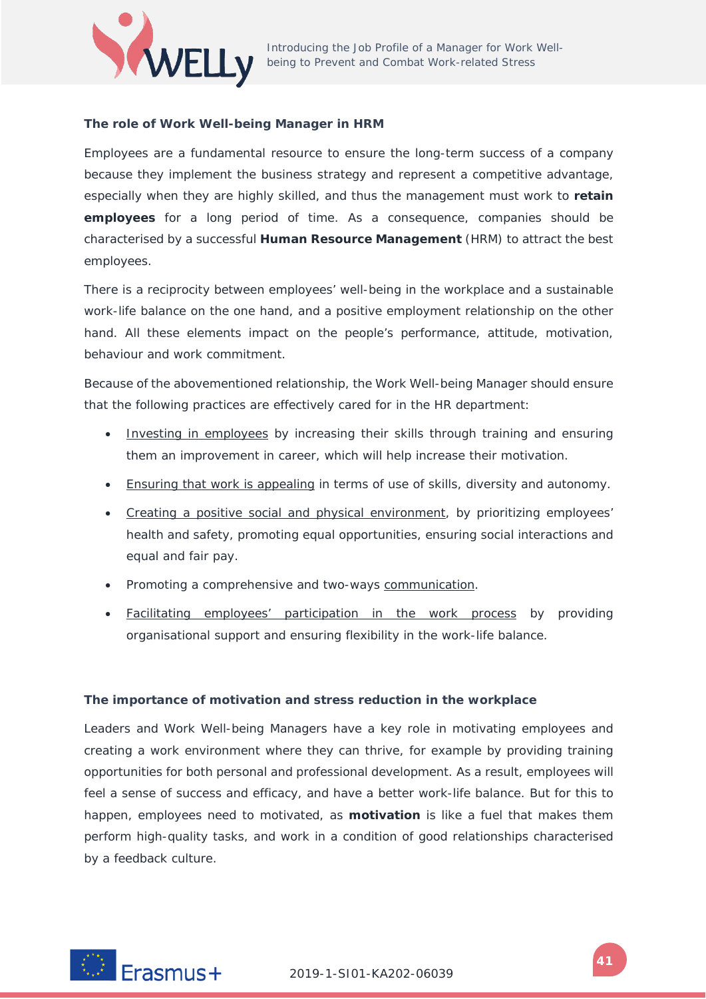

### **The role of Work Well-being Manager in HRM**

Employees are a fundamental resource to ensure the long-term success of a company because they implement the business strategy and represent a competitive advantage, especially when they are highly skilled, and thus the management must work to **retain employees** for a long period of time. As a consequence, companies should be characterised by a successful **Human Resource Management** (HRM) to attract the best employees.

There is a reciprocity between employees' well-being in the workplace and a sustainable work-life balance on the one hand, and a positive employment relationship on the other hand. All these elements impact on the people's performance, attitude, motivation, behaviour and work commitment.

Because of the abovementioned relationship, the Work Well-being Manager should ensure that the following practices are effectively cared for in the HR department:

- Investing in employees by increasing their skills through training and ensuring them an improvement in career, which will help increase their motivation.
- Ensuring that work is appealing in terms of use of skills, diversity and autonomy.
- Creating a positive social and physical environment, by prioritizing employees' health and safety, promoting equal opportunities, ensuring social interactions and equal and fair pay.
- Promoting a comprehensive and two-ways communication.
- Facilitating employees' participation in the work process by providing organisational support and ensuring flexibility in the work-life balance.

### **The importance of motivation and stress reduction in the workplace**

Leaders and Work Well-being Managers have a key role in motivating employees and creating a work environment where they can thrive, for example by providing training opportunities for both personal and professional development. As a result, employees will feel a sense of success and efficacy, and have a better work-life balance. But for this to happen, employees need to motivated, as **motivation** is like a fuel that makes them perform high-quality tasks, and work in a condition of good relationships characterised by a feedback culture.

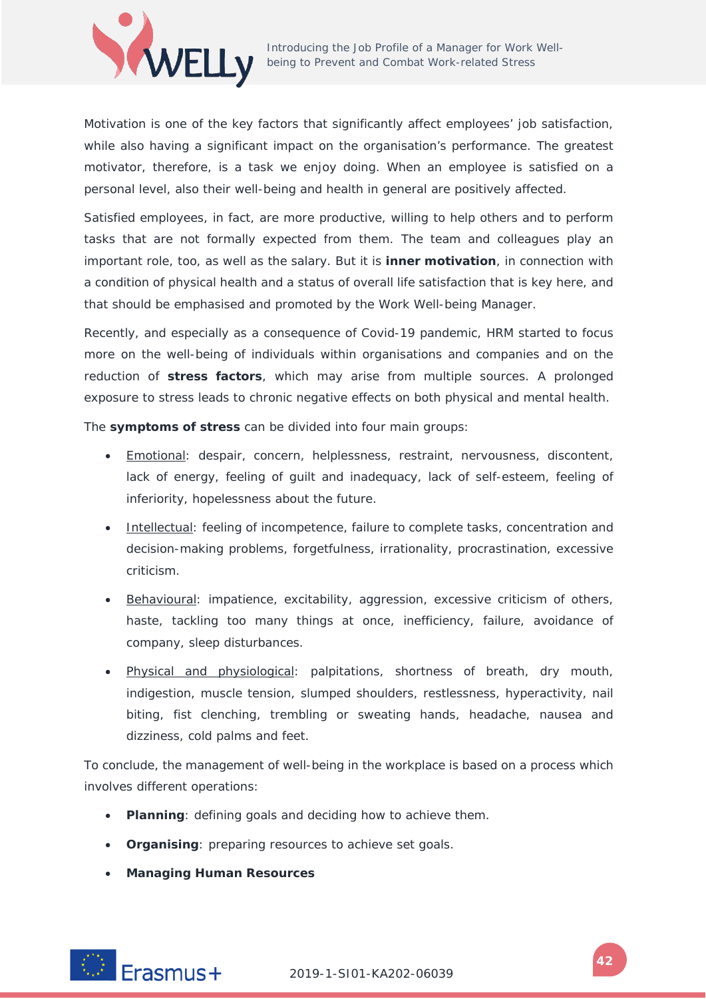

Motivation is one of the key factors that significantly affect employees' job satisfaction, while also having a significant impact on the organisation's performance. The greatest motivator, therefore, is a task we enjoy doing. When an employee is satisfied on a personal level, also their well-being and health in general are positively affected.

Satisfied employees, in fact, are more productive, willing to help others and to perform tasks that are not formally expected from them. The team and colleagues play an important role, too, as well as the salary. But it is **inner motivation**, in connection with a condition of physical health and a status of overall life satisfaction that is key here, and that should be emphasised and promoted by the Work Well-being Manager.

Recently, and especially as a consequence of Covid-19 pandemic, HRM started to focus more on the well-being of individuals within organisations and companies and on the reduction of **stress factors**, which may arise from multiple sources. A prolonged exposure to stress leads to chronic negative effects on both physical and mental health.

The **symptoms of stress** can be divided into four main groups:

- Emotional: despair, concern, helplessness, restraint, nervousness, discontent, lack of energy, feeling of guilt and inadequacy, lack of self-esteem, feeling of inferiority, hopelessness about the future.
- Intellectual: feeling of incompetence, failure to complete tasks, concentration and decision-making problems, forgetfulness, irrationality, procrastination, excessive criticism.
- Behavioural: impatience, excitability, aggression, excessive criticism of others, haste, tackling too many things at once, inefficiency, failure, avoidance of company, sleep disturbances.
- Physical and physiological: palpitations, shortness of breath, dry mouth, indigestion, muscle tension, slumped shoulders, restlessness, hyperactivity, nail biting, fist clenching, trembling or sweating hands, headache, nausea and dizziness, cold palms and feet.

To conclude, the management of well-being in the workplace is based on a process which involves different operations:

- **Planning**: defining goals and deciding how to achieve them.
- **Organising**: preparing resources to achieve set goals.
- **Managing Human Resources**

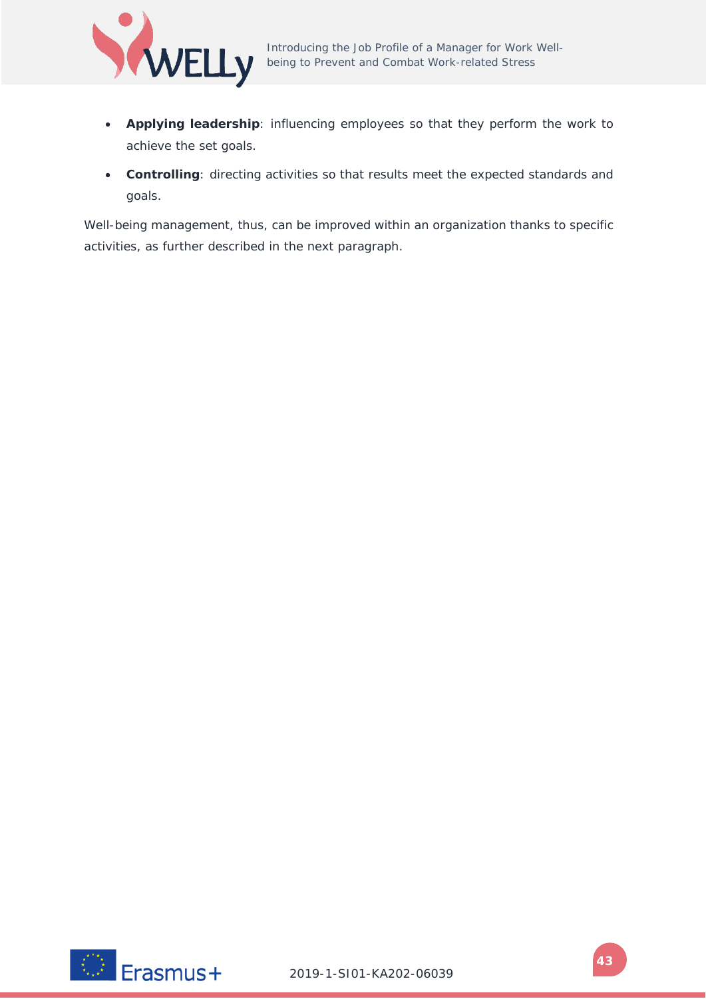

- **Applying leadership**: influencing employees so that they perform the work to achieve the set goals.
- **Controlling**: directing activities so that results meet the expected standards and goals.

Well-being management, thus, can be improved within an organization thanks to specific activities, as further described in the next paragraph.

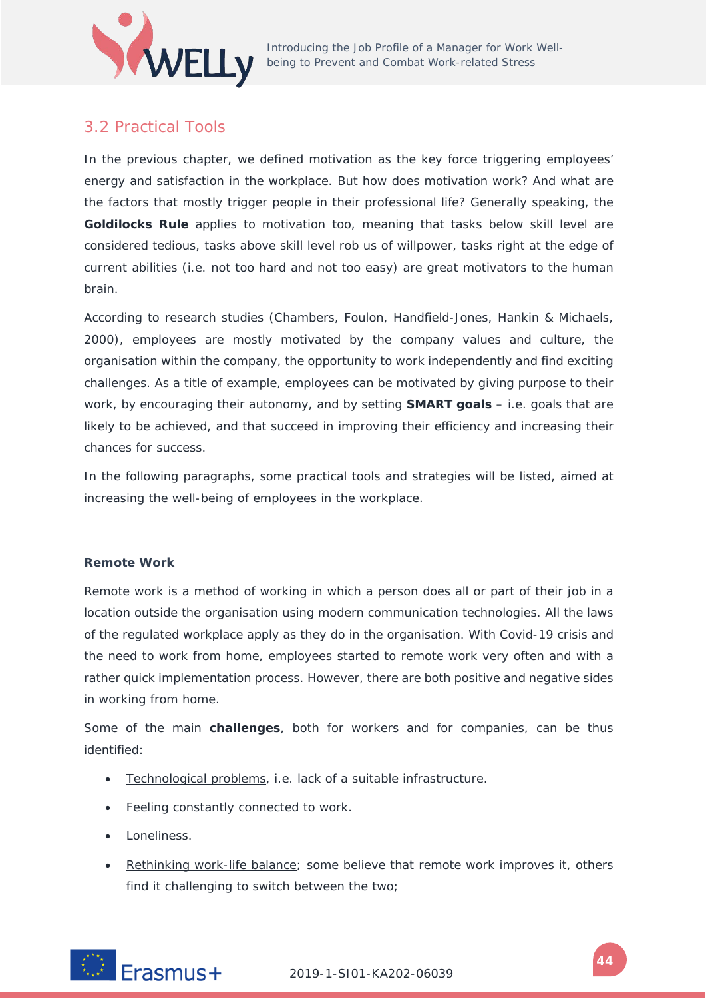

## 3.2 Practical Tools

In the previous chapter, we defined motivation as the key force triggering employees' energy and satisfaction in the workplace. But how does motivation work? And what are the factors that mostly trigger people in their professional life? Generally speaking, the **Goldilocks Rule** applies to motivation too, meaning that tasks below skill level are considered tedious, tasks above skill level rob us of willpower, tasks right at the edge of current abilities (i.e. not too hard and not too easy) are great motivators to the human brain.

According to research studies (Chambers, Foulon, Handfield-Jones, Hankin & Michaels, 2000), employees are mostly motivated by the company values and culture, the organisation within the company, the opportunity to work independently and find exciting challenges. As a title of example, employees can be motivated by giving purpose to their work, by encouraging their autonomy, and by setting **SMART goals** – i.e. goals that are likely to be achieved, and that succeed in improving their efficiency and increasing their chances for success.

In the following paragraphs, some practical tools and strategies will be listed, aimed at increasing the well-being of employees in the workplace.

### **Remote Work**

Remote work is a method of working in which a person does all or part of their job in a location outside the organisation using modern communication technologies. All the laws of the regulated workplace apply as they do in the organisation. With Covid-19 crisis and the need to work from home, employees started to remote work very often and with a rather quick implementation process. However, there are both positive and negative sides in working from home.

Some of the main **challenges**, both for workers and for companies, can be thus identified:

- Technological problems, i.e. lack of a suitable infrastructure.
- Feeling constantly connected to work.
- Loneliness.
- Rethinking work-life balance; some believe that remote work improves it, others find it challenging to switch between the two;

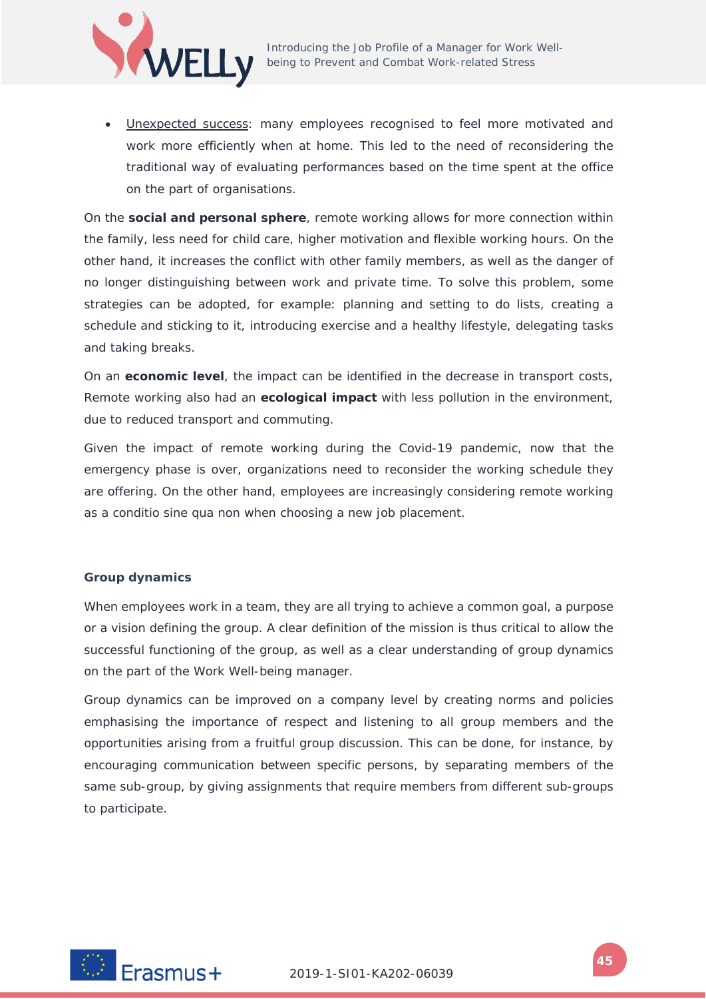

• Unexpected success: many employees recognised to feel more motivated and work more efficiently when at home. This led to the need of reconsidering the traditional way of evaluating performances based on the time spent at the office on the part of organisations.

On the **social and personal sphere**, remote working allows for more connection within the family, less need for child care, higher motivation and flexible working hours. On the other hand, it increases the conflict with other family members, as well as the danger of no longer distinguishing between work and private time. To solve this problem, some strategies can be adopted, for example: planning and setting to do lists, creating a schedule and sticking to it, introducing exercise and a healthy lifestyle, delegating tasks and taking breaks.

On an **economic level**, the impact can be identified in the decrease in transport costs, Remote working also had an **ecological impact** with less pollution in the environment, due to reduced transport and commuting.

Given the impact of remote working during the Covid-19 pandemic, now that the emergency phase is over, organizations need to reconsider the working schedule they are offering. On the other hand, employees are increasingly considering remote working as a *conditio sine qua non* when choosing a new job placement.

### **Group dynamics**

When employees work in a team, they are all trying to achieve a common goal, a purpose or a vision defining the group. A clear definition of the mission is thus critical to allow the successful functioning of the group, as well as a clear understanding of group dynamics on the part of the Work Well-being manager.

Group dynamics can be improved on a company level by creating norms and policies emphasising the importance of respect and listening to all group members and the opportunities arising from a fruitful group discussion. This can be done, for instance, by encouraging communication between specific persons, by separating members of the same sub-group, by giving assignments that require members from different sub-groups to participate.

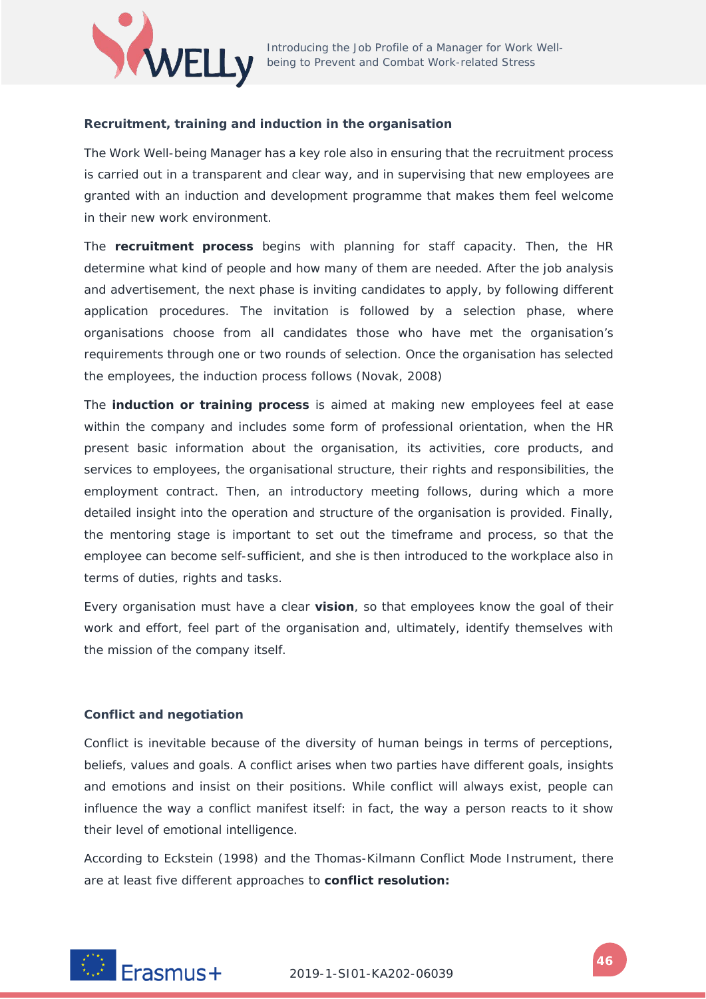

### **Recruitment, training and induction in the organisation**

The Work Well-being Manager has a key role also in ensuring that the recruitment process is carried out in a transparent and clear way, and in supervising that new employees are granted with an induction and development programme that makes them feel welcome in their new work environment.

The **recruitment process** begins with planning for staff capacity. Then, the HR determine what kind of people and how many of them are needed. After the job analysis and advertisement, the next phase is inviting candidates to apply, by following different application procedures. The invitation is followed by a selection phase, where organisations choose from all candidates those who have met the organisation's requirements through one or two rounds of selection. Once the organisation has selected the employees, the induction process follows (Novak, 2008)

The **induction or training process** is aimed at making new employees feel at ease within the company and includes some form of professional orientation, when the HR present basic information about the organisation, its activities, core products, and services to employees, the organisational structure, their rights and responsibilities, the employment contract. Then, an introductory meeting follows, during which a more detailed insight into the operation and structure of the organisation is provided. Finally, the mentoring stage is important to set out the timeframe and process, so that the employee can become self-sufficient, and she is then introduced to the workplace also in terms of duties, rights and tasks.

Every organisation must have a clear **vision**, so that employees know the goal of their work and effort, feel part of the organisation and, ultimately, identify themselves with the mission of the company itself.

### **Conflict and negotiation**

Conflict is inevitable because of the diversity of human beings in terms of perceptions, beliefs, values and goals. A conflict arises when two parties have different goals, insights and emotions and insist on their positions. While conflict will always exist, people can influence the way a conflict manifest itself: in fact, the way a person reacts to it show their level of emotional intelligence.

According to Eckstein (1998) and the Thomas-Kilmann Conflict Mode Instrument, there are at least five different approaches to **conflict resolution:**

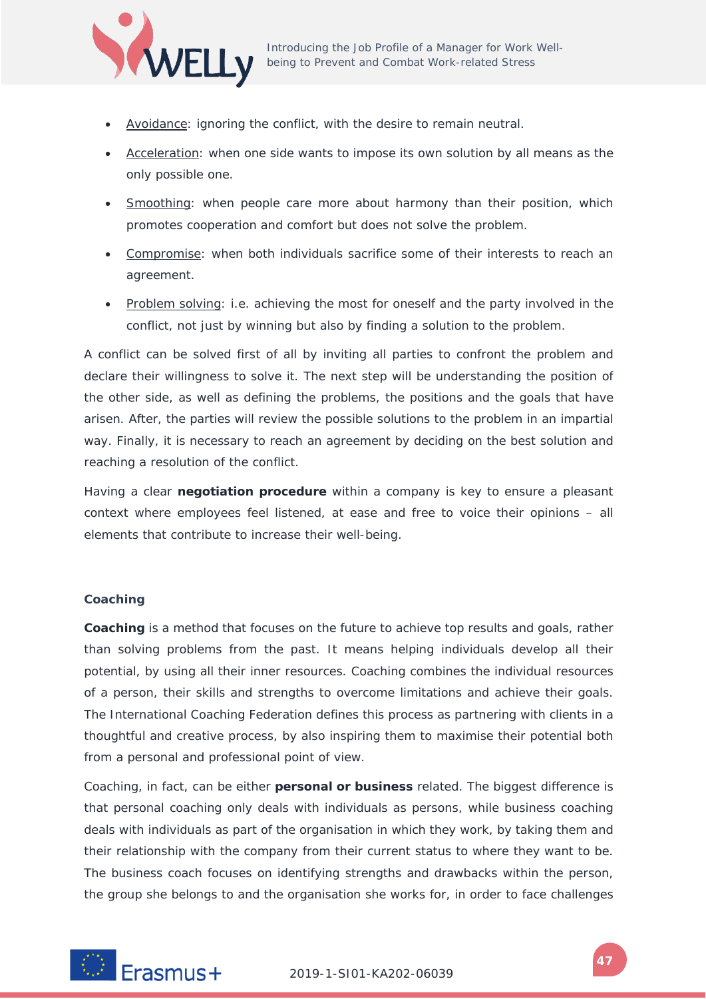

- Avoidance: ignoring the conflict, with the desire to remain neutral.
- Acceleration: when one side wants to impose its own solution by all means as the only possible one.
- Smoothing: when people care more about harmony than their position, which promotes cooperation and comfort but does not solve the problem.
- Compromise: when both individuals sacrifice some of their interests to reach an agreement.
- Problem solving: i.e. achieving the most for oneself and the party involved in the conflict, not just by winning but also by finding a solution to the problem.

A conflict can be solved first of all by inviting all parties to confront the problem and declare their willingness to solve it. The next step will be understanding the position of the other side, as well as defining the problems, the positions and the goals that have arisen. After, the parties will review the possible solutions to the problem in an impartial way. Finally, it is necessary to reach an agreement by deciding on the best solution and reaching a resolution of the conflict.

Having a clear **negotiation procedure** within a company is key to ensure a pleasant context where employees feel listened, at ease and free to voice their opinions – all elements that contribute to increase their well-being.

### **Coaching**

**Coaching** is a method that focuses on the future to achieve top results and goals, rather than solving problems from the past. It means helping individuals develop all their potential, by using all their inner resources. Coaching combines the individual resources of a person, their skills and strengths to overcome limitations and achieve their goals. The International Coaching Federation defines this process as partnering with clients in a thoughtful and creative process, by also inspiring them to maximise their potential both from a personal and professional point of view.

Coaching, in fact, can be either **personal or business** related. The biggest difference is that personal coaching only deals with individuals as persons, while business coaching deals with individuals as part of the organisation in which they work, by taking them and their relationship with the company from their current status to where they want to be. The business coach focuses on identifying strengths and drawbacks within the person, the group she belongs to and the organisation she works for, in order to face challenges

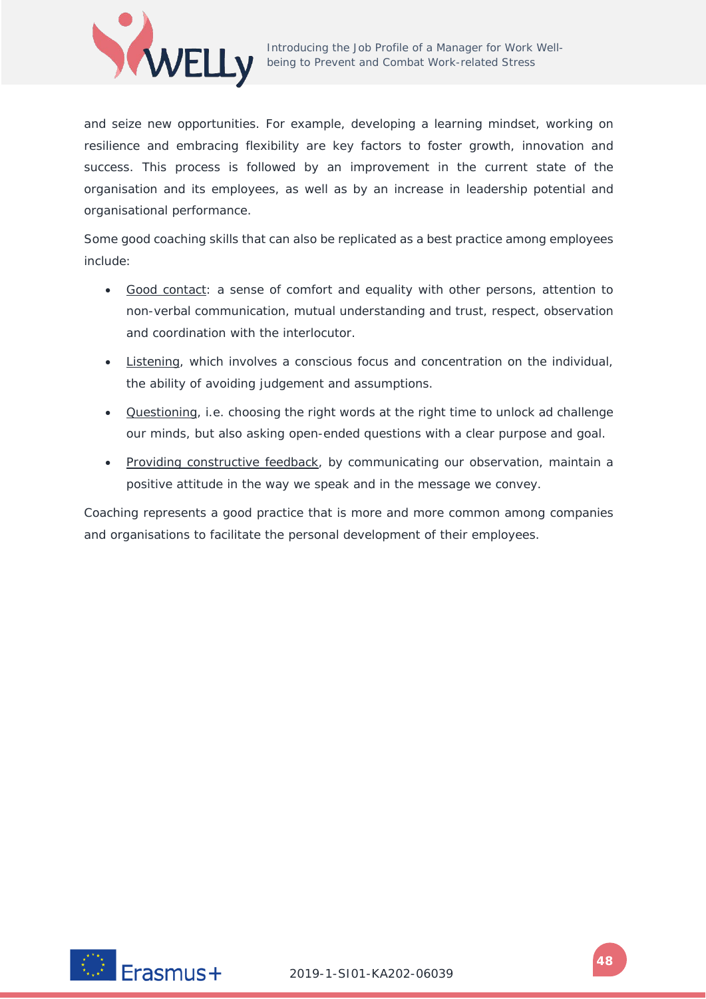

and seize new opportunities. For example, developing a learning mindset, working on resilience and embracing flexibility are key factors to foster growth, innovation and success. This process is followed by an improvement in the current state of the organisation and its employees, as well as by an increase in leadership potential and organisational performance.

Some good coaching skills that can also be replicated as a best practice among employees include:

- Good contact: a sense of comfort and equality with other persons, attention to non-verbal communication, mutual understanding and trust, respect, observation and coordination with the interlocutor.
- Listening, which involves a conscious focus and concentration on the individual, the ability of avoiding judgement and assumptions.
- Questioning, i.e. choosing the right words at the right time to unlock ad challenge our minds, but also asking open-ended questions with a clear purpose and goal.
- Providing constructive feedback, by communicating our observation, maintain a positive attitude in the way we speak and in the message we convey.

Coaching represents a good practice that is more and more common among companies and organisations to facilitate the personal development of their employees.

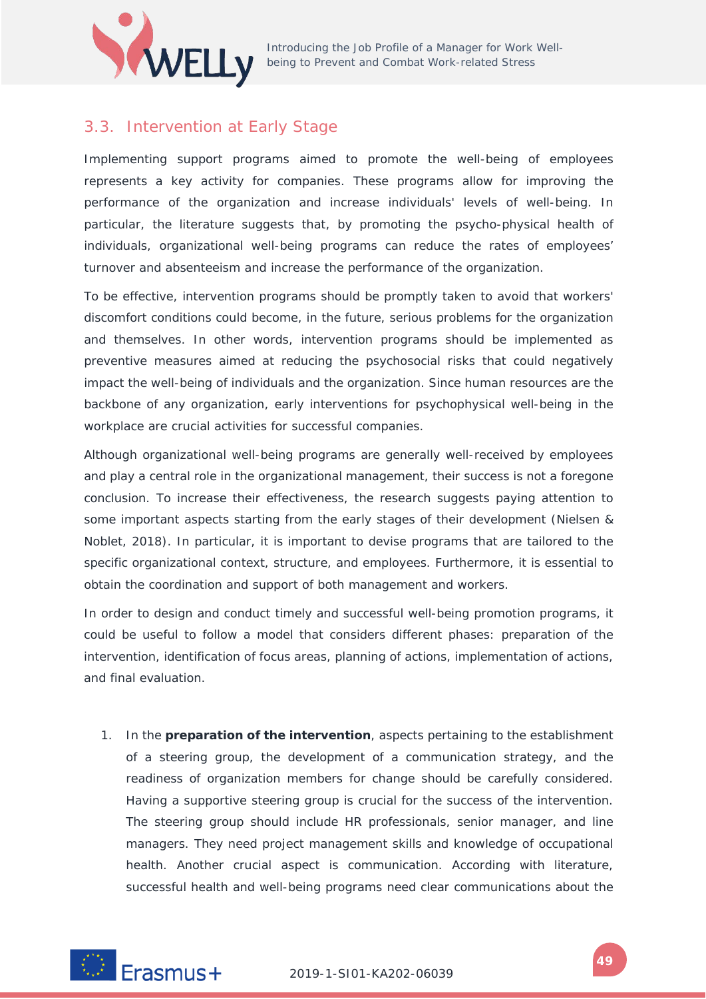

### 3.3. Intervention at Early Stage

Implementing support programs aimed to promote the well-being of employees represents a key activity for companies. These programs allow for improving the performance of the organization and increase individuals' levels of well-being. In particular, the literature suggests that, by promoting the psycho-physical health of individuals, organizational well-being programs can reduce the rates of employees' turnover and absenteeism and increase the performance of the organization.

To be effective, intervention programs should be promptly taken to avoid that workers' discomfort conditions could become, in the future, serious problems for the organization and themselves. In other words, intervention programs should be implemented as preventive measures aimed at reducing the psychosocial risks that could negatively impact the well-being of individuals and the organization. Since human resources are the backbone of any organization, early interventions for psychophysical well-being in the workplace are crucial activities for successful companies.

Although organizational well-being programs are generally well-received by employees and play a central role in the organizational management, their success is not a foregone conclusion. To increase their effectiveness, the research suggests paying attention to some important aspects starting from the early stages of their development (Nielsen & Noblet, 2018). In particular, it is important to devise programs that are tailored to the specific organizational context, structure, and employees. Furthermore, it is essential to obtain the coordination and support of both management and workers.

In order to design and conduct timely and successful well-being promotion programs, it could be useful to follow a model that considers different phases: preparation of the intervention, identification of focus areas, planning of actions, implementation of actions, and final evaluation.

1. In the **preparation of the intervention**, aspects pertaining to the establishment of a steering group, the development of a communication strategy, and the readiness of organization members for change should be carefully considered. Having a supportive steering group is crucial for the success of the intervention. The steering group should include HR professionals, senior manager, and line managers. They need project management skills and knowledge of occupational health. Another crucial aspect is communication. According with literature, successful health and well-being programs need clear communications about the

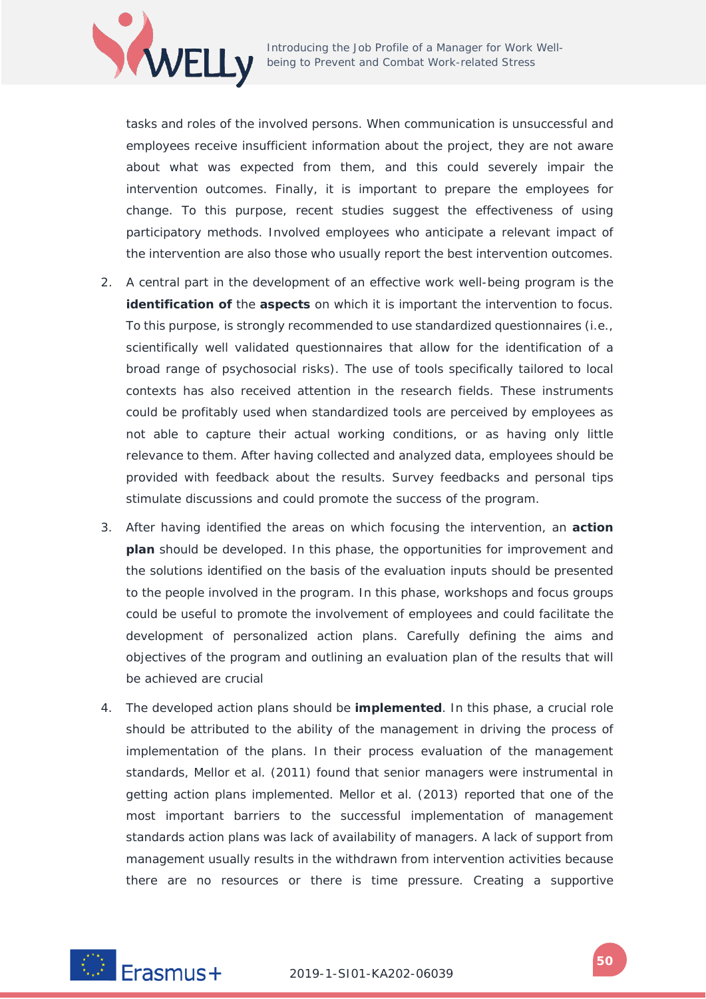

Introducing the Job Profile of a Manager for Work Well-Introducing the Job Prome or a manager for terms<br>being to Prevent and Combat Work-related Stress

tasks and roles of the involved persons. When communication is unsuccessful and employees receive insufficient information about the project, they are not aware about what was expected from them, and this could severely impair the intervention outcomes. Finally, it is important to prepare the employees for change. To this purpose, recent studies suggest the effectiveness of using participatory methods. Involved employees who anticipate a relevant impact of the intervention are also those who usually report the best intervention outcomes.

- 2. A central part in the development of an effective work well-being program is the **identification of** the **aspects** on which it is important the intervention to focus. To this purpose, is strongly recommended to use standardized questionnaires (i.e., scientifically well validated questionnaires that allow for the identification of a broad range of psychosocial risks). The use of tools specifically tailored to local contexts has also received attention in the research fields. These instruments could be profitably used when standardized tools are perceived by employees as not able to capture their actual working conditions, or as having only little relevance to them. After having collected and analyzed data, employees should be provided with feedback about the results. Survey feedbacks and personal tips stimulate discussions and could promote the success of the program.
- 3. After having identified the areas on which focusing the intervention, an **action plan** should be developed. In this phase, the opportunities for improvement and the solutions identified on the basis of the evaluation inputs should be presented to the people involved in the program. In this phase, workshops and focus groups could be useful to promote the involvement of employees and could facilitate the development of personalized action plans. Carefully defining the aims and objectives of the program and outlining an evaluation plan of the results that will be achieved are crucial
- 4. The developed action plans should be **implemented**. In this phase, a crucial role should be attributed to the ability of the management in driving the process of implementation of the plans. In their process evaluation of the management standards, Mellor et al. (2011) found that senior managers were instrumental in getting action plans implemented. Mellor et al. (2013) reported that one of the most important barriers to the successful implementation of management standards action plans was lack of availability of managers. A lack of support from management usually results in the withdrawn from intervention activities because there are no resources or there is time pressure. Creating a supportive

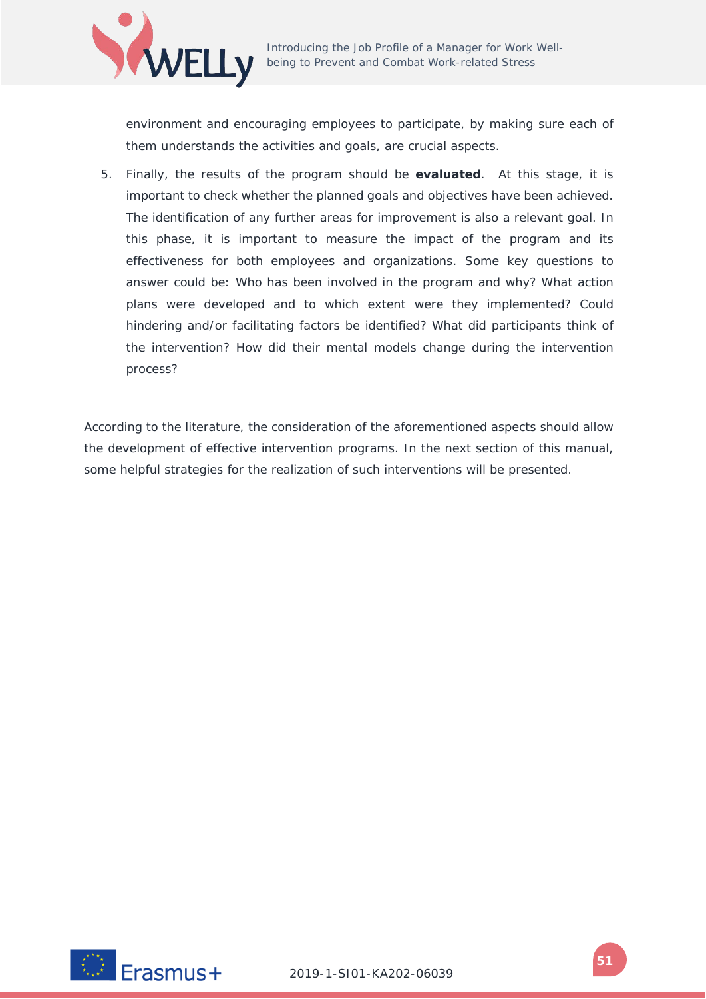

environment and encouraging employees to participate, by making sure each of them understands the activities and goals, are crucial aspects.

5. Finally, the results of the program should be **evaluated**. At this stage, it is important to check whether the planned goals and objectives have been achieved. The identification of any further areas for improvement is also a relevant goal. In this phase, it is important to measure the impact of the program and its effectiveness for both employees and organizations. Some key questions to answer could be: Who has been involved in the program and why? What action plans were developed and to which extent were they implemented? Could hindering and/or facilitating factors be identified? What did participants think of the intervention? How did their mental models change during the intervention process?

According to the literature, the consideration of the aforementioned aspects should allow the development of effective intervention programs. In the next section of this manual, some helpful strategies for the realization of such interventions will be presented.

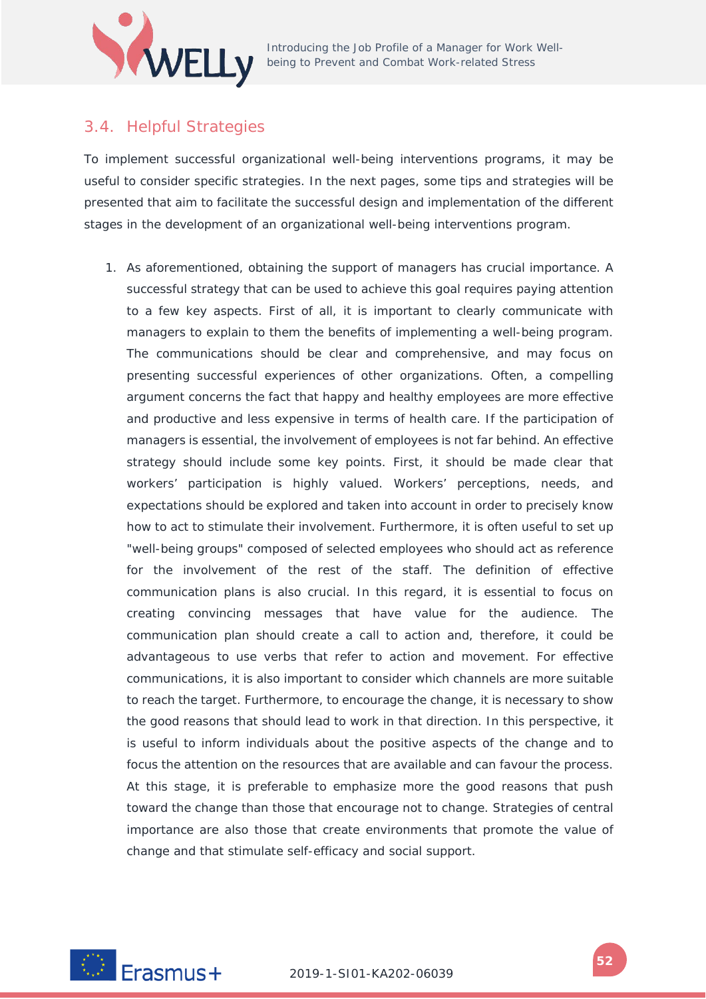

### 3.4. Helpful Strategies

To implement successful organizational well-being interventions programs, it may be useful to consider specific strategies. In the next pages, some tips and strategies will be presented that aim to facilitate the successful design and implementation of the different stages in the development of an organizational well-being interventions program.

1. As aforementioned, obtaining the support of managers has crucial importance. A successful strategy that can be used to achieve this goal requires paying attention to a few key aspects. First of all, it is important to clearly communicate with managers to explain to them the benefits of implementing a well-being program. The communications should be clear and comprehensive, and may focus on presenting successful experiences of other organizations. Often, a compelling argument concerns the fact that happy and healthy employees are more effective and productive and less expensive in terms of health care. If the participation of managers is essential, the involvement of employees is not far behind. An effective strategy should include some key points. First, it should be made clear that workers' participation is highly valued. Workers' perceptions, needs, and expectations should be explored and taken into account in order to precisely know how to act to stimulate their involvement. Furthermore, it is often useful to set up "well-being groups" composed of selected employees who should act as reference for the involvement of the rest of the staff. The definition of effective communication plans is also crucial. In this regard, it is essential to focus on creating convincing messages that have value for the audience. The communication plan should create a call to action and, therefore, it could be advantageous to use verbs that refer to action and movement. For effective communications, it is also important to consider which channels are more suitable to reach the target. Furthermore, to encourage the change, it is necessary to show the good reasons that should lead to work in that direction. In this perspective, it is useful to inform individuals about the positive aspects of the change and to focus the attention on the resources that are available and can favour the process. At this stage, it is preferable to emphasize more the good reasons that push toward the change than those that encourage not to change. Strategies of central importance are also those that create environments that promote the value of change and that stimulate self-efficacy and social support.

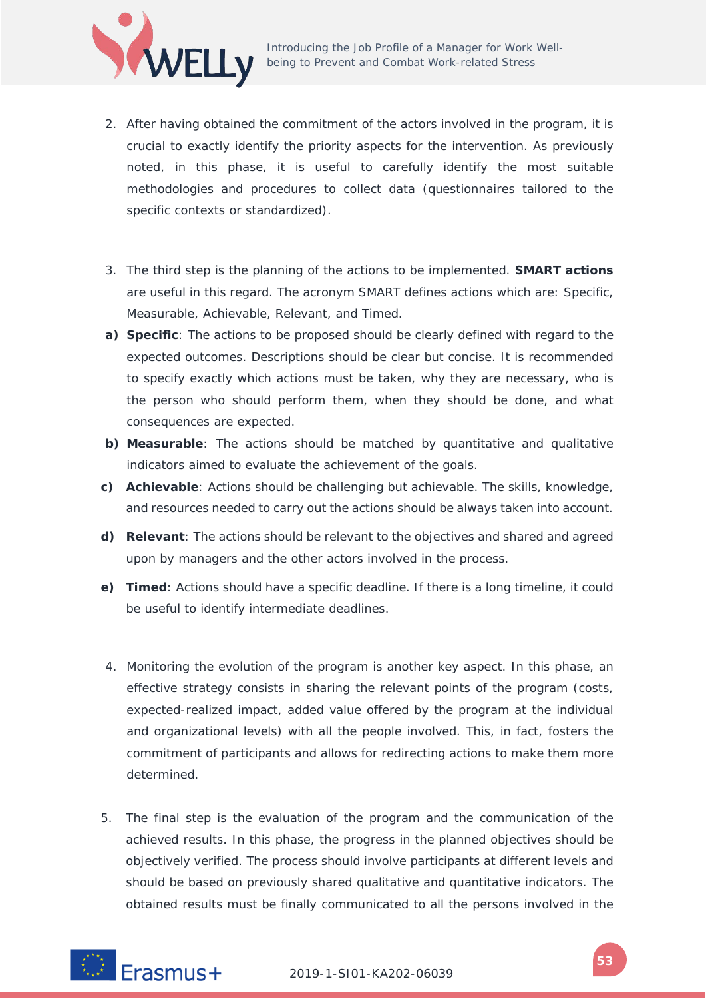

- 2. After having obtained the commitment of the actors involved in the program, it is crucial to exactly identify the priority aspects for the intervention. As previously noted, in this phase, it is useful to carefully identify the most suitable methodologies and procedures to collect data (questionnaires tailored to the specific contexts or standardized).
- 3. The third step is the planning of the actions to be implemented. **SMART actions** are useful in this regard. The acronym SMART defines actions which are: Specific, Measurable, Achievable, Relevant, and Timed.
- **a) Specific**: The actions to be proposed should be clearly defined with regard to the expected outcomes. Descriptions should be clear but concise. It is recommended to specify exactly which actions must be taken, why they are necessary, who is the person who should perform them, when they should be done, and what consequences are expected.
- **b) Measurable**: The actions should be matched by quantitative and qualitative indicators aimed to evaluate the achievement of the goals.
- **c) Achievable**: Actions should be challenging but achievable. The skills, knowledge, and resources needed to carry out the actions should be always taken into account.
- **d) Relevant**: The actions should be relevant to the objectives and shared and agreed upon by managers and the other actors involved in the process.
- **e) Timed**: Actions should have a specific deadline. If there is a long timeline, it could be useful to identify intermediate deadlines.
- 4. Monitoring the evolution of the program is another key aspect. In this phase, an effective strategy consists in sharing the relevant points of the program (costs, expected-realized impact, added value offered by the program at the individual and organizational levels) with all the people involved. This, in fact, fosters the commitment of participants and allows for redirecting actions to make them more determined.
- 5. The final step is the evaluation of the program and the communication of the achieved results. In this phase, the progress in the planned objectives should be objectively verified. The process should involve participants at different levels and should be based on previously shared qualitative and quantitative indicators. The obtained results must be finally communicated to all the persons involved in the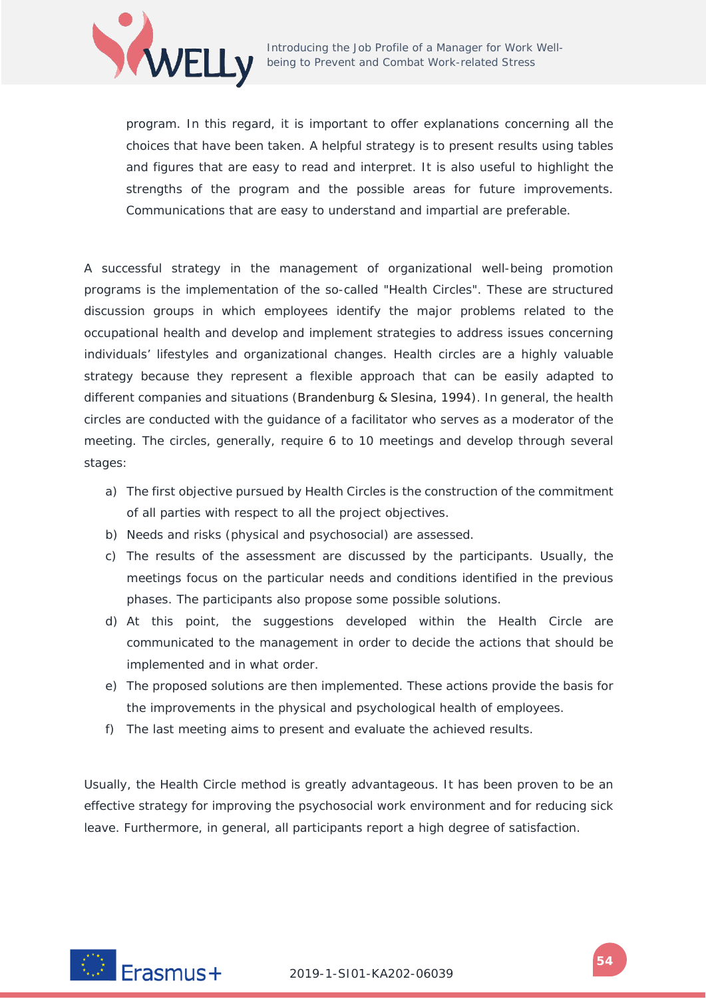

program. In this regard, it is important to offer explanations concerning all the choices that have been taken. A helpful strategy is to present results using tables and figures that are easy to read and interpret. It is also useful to highlight the strengths of the program and the possible areas for future improvements. Communications that are easy to understand and impartial are preferable.

A successful strategy in the management of organizational well-being promotion programs is the implementation of the so-called "Health Circles". These are structured discussion groups in which employees identify the major problems related to the occupational health and develop and implement strategies to address issues concerning individuals' lifestyles and organizational changes. Health circles are a highly valuable strategy because they represent a flexible approach that can be easily adapted to different companies and situations (Brandenburg & Slesina, 1994). In general, the health circles are conducted with the guidance of a facilitator who serves as a moderator of the meeting. The circles, generally, require 6 to 10 meetings and develop through several stages:

- a) The first objective pursued by Health Circles is the construction of the commitment of all parties with respect to all the project objectives.
- b) Needs and risks (physical and psychosocial) are assessed.
- c) The results of the assessment are discussed by the participants. Usually, the meetings focus on the particular needs and conditions identified in the previous phases. The participants also propose some possible solutions.
- d) At this point, the suggestions developed within the Health Circle are communicated to the management in order to decide the actions that should be implemented and in what order.
- e) The proposed solutions are then implemented. These actions provide the basis for the improvements in the physical and psychological health of employees.
- f) The last meeting aims to present and evaluate the achieved results.

Usually, the Health Circle method is greatly advantageous. It has been proven to be an effective strategy for improving the psychosocial work environment and for reducing sick leave. Furthermore, in general, all participants report a high degree of satisfaction.

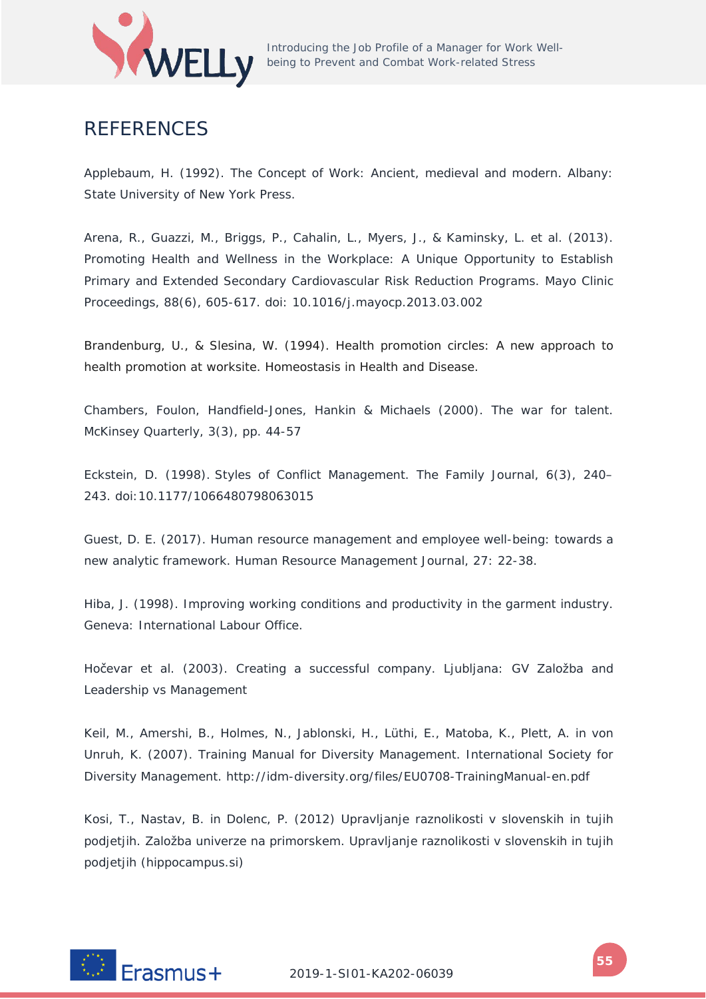

## **REFERENCES**

Applebaum, H. (1992). The Concept of Work: Ancient, medieval and modern. Albany: State University of New York Press.

Arena, R., Guazzi, M., Briggs, P., Cahalin, L., Myers, J., & Kaminsky, L. et al. (2013). Promoting Health and Wellness in the Workplace: A Unique Opportunity to Establish Primary and Extended Secondary Cardiovascular Risk Reduction Programs. Mayo Clinic Proceedings, 88(6), 605-617. doi: 10.1016/j.mayocp.2013.03.002

Brandenburg, U., & Slesina, W. (1994). Health promotion circles: A new approach to health promotion at worksite. *Homeostasis in Health and Disease*.

Chambers, Foulon, Handfield-Jones, Hankin & Michaels (2000). *The war for talent*. McKinsey Quarterly, 3(3), pp. 44-57

Eckstein, D. (1998). Styles of Conflict Management. The Family Journal, 6(3), 240– 243. doi:10.1177/1066480798063015

Guest, D. E. (2017). Human resource management and employee well-being: towards a new analytic framework. Human Resource Management Journal, 27: 22-38.

Hiba, J. (1998). Improving working conditions and productivity in the garment industry. Geneva: International Labour Office.

Hočevar et al. (2003). *Creating a successful company*. Ljubljana: GV Založba and Leadership vs Management

Keil, M., Amershi, B., Holmes, N., Jablonski, H., Lüthi, E., Matoba, K., Plett, A. in von Unruh, K. (2007). Training Manual for Diversity Management. International Society for Diversity Management. http://idm-diversity.org/files/EU0708-TrainingManual-en.pdf

Kosi, T., Nastav, B. in Dolenc, P. (2012) Upravljanje raznolikosti v slovenskih in tujih podjetjih. Založba univerze na primorskem. Upravljanje raznolikosti v slovenskih in tujih podjetjih (hippocampus.si)

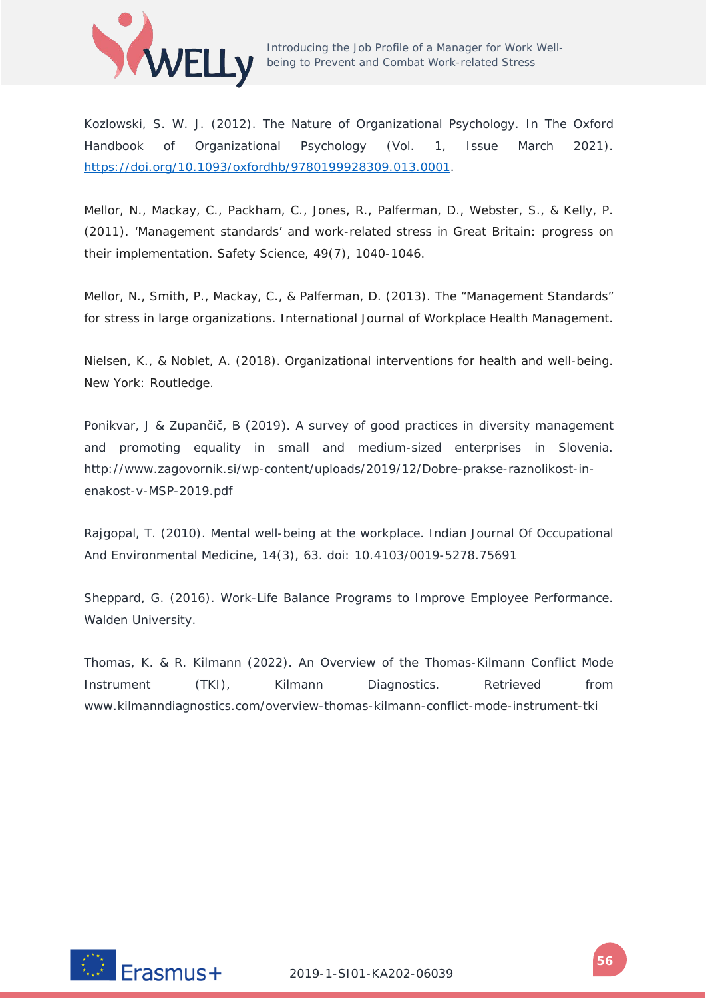

Kozlowski, S. W. J. (2012). The Nature of Organizational Psychology. In The Oxford Handbook of Organizational Psychology (Vol. 1, Issue March 2021). [https://doi.org/10.1093/oxfordhb/9780199928309.013.0001.](https://doi.org/10.1093/oxfordhb/9780199928309.013.0001)

Mellor, N., Mackay, C., Packham, C., Jones, R., Palferman, D., Webster, S., & Kelly, P. (2011). 'Management standards' and work-related stress in Great Britain: progress on their implementation. *Safety Science*, *49*(7), 1040-1046.

Mellor, N., Smith, P., Mackay, C., & Palferman, D. (2013). The "Management Standards" for stress in large organizations. *International Journal of Workplace Health Management*.

Nielsen, K., & Noblet, A. (2018). *Organizational interventions for health and well-being*. New York: Routledge.

Ponikvar, J & Zupančič, B (2019). A survey of good practices in diversity management and promoting equality in small and medium-sized enterprises in Slovenia. http://www.zagovornik.si/wp-content/uploads/2019/12/Dobre-prakse-raznolikost-inenakost-v-MSP-2019.pdf

Rajgopal, T. (2010). Mental well-being at the workplace. Indian Journal Of Occupational And Environmental Medicine, 14(3), 63. doi: 10.4103/0019-5278.75691

Sheppard, G. (2016). Work-Life Balance Programs to Improve Employee Performance. Walden University.

Thomas, K. & R. Kilmann (2022). An Overview of the Thomas-Kilmann Conflict Mode Instrument (TKI), Kilmann Diagnostics. Retrieved from www.kilmanndiagnostics.com/overview-thomas-kilmann-conflict-mode-instrument-tki

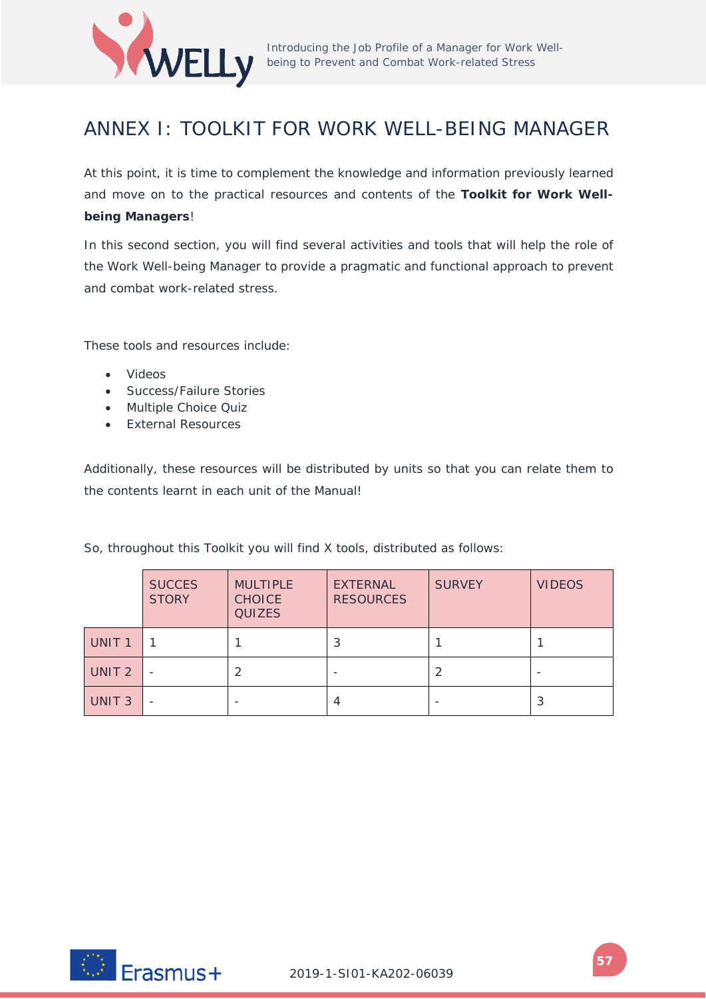

## ANNEX I: TOOLKIT FOR WORK WELL-BEING MANAGER

At this point, it is time to complement the knowledge and information previously learned and move on to the practical resources and contents of the **Toolkit for Work Wellbeing Managers**!

In this second section, you will find several activities and tools that will help the role of the Work Well-being Manager to provide a pragmatic and functional approach to prevent and combat work-related stress.

These tools and resources include:

- Videos
- Success/Failure Stories
- Multiple Choice Quiz
- External Resources

Additionally, these resources will be distributed by units so that you can relate them to the contents learnt in each unit of the Manual!

So, throughout this Toolkit you will find X tools, distributed as follows:

|                   | <b>SUCCES</b><br><b>STORY</b> | <b>MULTIPLE</b><br><b>CHOICE</b><br><b>QUIZES</b> | <b>EXTERNAL</b><br><b>RESOURCES</b> | <b>SURVEY</b> | <b>VIDEOS</b> |  |
|-------------------|-------------------------------|---------------------------------------------------|-------------------------------------|---------------|---------------|--|
| UNIT <sub>1</sub> |                               |                                                   |                                     |               |               |  |
| UNIT <sub>2</sub> |                               |                                                   |                                     |               |               |  |
| UNIT <sub>3</sub> |                               |                                                   | 4                                   |               | 3             |  |

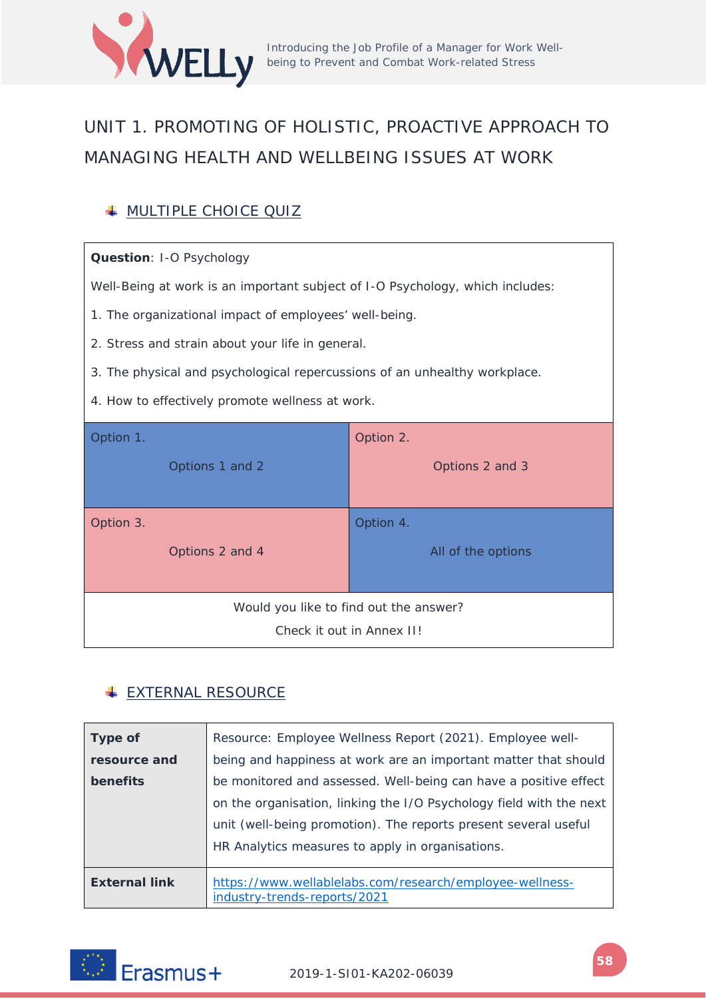

# UNIT 1. PROMOTING OF HOLISTIC, PROACTIVE APPROACH TO MANAGING HEALTH AND WELLBEING ISSUES AT WORK

## **WULTIPLE CHOICE QUIZ**

### **Question**: I-O Psychology

Well-Being at work is an important subject of I-O Psychology, which includes:

- 1. The organizational impact of employees' well-being.
- 2. Stress and strain about your life in general.
- 3. The physical and psychological repercussions of an unhealthy workplace.
- 4. How to effectively promote wellness at work.

| Option 1.                                                           |                 | Option 2.                       |  |
|---------------------------------------------------------------------|-----------------|---------------------------------|--|
|                                                                     | Options 1 and 2 | Options 2 and 3                 |  |
| Option 3.                                                           | Options 2 and 4 | Option 4.<br>All of the options |  |
| Would you like to find out the answer?<br>Check it out in Annex II! |                 |                                 |  |

## **EXTERNAL RESOURCE**

| <b>Type of</b>       | Resource: Employee Wellness Report (2021). Employee well-                                |  |  |
|----------------------|------------------------------------------------------------------------------------------|--|--|
| resource and         | being and happiness at work are an important matter that should                          |  |  |
| benefits             | be monitored and assessed. Well-being can have a positive effect                         |  |  |
|                      | on the organisation, linking the I/O Psychology field with the next                      |  |  |
|                      | unit (well-being promotion). The reports present several useful                          |  |  |
|                      | HR Analytics measures to apply in organisations.                                         |  |  |
| <b>External link</b> | https://www.wellablelabs.com/research/employee-wellness-<br>industry-trends-reports/2021 |  |  |

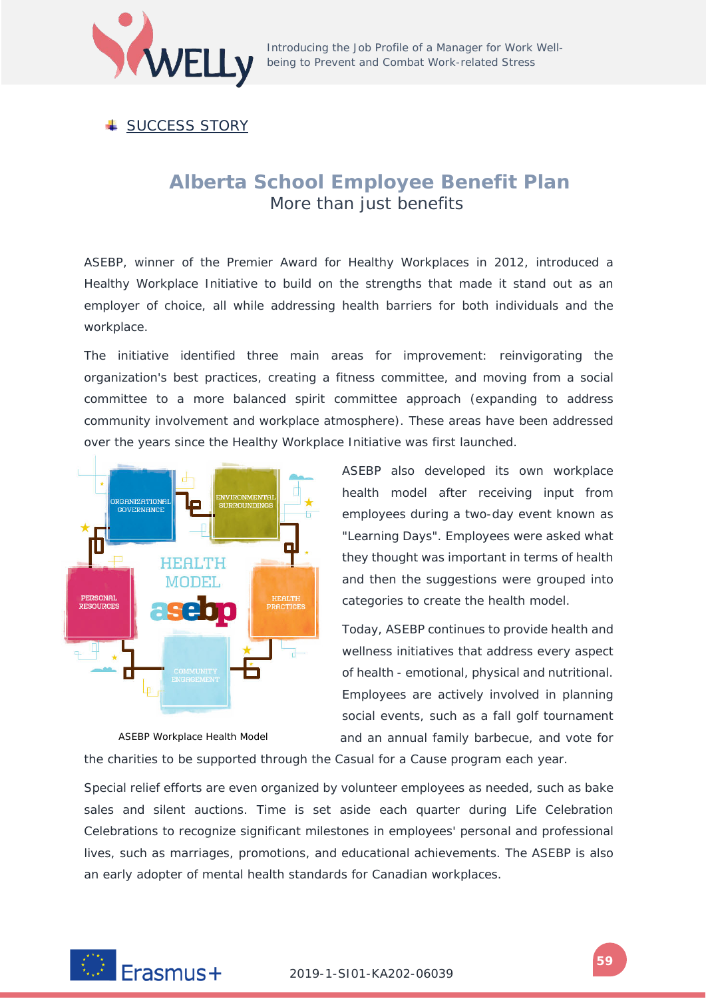

**↓ SUCCESS STORY** 

## **Alberta School Employee Benefit Plan**  More than just benefits

ASEBP, winner of the Premier Award for Healthy Workplaces in 2012, introduced a Healthy Workplace Initiative to build on the strengths that made it stand out as an employer of choice, all while addressing health barriers for both individuals and the workplace.

The initiative identified three main areas for improvement: reinvigorating the organization's best practices, creating a fitness committee, and moving from a social committee to a more balanced spirit committee approach (expanding to address community involvement and workplace atmosphere). These areas have been addressed over the years since the Healthy Workplace Initiative was first launched.



*ASEBP Workplace Health Model*

ASEBP also developed its own workplace health model after receiving input from employees during a two-day event known as "Learning Days". Employees were asked what they thought was important in terms of health and then the suggestions were grouped into categories to create the health model.

Today, ASEBP continues to provide health and wellness initiatives that address every aspect of health - emotional, physical and nutritional. Employees are actively involved in planning social events, such as a fall golf tournament and an annual family barbecue, and vote for

the charities to be supported through the Casual for a Cause program each year.

Special relief efforts are even organized by volunteer employees as needed, such as bake sales and silent auctions. Time is set aside each quarter during Life Celebration Celebrations to recognize significant milestones in employees' personal and professional lives, such as marriages, promotions, and educational achievements. The ASEBP is also an early adopter of mental health standards for Canadian workplaces.

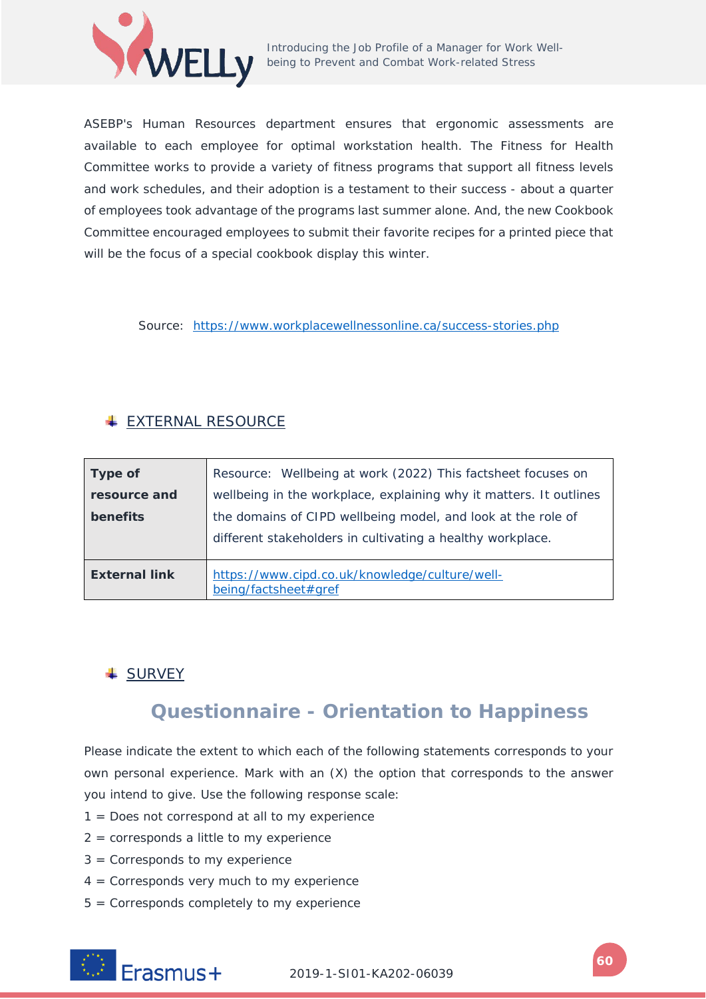

ASEBP's Human Resources department ensures that ergonomic assessments are available to each employee for optimal workstation health. The Fitness for Health Committee works to provide a variety of fitness programs that support all fitness levels and work schedules, and their adoption is a testament to their success - about a quarter of employees took advantage of the programs last summer alone. And, the new Cookbook Committee encouraged employees to submit their favorite recipes for a printed piece that will be the focus of a special cookbook display this winter.

Source: <https://www.workplacewellnessonline.ca/success-stories.php>

## **EXTERNAL RESOURCE**

| Type of                                                                            | Resource: Wellbeing at work (2022) This factsheet focuses on                                                               |  |  |  |
|------------------------------------------------------------------------------------|----------------------------------------------------------------------------------------------------------------------------|--|--|--|
| resource and<br>wellbeing in the workplace, explaining why it matters. It outlines |                                                                                                                            |  |  |  |
| benefits                                                                           | the domains of CIPD wellbeing model, and look at the role of<br>different stakeholders in cultivating a healthy workplace. |  |  |  |
| <b>External link</b>                                                               | https://www.cipd.co.uk/knowledge/culture/well-<br>being/factsheet#gref                                                     |  |  |  |

## **↓ SURVEY**

# **Questionnaire - Orientation to Happiness**

Please indicate the extent to which each of the following statements corresponds to your own personal experience. Mark with an (X) the option that corresponds to the answer you intend to give. Use the following response scale:

- 1 = Does not correspond at all to my experience
- $2 =$  corresponds a little to my experience
- 3 = Corresponds to my experience
- 4 = Corresponds very much to my experience
- 5 = Corresponds completely to my experience

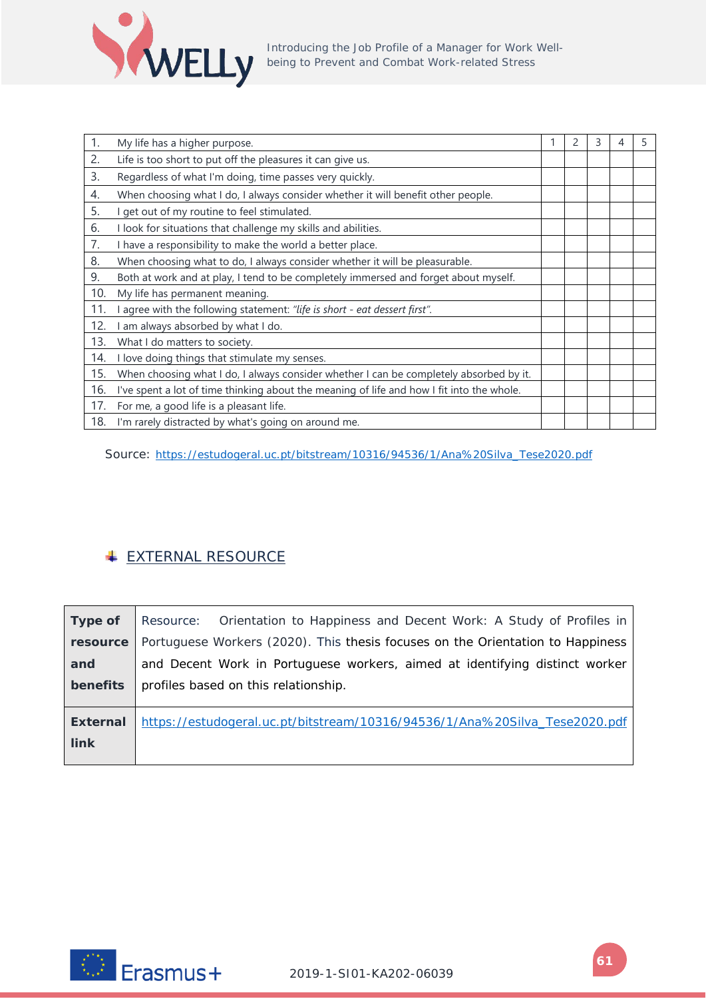

| 1.  | My life has a higher purpose.                                                             | 2 | 3 | 4 | 5 |
|-----|-------------------------------------------------------------------------------------------|---|---|---|---|
| 2.  | Life is too short to put off the pleasures it can give us.                                |   |   |   |   |
| 3.  | Regardless of what I'm doing, time passes very quickly.                                   |   |   |   |   |
| 4.  | When choosing what I do, I always consider whether it will benefit other people.          |   |   |   |   |
| 5.  | get out of my routine to feel stimulated.                                                 |   |   |   |   |
| 6.  | I look for situations that challenge my skills and abilities.                             |   |   |   |   |
| 7.  | I have a responsibility to make the world a better place.                                 |   |   |   |   |
| 8.  | When choosing what to do, I always consider whether it will be pleasurable.               |   |   |   |   |
| 9.  | Both at work and at play, I tend to be completely immersed and forget about myself.       |   |   |   |   |
| 10. | My life has permanent meaning.                                                            |   |   |   |   |
| 11. | agree with the following statement: "life is short - eat dessert first".                  |   |   |   |   |
| 12. | am always absorbed by what I do.                                                          |   |   |   |   |
| 13. | What I do matters to society.                                                             |   |   |   |   |
| 14. | I love doing things that stimulate my senses.                                             |   |   |   |   |
| 15. | When choosing what I do, I always consider whether I can be completely absorbed by it.    |   |   |   |   |
| 16. | I've spent a lot of time thinking about the meaning of life and how I fit into the whole. |   |   |   |   |
| 17. | For me, a good life is a pleasant life.                                                   |   |   |   |   |
| 18. | I'm rarely distracted by what's going on around me.                                       |   |   |   |   |

Source: [https://estudogeral.uc.pt/bitstream/10316/94536/1/Ana%20Silva\\_Tese2020.pdf](https://estudogeral.uc.pt/bitstream/10316/94536/1/Ana%20Silva_Tese2020.pdf)

## **EXTERNAL RESOURCE**

| Type of                        | Resource: Orientation to Happiness and Decent Work: A Study of Profiles in     |
|--------------------------------|--------------------------------------------------------------------------------|
| resource                       | Portuguese Workers (2020). This thesis focuses on the Orientation to Happiness |
| and                            | and Decent Work in Portuguese workers, aimed at identifying distinct worker    |
| benefits                       | profiles based on this relationship.                                           |
| <b>External</b><br><b>link</b> | https://estudogeral.uc.pt/bitstream/10316/94536/1/Ana%20Silva_Tese2020.pdf     |
|                                |                                                                                |

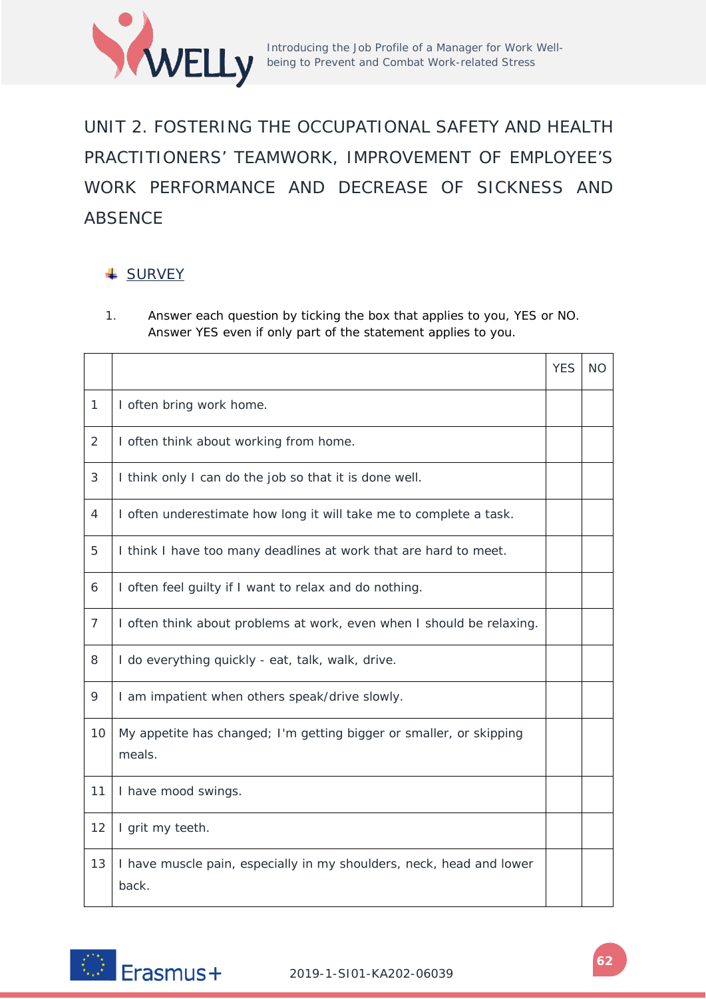

UNIT 2. FOSTERING THE OCCUPATIONAL SAFETY AND HEALTH PRACTITIONERS' TEAMWORK, IMPROVEMENT OF EMPLOYEE'S WORK PERFORMANCE AND DECREASE OF SICKNESS AND ABSENCE

### **↓ SURVEY**

1. Answer each question by ticking the box that applies to you, YES or NO. Answer YES even if only part of the statement applies to you.

|                |                                                                               | <b>YES</b> | <b>NO</b> |
|----------------|-------------------------------------------------------------------------------|------------|-----------|
| $\mathbf{1}$   | I often bring work home.                                                      |            |           |
| 2              | I often think about working from home.                                        |            |           |
| 3              | I think only I can do the job so that it is done well.                        |            |           |
| 4              | I often underestimate how long it will take me to complete a task.            |            |           |
| 5              | I think I have too many deadlines at work that are hard to meet.              |            |           |
| 6              | I often feel guilty if I want to relax and do nothing.                        |            |           |
| $\overline{7}$ | I often think about problems at work, even when I should be relaxing.         |            |           |
| 8              | I do everything quickly - eat, talk, walk, drive.                             |            |           |
| 9              | I am impatient when others speak/drive slowly.                                |            |           |
| 10             | My appetite has changed; I'm getting bigger or smaller, or skipping<br>meals. |            |           |
| 11             | I have mood swings.                                                           |            |           |
| 12             | I grit my teeth.                                                              |            |           |
| 13             | I have muscle pain, especially in my shoulders, neck, head and lower<br>back. |            |           |

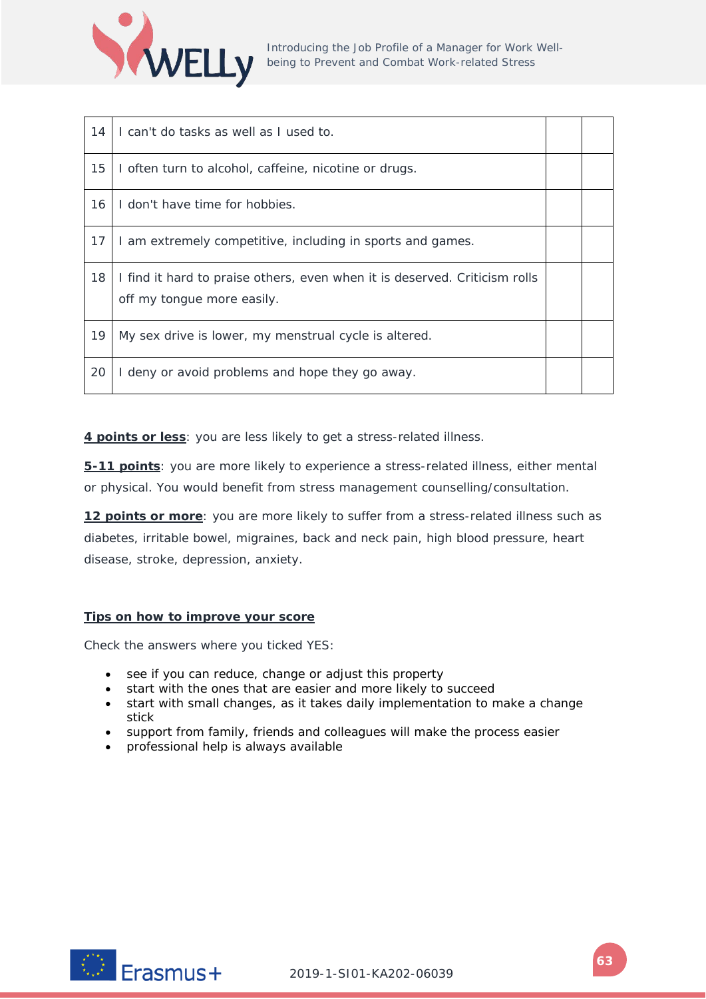

| 14 | I can't do tasks as well as I used to.                                                                   |  |
|----|----------------------------------------------------------------------------------------------------------|--|
| 15 | I often turn to alcohol, caffeine, nicotine or drugs.                                                    |  |
| 16 | I don't have time for hobbies.                                                                           |  |
| 17 | I am extremely competitive, including in sports and games.                                               |  |
| 18 | I find it hard to praise others, even when it is deserved. Criticism rolls<br>off my tongue more easily. |  |
| 19 | My sex drive is lower, my menstrual cycle is altered.                                                    |  |
| 20 | I deny or avoid problems and hope they go away.                                                          |  |

**4 points or less**: you are less likely to get a stress-related illness.

**5-11 points**: you are more likely to experience a stress-related illness, either mental or physical. You would benefit from stress management counselling/consultation.

**12 points or more**: you are more likely to suffer from a stress-related illness such as diabetes, irritable bowel, migraines, back and neck pain, high blood pressure, heart disease, stroke, depression, anxiety.

### **Tips on how to improve your score**

Check the answers where you ticked YES:

- see if you can reduce, change or adjust this property
- start with the ones that are easier and more likely to succeed
- start with small changes, as it takes daily implementation to make a change stick
- support from family, friends and colleagues will make the process easier
- professional help is always available

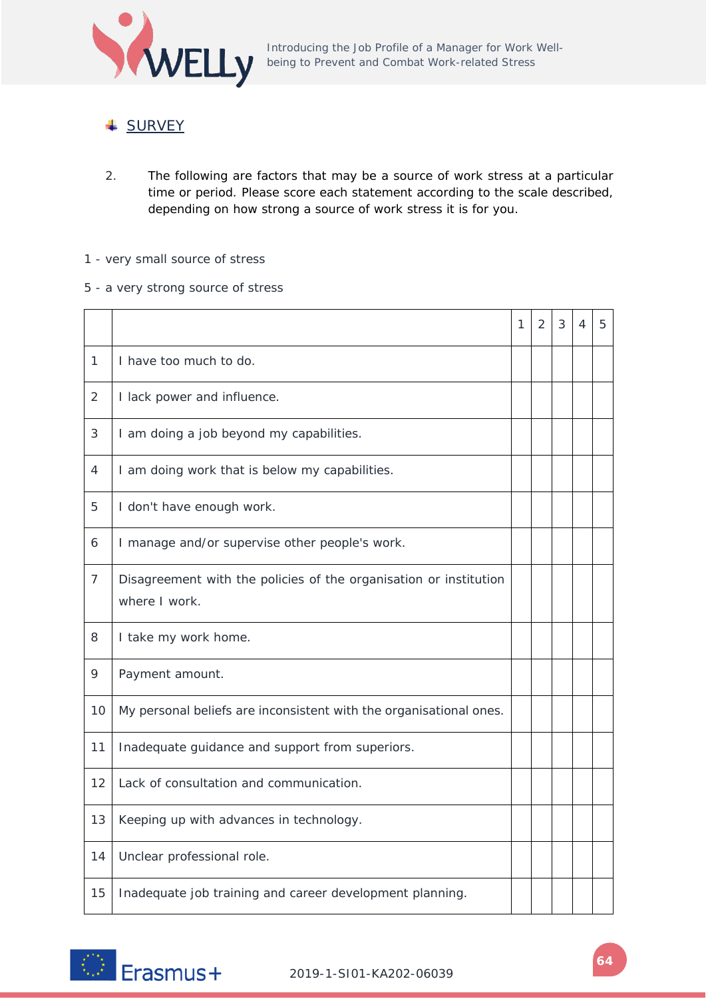

### **↓ SURVEY**

- 2. The following are factors that may be a source of work stress at a particular time or period. Please score each statement according to the scale described, depending on how strong a source of work stress it is for you.
- 1 very small source of stress
- 5 a very strong source of stress

|                |                                                                                    | 1 | 2 | 3 | 4 | 5 |
|----------------|------------------------------------------------------------------------------------|---|---|---|---|---|
| 1              | I have too much to do.                                                             |   |   |   |   |   |
| 2              | I lack power and influence.                                                        |   |   |   |   |   |
| 3              | I am doing a job beyond my capabilities.                                           |   |   |   |   |   |
| 4              | I am doing work that is below my capabilities.                                     |   |   |   |   |   |
| 5              | I don't have enough work.                                                          |   |   |   |   |   |
| 6              | I manage and/or supervise other people's work.                                     |   |   |   |   |   |
| $\overline{7}$ | Disagreement with the policies of the organisation or institution<br>where I work. |   |   |   |   |   |
| 8              | I take my work home.                                                               |   |   |   |   |   |
| 9              | Payment amount.                                                                    |   |   |   |   |   |
| 10             | My personal beliefs are inconsistent with the organisational ones.                 |   |   |   |   |   |
| 11             | Inadequate guidance and support from superiors.                                    |   |   |   |   |   |
| 12             | Lack of consultation and communication.                                            |   |   |   |   |   |
| 13             | Keeping up with advances in technology.                                            |   |   |   |   |   |
| 14             | Unclear professional role.                                                         |   |   |   |   |   |
| 15             | Inadequate job training and career development planning.                           |   |   |   |   |   |

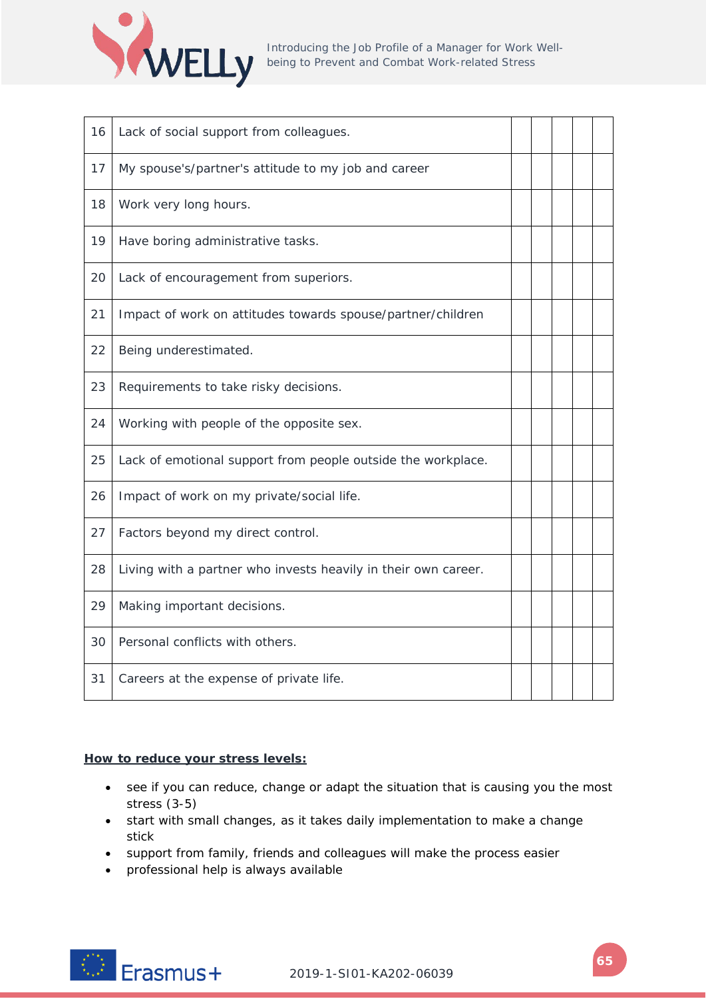

| 16 | Lack of social support from colleagues.                        |  |  |  |
|----|----------------------------------------------------------------|--|--|--|
| 17 | My spouse's/partner's attitude to my job and career            |  |  |  |
| 18 | Work very long hours.                                          |  |  |  |
| 19 | Have boring administrative tasks.                              |  |  |  |
| 20 | Lack of encouragement from superiors.                          |  |  |  |
| 21 | Impact of work on attitudes towards spouse/partner/children    |  |  |  |
| 22 | Being underestimated.                                          |  |  |  |
| 23 | Requirements to take risky decisions.                          |  |  |  |
| 24 | Working with people of the opposite sex.                       |  |  |  |
| 25 | Lack of emotional support from people outside the workplace.   |  |  |  |
| 26 | Impact of work on my private/social life.                      |  |  |  |
| 27 | Factors beyond my direct control.                              |  |  |  |
| 28 | Living with a partner who invests heavily in their own career. |  |  |  |
| 29 | Making important decisions.                                    |  |  |  |
| 30 | Personal conflicts with others.                                |  |  |  |
| 31 | Careers at the expense of private life.                        |  |  |  |

### **How to reduce your stress levels:**

- see if you can reduce, change or adapt the situation that is causing you the most stress (3-5)
- start with small changes, as it takes daily implementation to make a change stick
- support from family, friends and colleagues will make the process easier
- professional help is always available

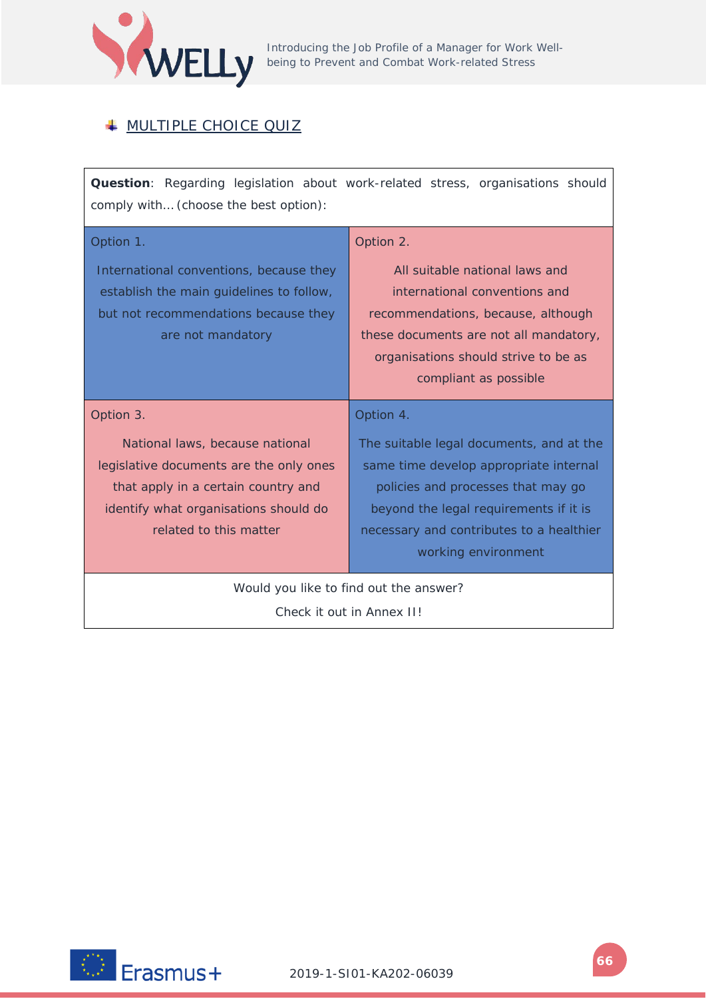

## **WULTIPLE CHOICE QUIZ**

**Question**: Regarding legislation about work-related stress, organisations should comply with… (choose the best option):

| Option 1.                                                                                                                                                                            | Option 2.                                                                                                                                                                                                                             |  |  |
|--------------------------------------------------------------------------------------------------------------------------------------------------------------------------------------|---------------------------------------------------------------------------------------------------------------------------------------------------------------------------------------------------------------------------------------|--|--|
| International conventions, because they<br>establish the main guidelines to follow,<br>but not recommendations because they<br>are not mandatory                                     | All suitable national laws and<br>international conventions and<br>recommendations, because, although<br>these documents are not all mandatory,<br>organisations should strive to be as<br>compliant as possible                      |  |  |
| Option 3.                                                                                                                                                                            | Option 4.                                                                                                                                                                                                                             |  |  |
| National laws, because national<br>legislative documents are the only ones<br>that apply in a certain country and<br>identify what organisations should do<br>related to this matter | The suitable legal documents, and at the<br>same time develop appropriate internal<br>policies and processes that may go<br>beyond the legal requirements if it is<br>necessary and contributes to a healthier<br>working environment |  |  |
| Would you like to find out the answer?                                                                                                                                               |                                                                                                                                                                                                                                       |  |  |

Check it out in Annex II!

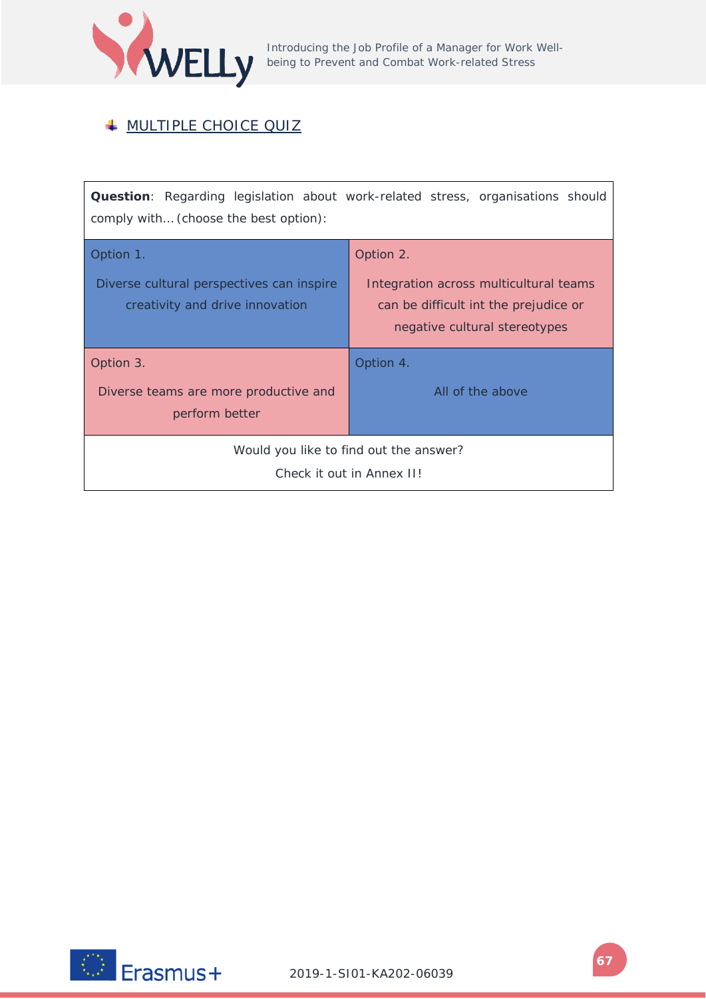

## **WULTIPLE CHOICE QUIZ**

**Question**: Regarding legislation about work-related stress, organisations should comply with… (choose the best option):

| Option 1.                                                                    | Option 2.                                                                                                        |  |  |  |  |
|------------------------------------------------------------------------------|------------------------------------------------------------------------------------------------------------------|--|--|--|--|
| Diverse cultural perspectives can inspire<br>creativity and drive innovation | Integration across multicultural teams<br>can be difficult int the prejudice or<br>negative cultural stereotypes |  |  |  |  |
| Option 3.                                                                    | Option 4.                                                                                                        |  |  |  |  |
| Diverse teams are more productive and                                        | All of the above                                                                                                 |  |  |  |  |
| perform better                                                               |                                                                                                                  |  |  |  |  |
| Would you like to find out the answer?                                       |                                                                                                                  |  |  |  |  |
| Check it out in Annex II!                                                    |                                                                                                                  |  |  |  |  |

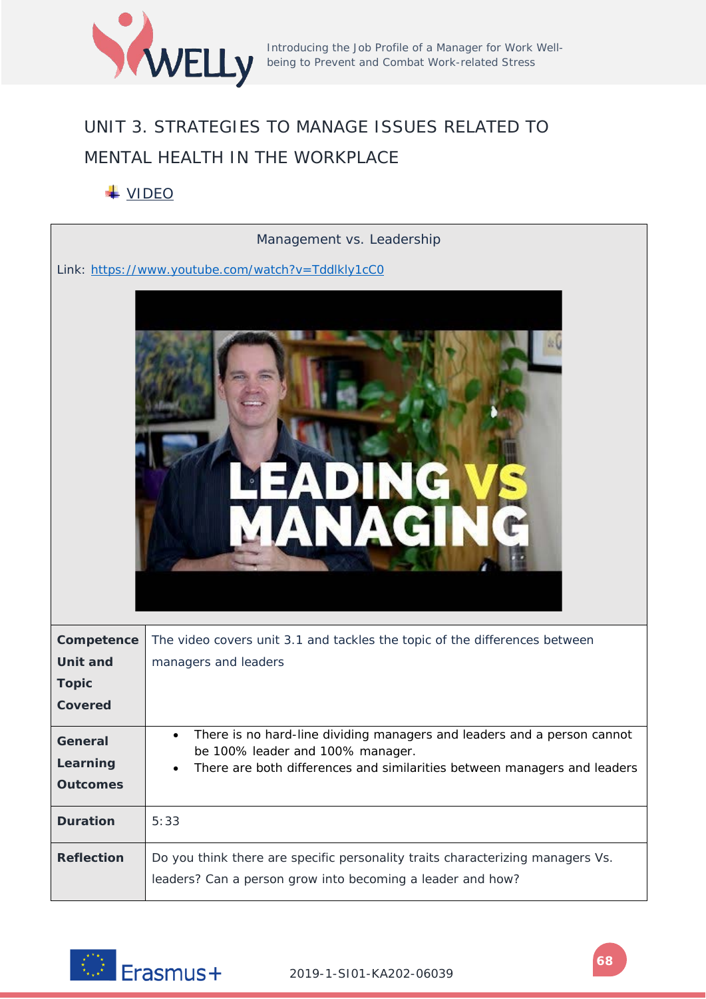

# UNIT 3. STRATEGIES TO MANAGE ISSUES RELATED TO MENTAL HEALTH IN THE WORKPLACE

## VIDEO

|                                        | Management vs. Leadership                                                                                                                                                               |
|----------------------------------------|-----------------------------------------------------------------------------------------------------------------------------------------------------------------------------------------|
|                                        | Link: https://www.youtube.com/watch?v=Tddlkly1cC0                                                                                                                                       |
|                                        |                                                                                                                                                                                         |
| Competence                             | The video covers unit 3.1 and tackles the topic of the differences between                                                                                                              |
| <b>Unit and</b>                        | managers and leaders                                                                                                                                                                    |
| <b>Topic</b><br><b>Covered</b>         |                                                                                                                                                                                         |
|                                        |                                                                                                                                                                                         |
| General<br>Learning<br><b>Outcomes</b> | There is no hard-line dividing managers and leaders and a person cannot<br>be 100% leader and 100% manager.<br>There are both differences and similarities between managers and leaders |
| <b>Duration</b>                        | 5:33                                                                                                                                                                                    |
| <b>Reflection</b>                      | Do you think there are specific personality traits characterizing managers Vs.<br>leaders? Can a person grow into becoming a leader and how?                                            |

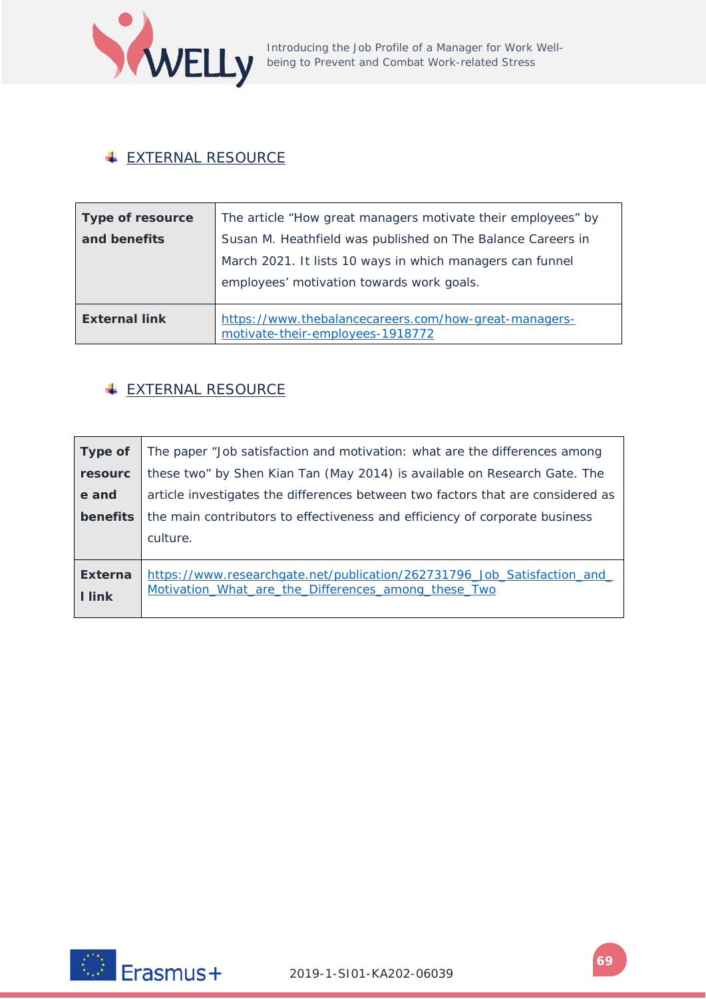

### **EXTERNAL RESOURCE**

| <b>Type of resource</b> | The article "How great managers motivate their employees" by                              |
|-------------------------|-------------------------------------------------------------------------------------------|
| and benefits            | Susan M. Heathfield was published on The Balance Careers in                               |
|                         | March 2021. It lists 10 ways in which managers can funnel                                 |
|                         | employees' motivation towards work goals.                                                 |
|                         |                                                                                           |
| <b>External link</b>    | https://www.thebalancecareers.com/how-great-managers-<br>motivate-their-employees-1918772 |

### **EXTERNAL RESOURCE**

| Type of                         | The paper "Job satisfaction and motivation: what are the differences among                                                     |  |
|---------------------------------|--------------------------------------------------------------------------------------------------------------------------------|--|
| resourc                         | these two" by Shen Kian Tan (May 2014) is available on Research Gate. The                                                      |  |
| e and                           | article investigates the differences between two factors that are considered as                                                |  |
| benefits                        | the main contributors to effectiveness and efficiency of corporate business                                                    |  |
|                                 | culture.                                                                                                                       |  |
| <b>Externa</b><br><b>I</b> link | https://www.researchgate.net/publication/262731796 Job Satisfaction and<br>Motivation What are the Differences among these Two |  |

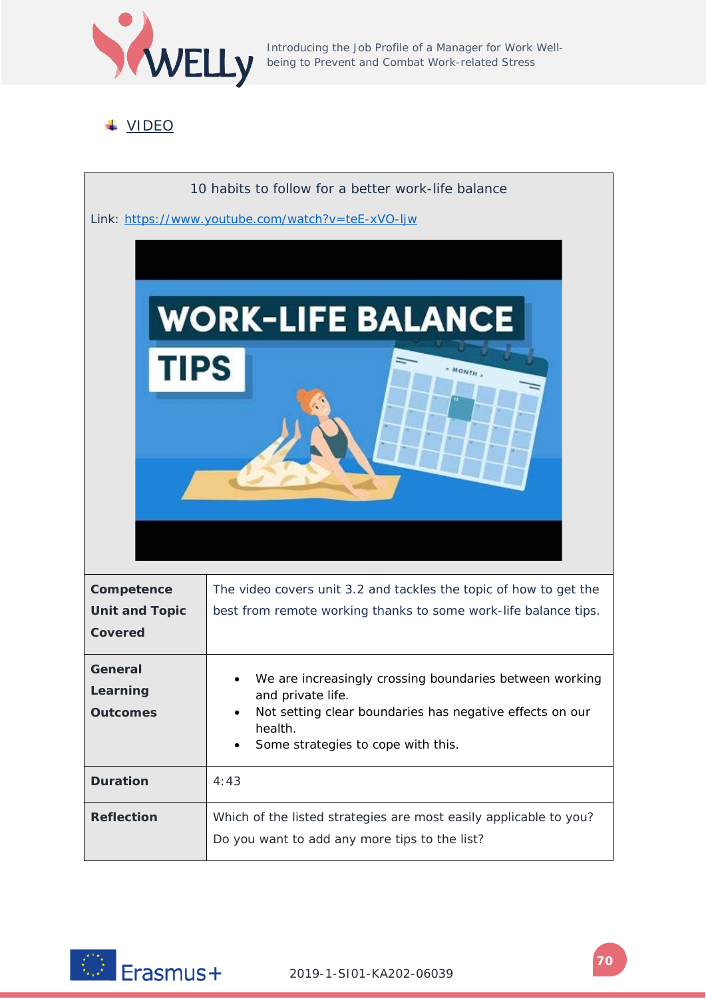

Introducing the Job Profile of a Manager for Work Wellbeing to Prevent and Combat Work-related Stress

## VIDEO



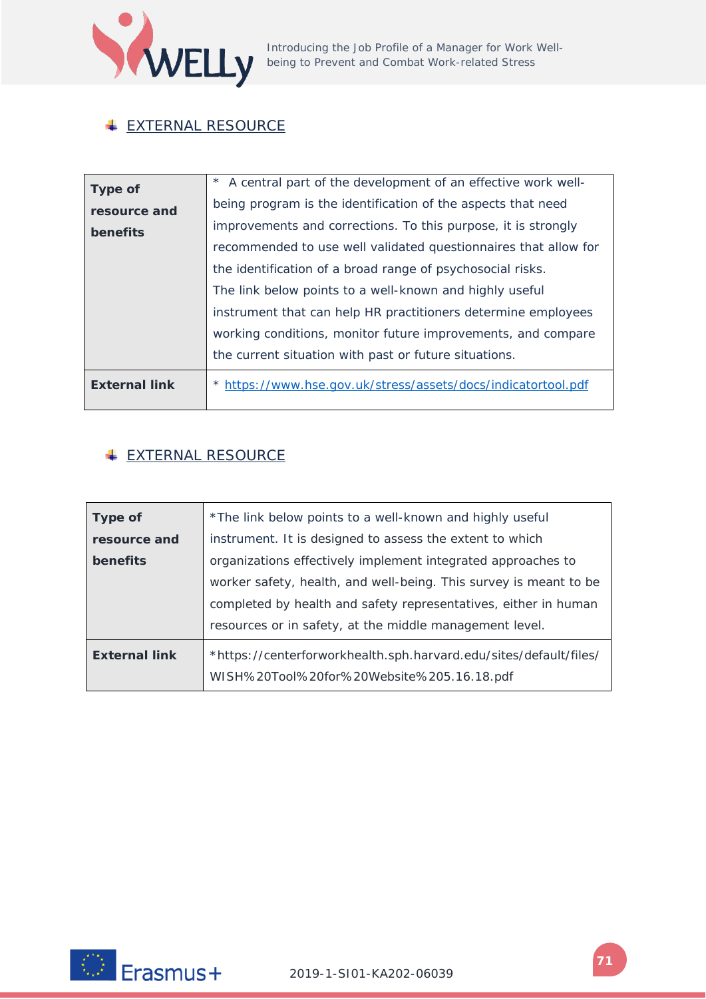

## **EXTERNAL RESOURCE**

| <b>Type of</b>       | * A central part of the development of an effective work well-  |
|----------------------|-----------------------------------------------------------------|
| resource and         | being program is the identification of the aspects that need    |
| benefits             | improvements and corrections. To this purpose, it is strongly   |
|                      | recommended to use well validated questionnaires that allow for |
|                      | the identification of a broad range of psychosocial risks.      |
|                      | The link below points to a well-known and highly useful         |
|                      | instrument that can help HR practitioners determine employees   |
|                      | working conditions, monitor future improvements, and compare    |
|                      | the current situation with past or future situations.           |
| <b>External link</b> | * https://www.hse.gov.uk/stress/assets/docs/indicatortool.pdf   |
|                      |                                                                 |

## **EXTERNAL RESOURCE**

| <b>Type of</b>       | *The link below points to a well-known and highly useful          |
|----------------------|-------------------------------------------------------------------|
| resource and         | instrument. It is designed to assess the extent to which          |
| benefits             | organizations effectively implement integrated approaches to      |
|                      | worker safety, health, and well-being. This survey is meant to be |
|                      | completed by health and safety representatives, either in human   |
|                      | resources or in safety, at the middle management level.           |
| <b>External link</b> | *https://centerforworkhealth.sph.harvard.edu/sites/default/files/ |
|                      | WISH%20Tool%20for%20Website%205.16.18.pdf                         |

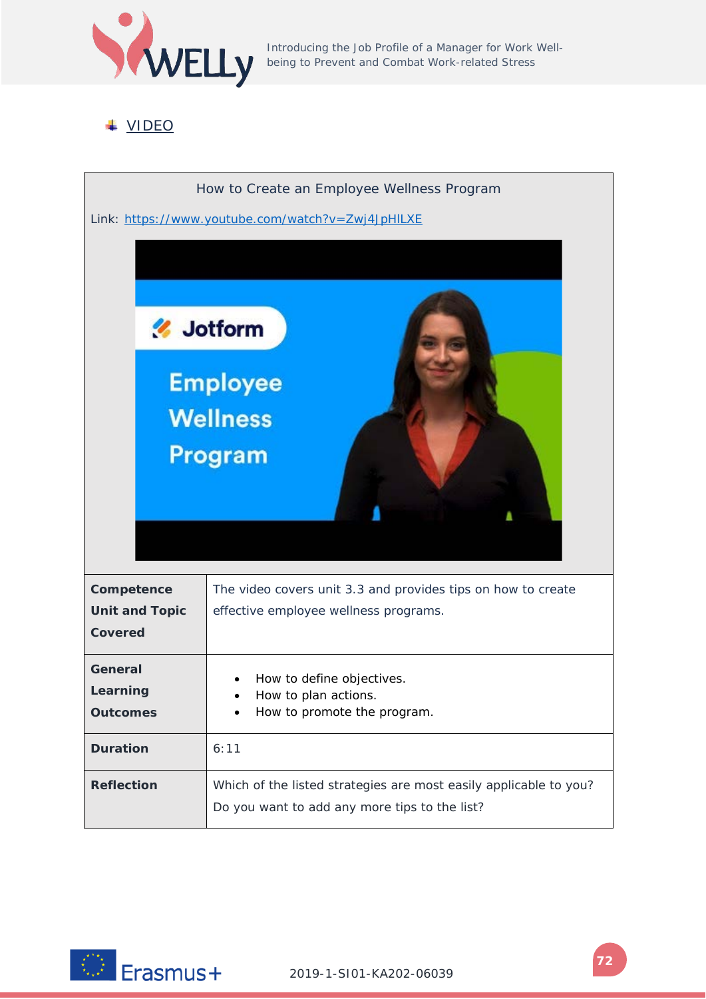

Introducing the Job Profile of a Manager for Work Wellbeing to Prevent and Combat Work-related Stress

## VIDEO



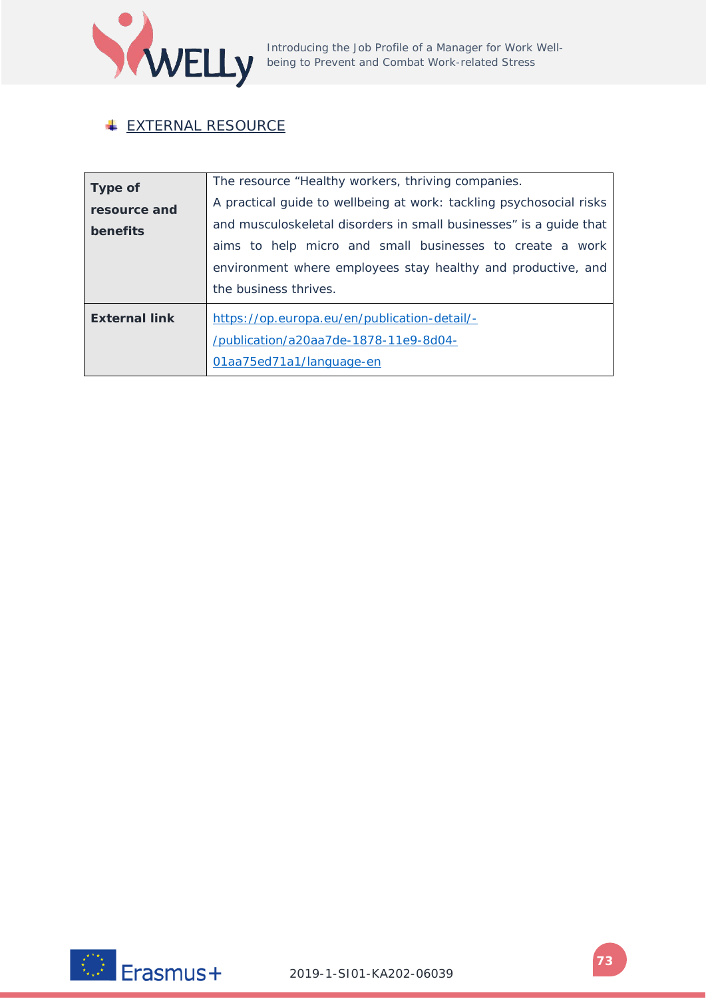

## **EXTERNAL RESOURCE**

| <b>Type of</b><br>resource and<br>benefits | The resource "Healthy workers, thriving companies.<br>A practical guide to wellbeing at work: tackling psychosocial risks<br>and musculoskeletal disorders in small businesses" is a guide that<br>aims to help micro and small businesses to create a work<br>environment where employees stay healthy and productive, and<br>the business thrives. |  |
|--------------------------------------------|------------------------------------------------------------------------------------------------------------------------------------------------------------------------------------------------------------------------------------------------------------------------------------------------------------------------------------------------------|--|
| <b>External link</b>                       | https://op.europa.eu/en/publication-detail/-<br>/publication/a20aa7de-1878-11e9-8d04-<br>01aa75ed71a1/language-en                                                                                                                                                                                                                                    |  |

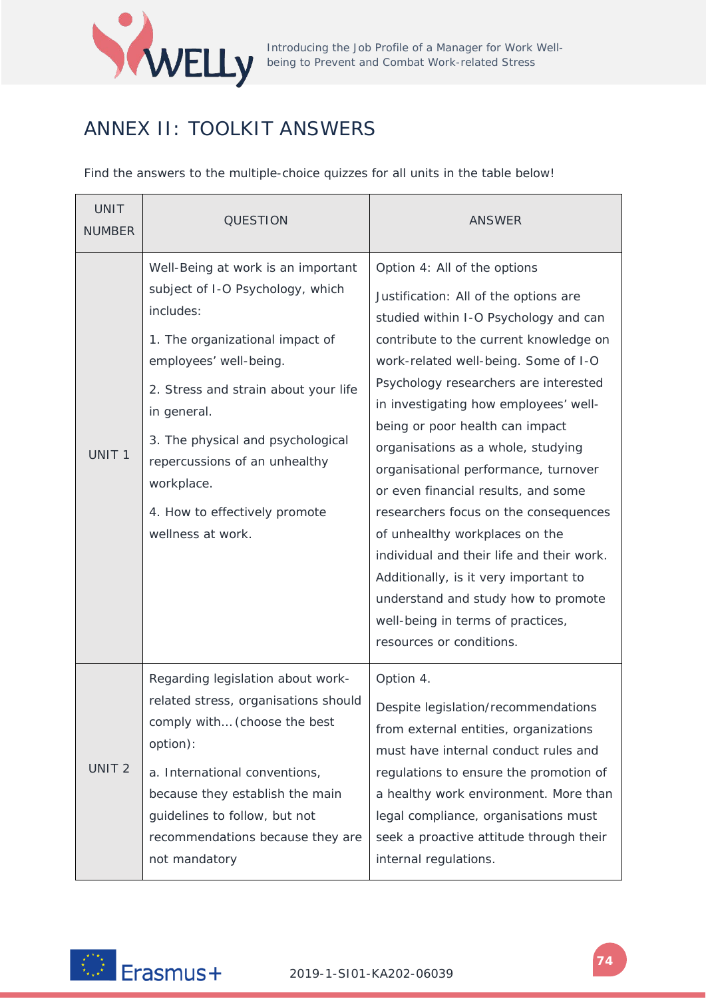

## ANNEX II: TOOLKIT ANSWERS

Find the answers to the multiple-choice quizzes for all units in the table below!

| <b>UNIT</b><br><b>NUMBER</b> | QUESTION                                                                                                                                                                                                                                                                                                                                          | ANSWER                                                                                                                                                                                                                                                                                                                                                                                                                                                                                                                                                                                                                                                                                                              |
|------------------------------|---------------------------------------------------------------------------------------------------------------------------------------------------------------------------------------------------------------------------------------------------------------------------------------------------------------------------------------------------|---------------------------------------------------------------------------------------------------------------------------------------------------------------------------------------------------------------------------------------------------------------------------------------------------------------------------------------------------------------------------------------------------------------------------------------------------------------------------------------------------------------------------------------------------------------------------------------------------------------------------------------------------------------------------------------------------------------------|
| UNIT <sub>1</sub>            | Well-Being at work is an important<br>subject of I-O Psychology, which<br>includes:<br>1. The organizational impact of<br>employees' well-being.<br>2. Stress and strain about your life<br>in general.<br>3. The physical and psychological<br>repercussions of an unhealthy<br>workplace.<br>4. How to effectively promote<br>wellness at work. | Option 4: All of the options<br>Justification: All of the options are<br>studied within I-O Psychology and can<br>contribute to the current knowledge on<br>work-related well-being. Some of I-O<br>Psychology researchers are interested<br>in investigating how employees' well-<br>being or poor health can impact<br>organisations as a whole, studying<br>organisational performance, turnover<br>or even financial results, and some<br>researchers focus on the consequences<br>of unhealthy workplaces on the<br>individual and their life and their work.<br>Additionally, is it very important to<br>understand and study how to promote<br>well-being in terms of practices,<br>resources or conditions. |
| UNIT <sub>2</sub>            | Regarding legislation about work-<br>related stress, organisations should<br>comply with (choose the best<br>option):<br>a. International conventions,<br>because they establish the main<br>guidelines to follow, but not<br>recommendations because they are<br>not mandatory                                                                   | Option 4.<br>Despite legislation/recommendations<br>from external entities, organizations<br>must have internal conduct rules and<br>regulations to ensure the promotion of<br>a healthy work environment. More than<br>legal compliance, organisations must<br>seek a proactive attitude through their<br>internal regulations.                                                                                                                                                                                                                                                                                                                                                                                    |